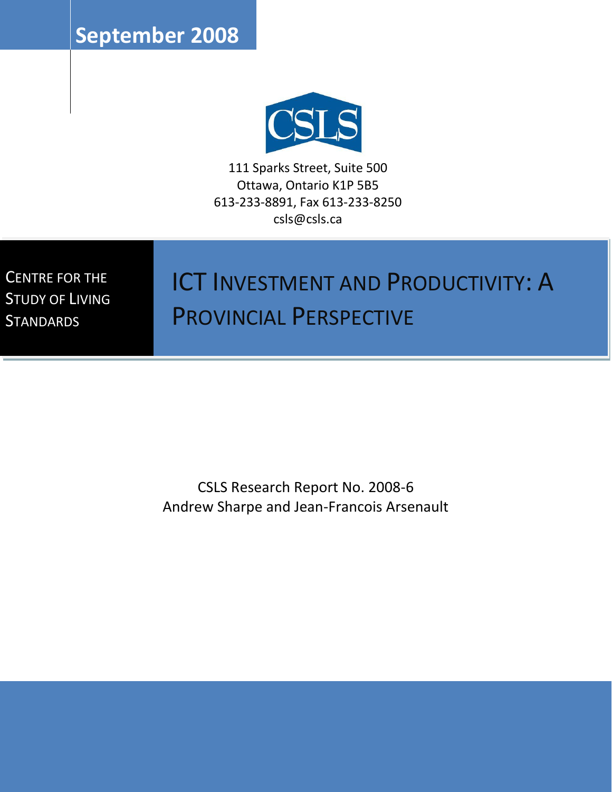**September 2008**



111 Sparks Street, Suite 500 Ottawa, Ontario K1P 5B5 613-233-8891, Fax 613-233-8250 csls@csls.ca

CENTRE FOR THE STUDY OF LIVING **STANDARDS** 

# ICT INVESTMENT AND PRODUCTIVITY: A PROVINCIAL PERSPECTIVE

CSLS Research Report No. 2008-6 Andrew Sharpe and Jean-Francois Arsenault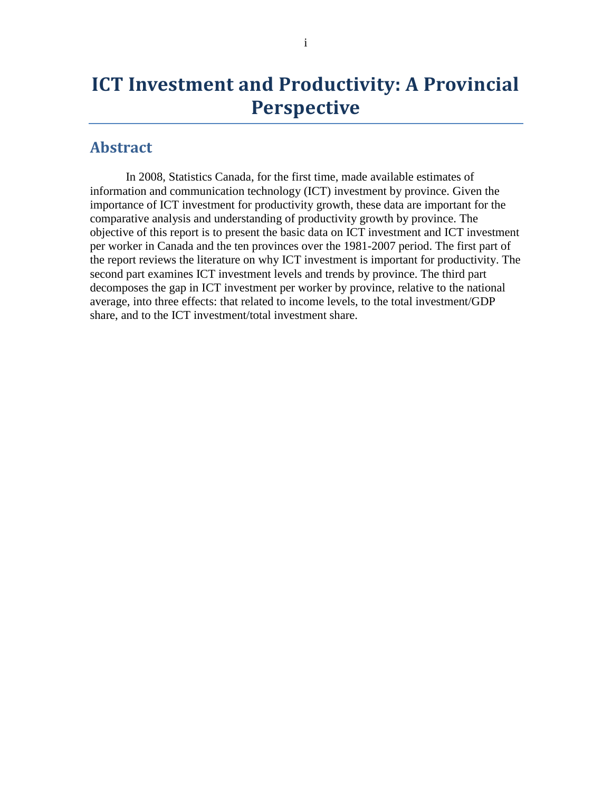## **ICT Investment and Productivity: A Provincial Perspective**

#### <span id="page-1-0"></span>**Abstract**

In 2008, Statistics Canada, for the first time, made available estimates of information and communication technology (ICT) investment by province. Given the importance of ICT investment for productivity growth, these data are important for the comparative analysis and understanding of productivity growth by province. The objective of this report is to present the basic data on ICT investment and ICT investment per worker in Canada and the ten provinces over the 1981-2007 period. The first part of the report reviews the literature on why ICT investment is important for productivity. The second part examines ICT investment levels and trends by province. The third part decomposes the gap in ICT investment per worker by province, relative to the national average, into three effects: that related to income levels, to the total investment/GDP share, and to the ICT investment/total investment share.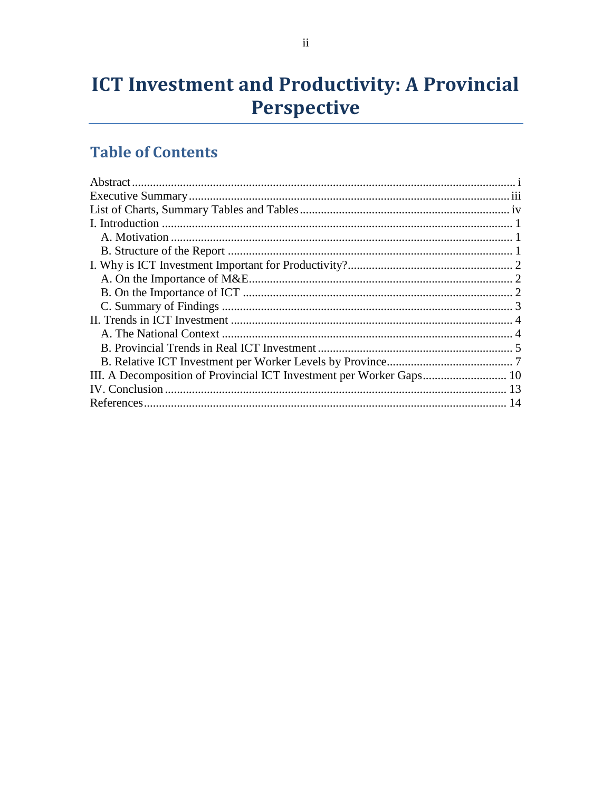## **ICT Investment and Productivity: A Provincial** Perspective

## **Table of Contents**

| III. A Decomposition of Provincial ICT Investment per Worker Gaps 10 |  |
|----------------------------------------------------------------------|--|
|                                                                      |  |
|                                                                      |  |
|                                                                      |  |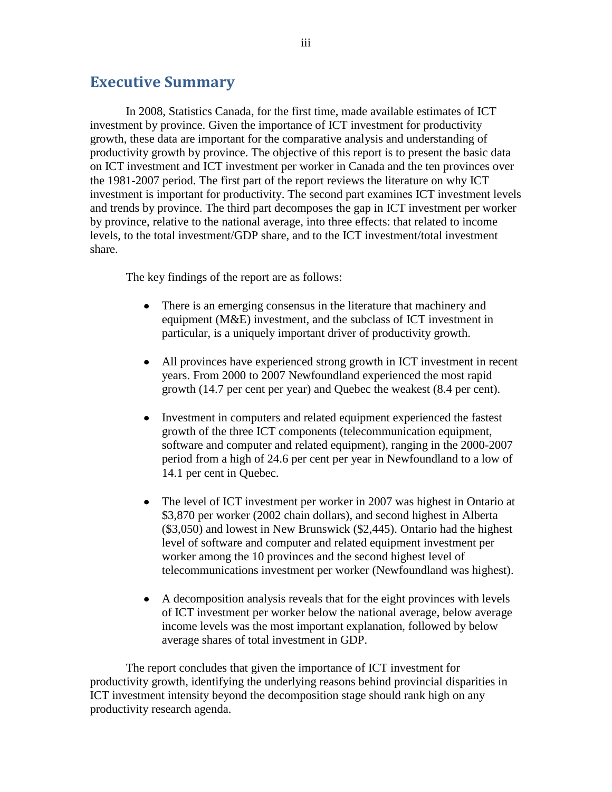### <span id="page-3-0"></span>**Executive Summary**

In 2008, Statistics Canada, for the first time, made available estimates of ICT investment by province. Given the importance of ICT investment for productivity growth, these data are important for the comparative analysis and understanding of productivity growth by province. The objective of this report is to present the basic data on ICT investment and ICT investment per worker in Canada and the ten provinces over the 1981-2007 period. The first part of the report reviews the literature on why ICT investment is important for productivity. The second part examines ICT investment levels and trends by province. The third part decomposes the gap in ICT investment per worker by province, relative to the national average, into three effects: that related to income levels, to the total investment/GDP share, and to the ICT investment/total investment share.

The key findings of the report are as follows:

- There is an emerging consensus in the literature that machinery and  $\bullet$ equipment (M&E) investment, and the subclass of ICT investment in particular, is a uniquely important driver of productivity growth.
- All provinces have experienced strong growth in ICT investment in recent years. From 2000 to 2007 Newfoundland experienced the most rapid growth (14.7 per cent per year) and Quebec the weakest (8.4 per cent).
- Investment in computers and related equipment experienced the fastest  $\bullet$ growth of the three ICT components (telecommunication equipment, software and computer and related equipment), ranging in the 2000-2007 period from a high of 24.6 per cent per year in Newfoundland to a low of 14.1 per cent in Quebec.
- The level of ICT investment per worker in 2007 was highest in Ontario at \$3,870 per worker (2002 chain dollars), and second highest in Alberta (\$3,050) and lowest in New Brunswick (\$2,445). Ontario had the highest level of software and computer and related equipment investment per worker among the 10 provinces and the second highest level of telecommunications investment per worker (Newfoundland was highest).
- A decomposition analysis reveals that for the eight provinces with levels of ICT investment per worker below the national average, below average income levels was the most important explanation, followed by below average shares of total investment in GDP.

The report concludes that given the importance of ICT investment for productivity growth, identifying the underlying reasons behind provincial disparities in ICT investment intensity beyond the decomposition stage should rank high on any productivity research agenda.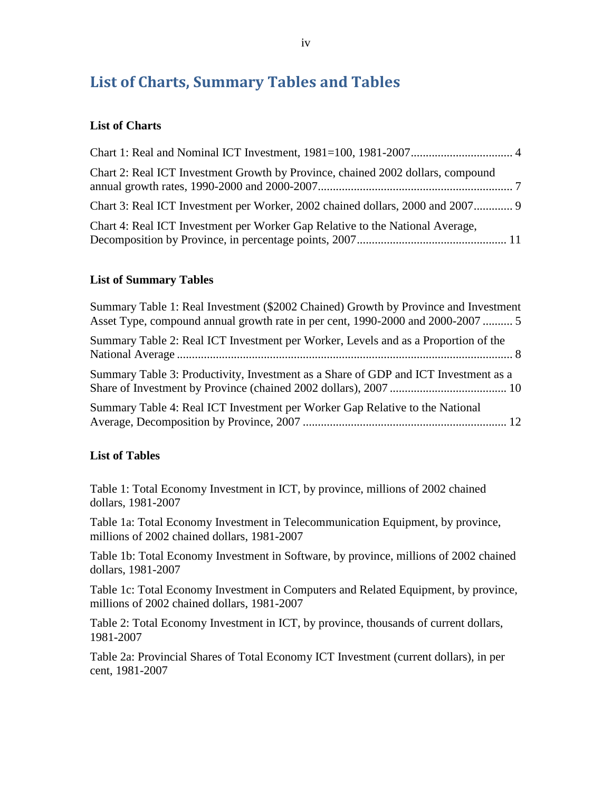## <span id="page-4-0"></span>**List of Charts, Summary Tables and Tables**

#### **List of Charts**

| Chart 2: Real ICT Investment Growth by Province, chained 2002 dollars, compound |  |
|---------------------------------------------------------------------------------|--|
| Chart 3: Real ICT Investment per Worker, 2002 chained dollars, 2000 and 2007    |  |
| Chart 4: Real ICT Investment per Worker Gap Relative to the National Average,   |  |

#### **List of Summary Tables**

| Summary Table 1: Real Investment (\$2002 Chained) Growth by Province and Investment<br>Asset Type, compound annual growth rate in per cent, 1990-2000 and 2000-2007 |  |
|---------------------------------------------------------------------------------------------------------------------------------------------------------------------|--|
| Summary Table 2: Real ICT Investment per Worker, Levels and as a Proportion of the                                                                                  |  |
| Summary Table 3: Productivity, Investment as a Share of GDP and ICT Investment as a                                                                                 |  |
| Summary Table 4: Real ICT Investment per Worker Gap Relative to the National                                                                                        |  |

#### **List of Tables**

Table 1: Total Economy Investment in ICT, by province, millions of 2002 chained dollars, 1981-2007

Table 1a: Total Economy Investment in Telecommunication Equipment, by province, millions of 2002 chained dollars, 1981-2007

Table 1b: Total Economy Investment in Software, by province, millions of 2002 chained dollars, 1981-2007

Table 1c: Total Economy Investment in Computers and Related Equipment, by province, millions of 2002 chained dollars, 1981-2007

Table 2: Total Economy Investment in ICT, by province, thousands of current dollars, 1981-2007

Table 2a: Provincial Shares of Total Economy ICT Investment (current dollars), in per cent, 1981-2007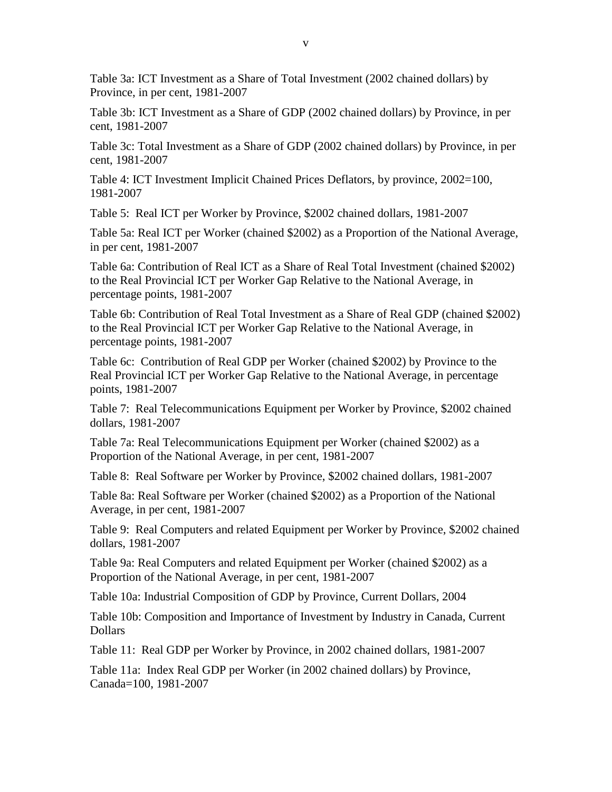Table 3a: ICT Investment as a Share of Total Investment (2002 chained dollars) by Province, in per cent, 1981-2007

Table 3b: ICT Investment as a Share of GDP (2002 chained dollars) by Province, in per cent, 1981-2007

Table 3c: Total Investment as a Share of GDP (2002 chained dollars) by Province, in per cent, 1981-2007

Table 4: ICT Investment Implicit Chained Prices Deflators, by province, 2002=100, 1981-2007

Table 5: Real ICT per Worker by Province, \$2002 chained dollars, 1981-2007

Table 5a: Real ICT per Worker (chained \$2002) as a Proportion of the National Average, in per cent, 1981-2007

Table 6a: Contribution of Real ICT as a Share of Real Total Investment (chained \$2002) to the Real Provincial ICT per Worker Gap Relative to the National Average, in percentage points, 1981-2007

Table 6b: Contribution of Real Total Investment as a Share of Real GDP (chained \$2002) to the Real Provincial ICT per Worker Gap Relative to the National Average, in percentage points, 1981-2007

Table 6c: Contribution of Real GDP per Worker (chained \$2002) by Province to the Real Provincial ICT per Worker Gap Relative to the National Average, in percentage points, 1981-2007

Table 7: Real Telecommunications Equipment per Worker by Province, \$2002 chained dollars, 1981-2007

Table 7a: Real Telecommunications Equipment per Worker (chained \$2002) as a Proportion of the National Average, in per cent, 1981-2007

Table 8: Real Software per Worker by Province, \$2002 chained dollars, 1981-2007

Table 8a: Real Software per Worker (chained \$2002) as a Proportion of the National Average, in per cent, 1981-2007

Table 9: Real Computers and related Equipment per Worker by Province, \$2002 chained dollars, 1981-2007

Table 9a: Real Computers and related Equipment per Worker (chained \$2002) as a Proportion of the National Average, in per cent, 1981-2007

Table 10a: Industrial Composition of GDP by Province, Current Dollars, 2004

Table 10b: Composition and Importance of Investment by Industry in Canada, Current Dollars

Table 11: Real GDP per Worker by Province, in 2002 chained dollars, 1981-2007

Table 11a: Index Real GDP per Worker (in 2002 chained dollars) by Province, Canada=100, 1981-2007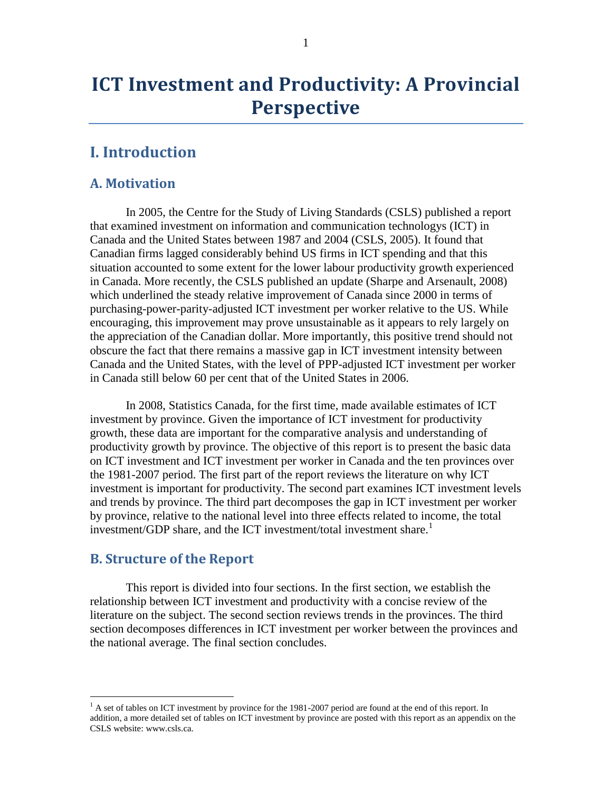## **ICT Investment and Productivity: A Provincial Perspective**

## <span id="page-6-0"></span>**I. Introduction**

#### <span id="page-6-1"></span>**A. Motivation**

In 2005, the Centre for the Study of Living Standards (CSLS) published a report that examined investment on information and communication technologys (ICT) in Canada and the United States between 1987 and 2004 (CSLS, 2005). It found that Canadian firms lagged considerably behind US firms in ICT spending and that this situation accounted to some extent for the lower labour productivity growth experienced in Canada. More recently, the CSLS published an update (Sharpe and Arsenault, 2008) which underlined the steady relative improvement of Canada since 2000 in terms of purchasing-power-parity-adjusted ICT investment per worker relative to the US. While encouraging, this improvement may prove unsustainable as it appears to rely largely on the appreciation of the Canadian dollar. More importantly, this positive trend should not obscure the fact that there remains a massive gap in ICT investment intensity between Canada and the United States, with the level of PPP-adjusted ICT investment per worker in Canada still below 60 per cent that of the United States in 2006.

In 2008, Statistics Canada, for the first time, made available estimates of ICT investment by province. Given the importance of ICT investment for productivity growth, these data are important for the comparative analysis and understanding of productivity growth by province. The objective of this report is to present the basic data on ICT investment and ICT investment per worker in Canada and the ten provinces over the 1981-2007 period. The first part of the report reviews the literature on why ICT investment is important for productivity. The second part examines ICT investment levels and trends by province. The third part decomposes the gap in ICT investment per worker by province, relative to the national level into three effects related to income, the total investment/GDP share, and the ICT investment/total investment share.<sup>1</sup>

#### <span id="page-6-2"></span>**B. Structure of the Report**

 $\overline{a}$ 

This report is divided into four sections. In the first section, we establish the relationship between ICT investment and productivity with a concise review of the literature on the subject. The second section reviews trends in the provinces. The third section decomposes differences in ICT investment per worker between the provinces and the national average. The final section concludes.

 $<sup>1</sup>$  A set of tables on ICT investment by province for the 1981-2007 period are found at the end of this report. In</sup> addition, a more detailed set of tables on ICT investment by province are posted with this report as an appendix on the CSLS website: www.csls.ca.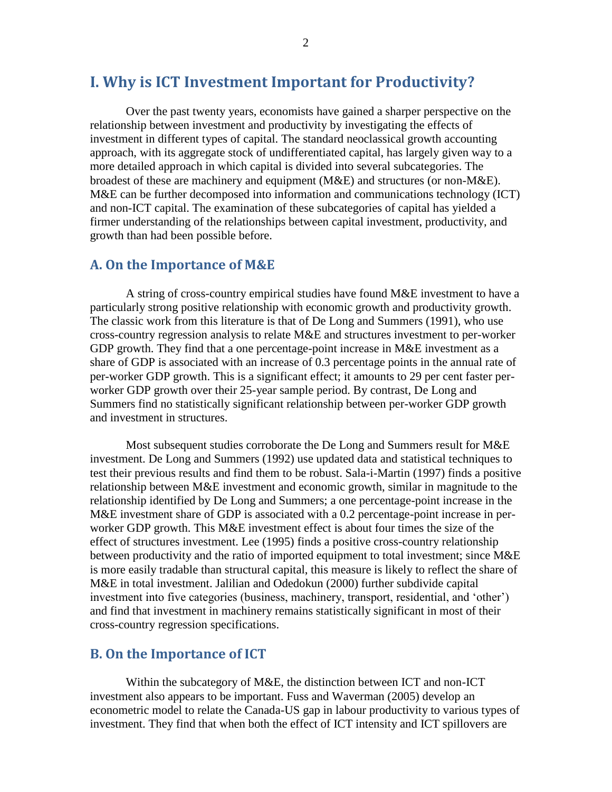### <span id="page-7-0"></span>**I. Why is ICT Investment Important for Productivity?**

Over the past twenty years, economists have gained a sharper perspective on the relationship between investment and productivity by investigating the effects of investment in different types of capital. The standard neoclassical growth accounting approach, with its aggregate stock of undifferentiated capital, has largely given way to a more detailed approach in which capital is divided into several subcategories. The broadest of these are machinery and equipment  $(M&E)$  and structures (or non- $M&E$ ). M&E can be further decomposed into information and communications technology (ICT) and non-ICT capital. The examination of these subcategories of capital has yielded a firmer understanding of the relationships between capital investment, productivity, and growth than had been possible before.

#### <span id="page-7-1"></span>**A. On the Importance of M&E**

A string of cross-country empirical studies have found M&E investment to have a particularly strong positive relationship with economic growth and productivity growth. The classic work from this literature is that of De Long and Summers (1991), who use cross-country regression analysis to relate M&E and structures investment to per-worker GDP growth. They find that a one percentage-point increase in M&E investment as a share of GDP is associated with an increase of 0.3 percentage points in the annual rate of per-worker GDP growth. This is a significant effect; it amounts to 29 per cent faster perworker GDP growth over their 25-year sample period. By contrast, De Long and Summers find no statistically significant relationship between per-worker GDP growth and investment in structures.

Most subsequent studies corroborate the De Long and Summers result for M&E investment. De Long and Summers (1992) use updated data and statistical techniques to test their previous results and find them to be robust. Sala-i-Martin (1997) finds a positive relationship between M&E investment and economic growth, similar in magnitude to the relationship identified by De Long and Summers; a one percentage-point increase in the M&E investment share of GDP is associated with a 0.2 percentage-point increase in perworker GDP growth. This M&E investment effect is about four times the size of the effect of structures investment. Lee (1995) finds a positive cross-country relationship between productivity and the ratio of imported equipment to total investment; since M&E is more easily tradable than structural capital, this measure is likely to reflect the share of M&E in total investment. Jalilian and Odedokun (2000) further subdivide capital investment into five categories (business, machinery, transport, residential, and "other") and find that investment in machinery remains statistically significant in most of their cross-country regression specifications.

#### <span id="page-7-2"></span>**B. On the Importance of ICT**

Within the subcategory of M&E, the distinction between ICT and non-ICT investment also appears to be important. Fuss and Waverman (2005) develop an econometric model to relate the Canada-US gap in labour productivity to various types of investment. They find that when both the effect of ICT intensity and ICT spillovers are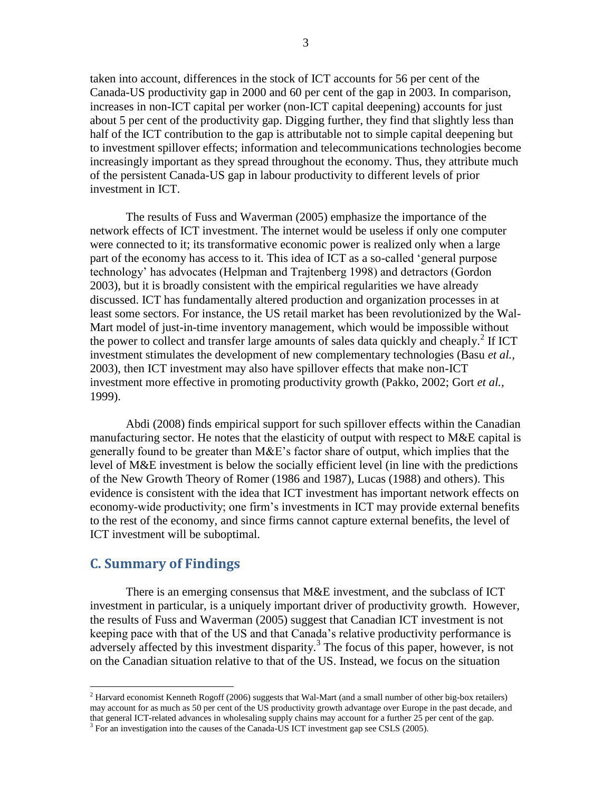taken into account, differences in the stock of ICT accounts for 56 per cent of the Canada-US productivity gap in 2000 and 60 per cent of the gap in 2003. In comparison, increases in non-ICT capital per worker (non-ICT capital deepening) accounts for just about 5 per cent of the productivity gap. Digging further, they find that slightly less than half of the ICT contribution to the gap is attributable not to simple capital deepening but to investment spillover effects; information and telecommunications technologies become increasingly important as they spread throughout the economy. Thus, they attribute much of the persistent Canada-US gap in labour productivity to different levels of prior investment in ICT.

The results of Fuss and Waverman (2005) emphasize the importance of the network effects of ICT investment. The internet would be useless if only one computer were connected to it; its transformative economic power is realized only when a large part of the economy has access to it. This idea of ICT as a so-called "general purpose technology" has advocates (Helpman and Trajtenberg 1998) and detractors (Gordon 2003), but it is broadly consistent with the empirical regularities we have already discussed. ICT has fundamentally altered production and organization processes in at least some sectors. For instance, the US retail market has been revolutionized by the Wal-Mart model of just-in-time inventory management, which would be impossible without the power to collect and transfer large amounts of sales data quickly and cheaply. $2$  If ICT investment stimulates the development of new complementary technologies (Basu *et al.,* 2003), then ICT investment may also have spillover effects that make non-ICT investment more effective in promoting productivity growth (Pakko, 2002; Gort *et al.*, 1999).

Abdi (2008) finds empirical support for such spillover effects within the Canadian manufacturing sector. He notes that the elasticity of output with respect to M&E capital is generally found to be greater than M&E"s factor share of output, which implies that the level of M&E investment is below the socially efficient level (in line with the predictions of the New Growth Theory of Romer (1986 and 1987), Lucas (1988) and others). This evidence is consistent with the idea that ICT investment has important network effects on economy-wide productivity; one firm"s investments in ICT may provide external benefits to the rest of the economy, and since firms cannot capture external benefits, the level of ICT investment will be suboptimal.

#### <span id="page-8-0"></span>**C. Summary of Findings**

 $\overline{a}$ 

There is an emerging consensus that M&E investment, and the subclass of ICT investment in particular, is a uniquely important driver of productivity growth. However, the results of Fuss and Waverman (2005) suggest that Canadian ICT investment is not keeping pace with that of the US and that Canada"s relative productivity performance is adversely affected by this investment disparity.<sup>3</sup> The focus of this paper, however, is not on the Canadian situation relative to that of the US. Instead, we focus on the situation

<sup>&</sup>lt;sup>2</sup> Harvard economist Kenneth Rogoff (2006) suggests that Wal-Mart (and a small number of other big-box retailers) may account for as much as 50 per cent of the US productivity growth advantage over Europe in the past decade, and that general ICT-related advances in wholesaling supply chains may account for a further 25 per cent of the gap.  $3$  For an investigation into the causes of the Canada-US ICT investment gap see CSLS (2005).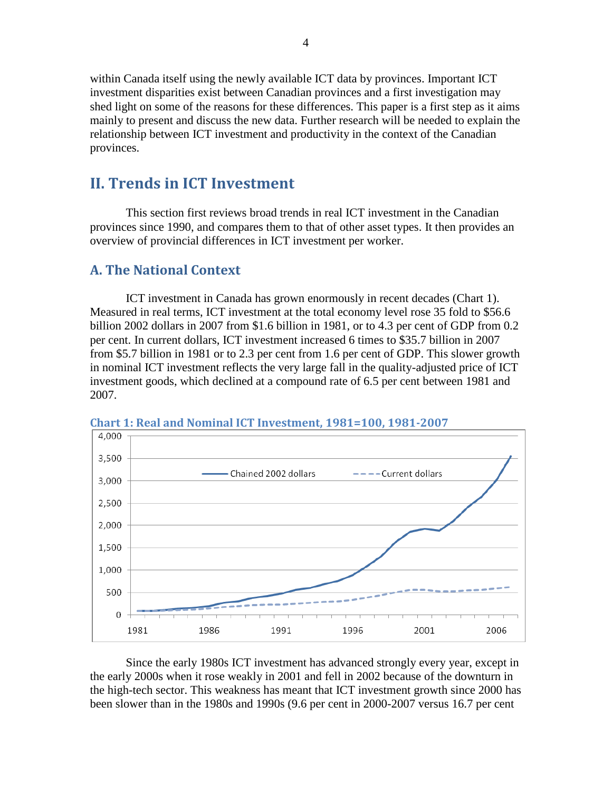within Canada itself using the newly available ICT data by provinces. Important ICT investment disparities exist between Canadian provinces and a first investigation may shed light on some of the reasons for these differences. This paper is a first step as it aims mainly to present and discuss the new data. Further research will be needed to explain the relationship between ICT investment and productivity in the context of the Canadian provinces.

### <span id="page-9-0"></span>**II. Trends in ICT Investment**

This section first reviews broad trends in real ICT investment in the Canadian provinces since 1990, and compares them to that of other asset types. It then provides an overview of provincial differences in ICT investment per worker.

#### <span id="page-9-1"></span>**A. The National Context**

ICT investment in Canada has grown enormously in recent decades (Chart 1). Measured in real terms, ICT investment at the total economy level rose 35 fold to \$56.6 billion 2002 dollars in 2007 from \$1.6 billion in 1981, or to 4.3 per cent of GDP from 0.2 per cent. In current dollars, ICT investment increased 6 times to \$35.7 billion in 2007 from \$5.7 billion in 1981 or to 2.3 per cent from 1.6 per cent of GDP. This slower growth in nominal ICT investment reflects the very large fall in the quality-adjusted price of ICT investment goods, which declined at a compound rate of 6.5 per cent between 1981 and 2007.



<span id="page-9-2"></span>**Chart 1: Real and Nominal ICT Investment, 1981=100, 1981-2007**

Since the early 1980s ICT investment has advanced strongly every year, except in the early 2000s when it rose weakly in 2001 and fell in 2002 because of the downturn in the high-tech sector. This weakness has meant that ICT investment growth since 2000 has been slower than in the 1980s and 1990s (9.6 per cent in 2000-2007 versus 16.7 per cent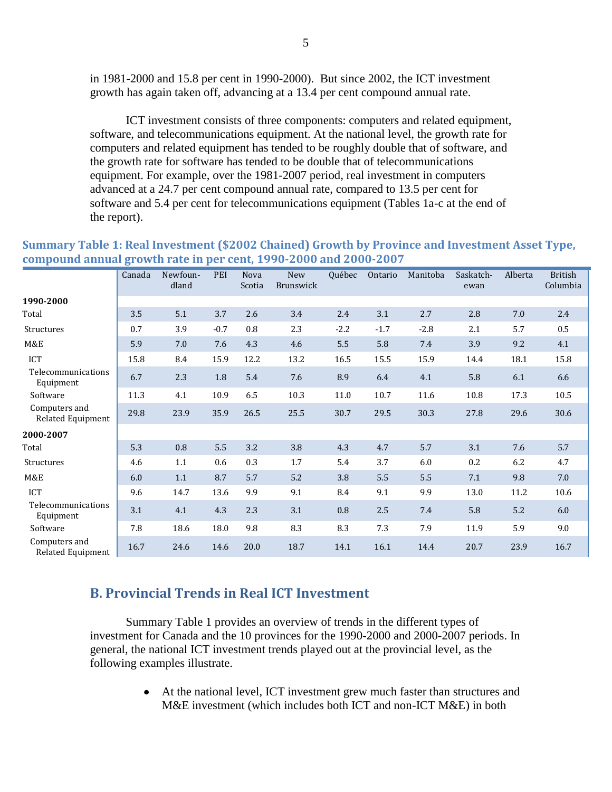in 1981-2000 and 15.8 per cent in 1990-2000). But since 2002, the ICT investment growth has again taken off, advancing at a 13.4 per cent compound annual rate.

ICT investment consists of three components: computers and related equipment, software, and telecommunications equipment. At the national level, the growth rate for computers and related equipment has tended to be roughly double that of software, and the growth rate for software has tended to be double that of telecommunications equipment. For example, over the 1981-2007 period, real investment in computers advanced at a 24.7 per cent compound annual rate, compared to 13.5 per cent for software and 5.4 per cent for telecommunications equipment (Tables 1a-c at the end of the report).

| compound annual growth rate in per cent, 1990 2000 and 2000 2007 |        |                   |        |                       |                         |        |         |          |                   |         |                            |
|------------------------------------------------------------------|--------|-------------------|--------|-----------------------|-------------------------|--------|---------|----------|-------------------|---------|----------------------------|
|                                                                  | Canada | Newfoun-<br>dland | PEI    | <b>Nova</b><br>Scotia | <b>New</b><br>Brunswick | Québec | Ontario | Manitoba | Saskatch-<br>ewan | Alberta | <b>British</b><br>Columbia |
| 1990-2000                                                        |        |                   |        |                       |                         |        |         |          |                   |         |                            |
| Total                                                            | 3.5    | 5.1               | 3.7    | 2.6                   | 3.4                     | 2.4    | 3.1     | 2.7      | 2.8               | 7.0     | 2.4                        |
| Structures                                                       | 0.7    | 3.9               | $-0.7$ | 0.8                   | 2.3                     | $-2.2$ | $-1.7$  | $-2.8$   | 2.1               | 5.7     | 0.5                        |
| M&E                                                              | 5.9    | $7.0\,$           | 7.6    | 4.3                   | 4.6                     | 5.5    | 5.8     | 7.4      | 3.9               | 9.2     | 4.1                        |
| <b>ICT</b>                                                       | 15.8   | 8.4               | 15.9   | 12.2                  | 13.2                    | 16.5   | 15.5    | 15.9     | 14.4              | 18.1    | 15.8                       |
| Telecommunications<br>Equipment                                  | 6.7    | 2.3               | 1.8    | 5.4                   | 7.6                     | 8.9    | 6.4     | 4.1      | 5.8               | 6.1     | 6.6                        |
| Software                                                         | 11.3   | 4.1               | 10.9   | 6.5                   | 10.3                    | 11.0   | 10.7    | 11.6     | 10.8              | 17.3    | 10.5                       |
| Computers and<br>Related Equipment                               | 29.8   | 23.9              | 35.9   | 26.5                  | 25.5                    | 30.7   | 29.5    | 30.3     | 27.8              | 29.6    | 30.6                       |
| 2000-2007                                                        |        |                   |        |                       |                         |        |         |          |                   |         |                            |
| Total                                                            | 5.3    | 0.8               | 5.5    | 3.2                   | 3.8                     | 4.3    | 4.7     | 5.7      | 3.1               | 7.6     | 5.7                        |
| Structures                                                       | 4.6    | 1.1               | 0.6    | 0.3                   | $1.7\,$                 | 5.4    | 3.7     | 6.0      | $0.2\,$           | 6.2     | 4.7                        |
| M&E                                                              | 6.0    | 1.1               | 8.7    | 5.7                   | 5.2                     | 3.8    | 5.5     | 5.5      | $7.1\,$           | 9.8     | $7.0\,$                    |
| ICT                                                              | 9.6    | 14.7              | 13.6   | 9.9                   | 9.1                     | 8.4    | 9.1     | 9.9      | 13.0              | 11.2    | 10.6                       |
| Telecommunications<br>Equipment                                  | 3.1    | 4.1               | 4.3    | 2.3                   | 3.1                     | 0.8    | 2.5     | 7.4      | 5.8               | 5.2     | $6.0\,$                    |
| Software                                                         | 7.8    | 18.6              | 18.0   | 9.8                   | 8.3                     | 8.3    | 7.3     | 7.9      | 11.9              | 5.9     | 9.0                        |
| Computers and<br>Related Equipment                               | 16.7   | 24.6              | 14.6   | 20.0                  | 18.7                    | 14.1   | 16.1    | 14.4     | 20.7              | 23.9    | 16.7                       |

#### <span id="page-10-1"></span>**Summary Table 1: Real Investment (\$2002 Chained) Growth by Province and Investment Asset Type, compound annual growth rate in per cent, 1990-2000 and 2000-2007**

#### <span id="page-10-0"></span>**B. Provincial Trends in Real ICT Investment**

Summary Table 1 provides an overview of trends in the different types of investment for Canada and the 10 provinces for the 1990-2000 and 2000-2007 periods. In general, the national ICT investment trends played out at the provincial level, as the following examples illustrate.

> At the national level, ICT investment grew much faster than structures and M&E investment (which includes both ICT and non-ICT M&E) in both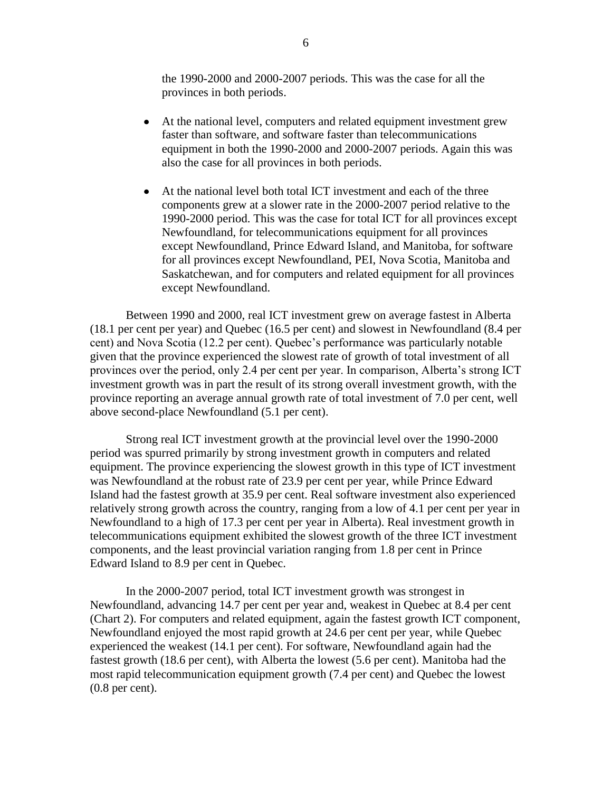the 1990-2000 and 2000-2007 periods. This was the case for all the provinces in both periods.

- At the national level, computers and related equipment investment grew faster than software, and software faster than telecommunications equipment in both the 1990-2000 and 2000-2007 periods. Again this was also the case for all provinces in both periods.
- At the national level both total ICT investment and each of the three components grew at a slower rate in the 2000-2007 period relative to the 1990-2000 period. This was the case for total ICT for all provinces except Newfoundland, for telecommunications equipment for all provinces except Newfoundland, Prince Edward Island, and Manitoba, for software for all provinces except Newfoundland, PEI, Nova Scotia, Manitoba and Saskatchewan, and for computers and related equipment for all provinces except Newfoundland.

Between 1990 and 2000, real ICT investment grew on average fastest in Alberta (18.1 per cent per year) and Quebec (16.5 per cent) and slowest in Newfoundland (8.4 per cent) and Nova Scotia (12.2 per cent). Quebec"s performance was particularly notable given that the province experienced the slowest rate of growth of total investment of all provinces over the period, only 2.4 per cent per year. In comparison, Alberta"s strong ICT investment growth was in part the result of its strong overall investment growth, with the province reporting an average annual growth rate of total investment of 7.0 per cent, well above second-place Newfoundland (5.1 per cent).

Strong real ICT investment growth at the provincial level over the 1990-2000 period was spurred primarily by strong investment growth in computers and related equipment. The province experiencing the slowest growth in this type of ICT investment was Newfoundland at the robust rate of 23.9 per cent per year, while Prince Edward Island had the fastest growth at 35.9 per cent. Real software investment also experienced relatively strong growth across the country, ranging from a low of 4.1 per cent per year in Newfoundland to a high of 17.3 per cent per year in Alberta). Real investment growth in telecommunications equipment exhibited the slowest growth of the three ICT investment components, and the least provincial variation ranging from 1.8 per cent in Prince Edward Island to 8.9 per cent in Quebec.

In the 2000-2007 period, total ICT investment growth was strongest in Newfoundland, advancing 14.7 per cent per year and, weakest in Quebec at 8.4 per cent (Chart 2). For computers and related equipment, again the fastest growth ICT component, Newfoundland enjoyed the most rapid growth at 24.6 per cent per year, while Quebec experienced the weakest (14.1 per cent). For software, Newfoundland again had the fastest growth (18.6 per cent), with Alberta the lowest (5.6 per cent). Manitoba had the most rapid telecommunication equipment growth (7.4 per cent) and Quebec the lowest (0.8 per cent).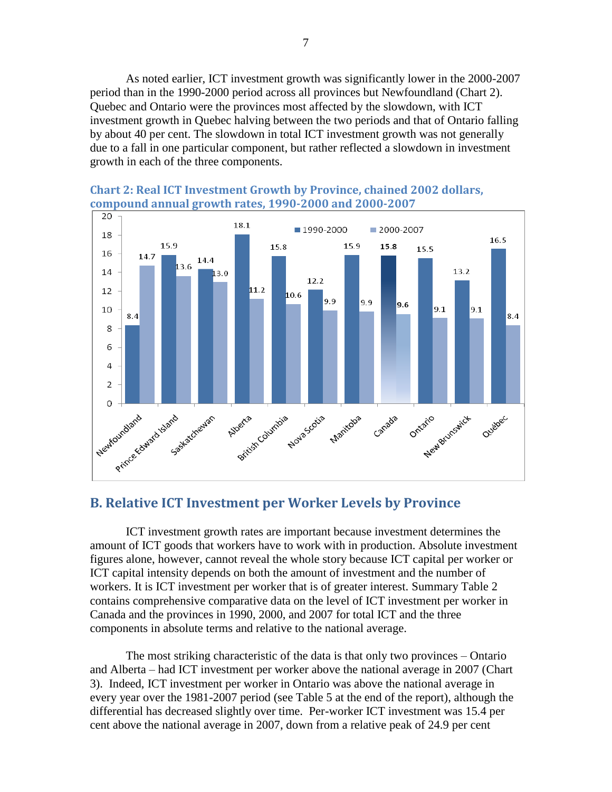As noted earlier, ICT investment growth was significantly lower in the 2000-2007 period than in the 1990-2000 period across all provinces but Newfoundland [\(Chart 2\)](#page-12-1). Quebec and Ontario were the provinces most affected by the slowdown, with ICT investment growth in Quebec halving between the two periods and that of Ontario falling by about 40 per cent. The slowdown in total ICT investment growth was not generally due to a fall in one particular component, but rather reflected a slowdown in investment growth in each of the three components.



# <span id="page-12-1"></span>**Chart 2: Real ICT Investment Growth by Province, chained 2002 dollars,**

#### <span id="page-12-0"></span>**B. Relative ICT Investment per Worker Levels by Province**

ICT investment growth rates are important because investment determines the amount of ICT goods that workers have to work with in production. Absolute investment figures alone, however, cannot reveal the whole story because ICT capital per worker or ICT capital intensity depends on both the amount of investment and the number of workers. It is ICT investment per worker that is of greater interest. [Summary Table 2](#page-13-0) contains comprehensive comparative data on the level of ICT investment per worker in Canada and the provinces in 1990, 2000, and 2007 for total ICT and the three components in absolute terms and relative to the national average.

The most striking characteristic of the data is that only two provinces – Ontario and Alberta – had ICT investment per worker above the national average in 2007 [\(Chart](#page-14-0)  [3\)](#page-14-0). Indeed, ICT investment per worker in Ontario was above the national average in every year over the 1981-2007 period (see Table 5 at the end of the report), although the differential has decreased slightly over time. Per-worker ICT investment was 15.4 per cent above the national average in 2007, down from a relative peak of 24.9 per cent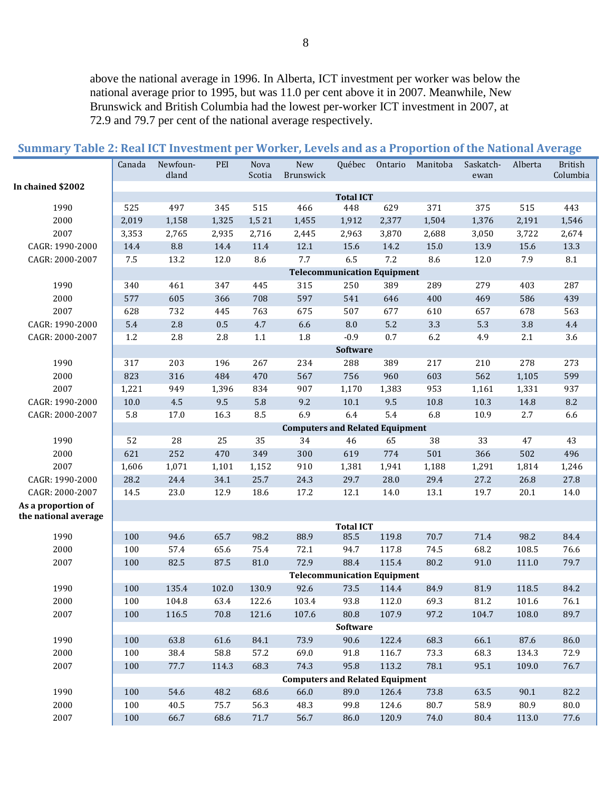above the national average in 1996. In Alberta, ICT investment per worker was below the national average prior to 1995, but was 11.0 per cent above it in 2007. Meanwhile, New Brunswick and British Columbia had the lowest per-worker ICT investment in 2007, at 72.9 and 79.7 per cent of the national average respectively.

|                      | Canada  | Newfoun-<br>dland | PEI     | Nova<br>Scotia | New<br>Brunswick                       | Québec                  | Ontario | Manitoba | Saskatch-<br>ewan | Alberta | <b>British</b><br>Columbia |
|----------------------|---------|-------------------|---------|----------------|----------------------------------------|-------------------------|---------|----------|-------------------|---------|----------------------------|
| In chained \$2002    |         |                   |         |                |                                        |                         |         |          |                   |         |                            |
| 1990                 | 525     | 497               | 345     | 515            | 466                                    | <b>Total ICT</b><br>448 | 629     | 371      | 375               | 515     | 443                        |
| 2000                 | 2,019   | 1,158             | 1,325   | 1,5 21         | 1,455                                  | 1,912                   | 2,377   | 1,504    | 1,376             | 2,191   | 1,546                      |
| 2007                 | 3,353   | 2,765             | 2,935   | 2,716          | 2,445                                  | 2,963                   | 3,870   | 2,688    | 3,050             | 3,722   | 2,674                      |
| CAGR: 1990-2000      | 14.4    | $\ \, 8.8$        | 14.4    | 11.4           | 12.1                                   | 15.6                    | 14.2    | 15.0     | 13.9              | 15.6    | 13.3                       |
| CAGR: 2000-2007      | $7.5\,$ | 13.2              | 12.0    | 8.6            | 7.7                                    | 6.5                     | $7.2\,$ | 8.6      | 12.0              | 7.9     | $\ \, 8.1$                 |
|                      |         |                   |         |                | <b>Telecommunication Equipment</b>     |                         |         |          |                   |         |                            |
| 1990                 | 340     | 461               | 347     | 445            | 315                                    | 250                     | 389     | 289      | 279               | 403     | 287                        |
| 2000                 | 577     | 605               | 366     | 708            | 597                                    | 541                     | 646     | 400      | 469               | 586     | 439                        |
| 2007                 | 628     | 732               | 445     | 763            | 675                                    | 507                     | 677     | 610      | 657               | 678     | 563                        |
| CAGR: 1990-2000      | 5.4     | $2.8\,$           | $0.5\,$ | 4.7            | 6.6                                    | $\,8.0$                 | $5.2\,$ | 3.3      | 5.3               | 3.8     | 4.4                        |
| CAGR: 2000-2007      | 1.2     | 2.8               | 2.8     | $1.1\,$        | 1.8                                    | $-0.9$                  | 0.7     | 6.2      | 4.9               | 2.1     | 3.6                        |
|                      |         |                   |         |                |                                        | Software                |         |          |                   |         |                            |
| 1990                 | 317     | 203               | 196     | 267            | 234                                    | 288                     | 389     | 217      | 210               | 278     | 273                        |
| 2000                 | 823     | 316               | 484     | 470            | 567                                    | 756                     | 960     | 603      | 562               | 1,105   | 599                        |
| 2007                 | 1,221   | 949               | 1,396   | 834            | 907                                    | 1,170                   | 1,383   | 953      | 1,161             | 1,331   | 937                        |
| CAGR: 1990-2000      | 10.0    | 4.5               | 9.5     | 5.8            | 9.2                                    | 10.1                    | 9.5     | 10.8     | 10.3              | 14.8    | 8.2                        |
| CAGR: 2000-2007      | 5.8     | 17.0              | 16.3    | 8.5            | 6.9                                    | 6.4                     | 5.4     | 6.8      | 10.9              | 2.7     | 6.6                        |
|                      |         |                   |         |                | <b>Computers and Related Equipment</b> |                         |         |          |                   |         |                            |
| 1990                 | 52      | 28                | 25      | 35             | 34                                     | 46                      | 65      | 38       | 33                | 47      | 43                         |
| 2000                 | 621     | 252               | 470     | 349            | 300                                    | 619                     | 774     | 501      | 366               | 502     | 496                        |
| 2007                 | 1,606   | 1,071             | 1,101   | 1,152          | 910                                    | 1,381                   | 1,941   | 1,188    | 1,291             | 1,814   | 1,246                      |
| CAGR: 1990-2000      | 28.2    | 24.4              | 34.1    | 25.7           | 24.3                                   | 29.7                    | 28.0    | 29.4     | 27.2              | 26.8    | 27.8                       |
| CAGR: 2000-2007      | 14.5    | 23.0              | 12.9    | 18.6           | 17.2                                   | 12.1                    | 14.0    | 13.1     | 19.7              | 20.1    | 14.0                       |
| As a proportion of   |         |                   |         |                |                                        |                         |         |          |                   |         |                            |
| the national average |         |                   |         |                |                                        | <b>Total ICT</b>        |         |          |                   |         |                            |
| 1990                 | 100     | 94.6              | 65.7    | 98.2           | 88.9                                   | 85.5                    | 119.8   | 70.7     | 71.4              | 98.2    | 84.4                       |
| 2000                 | 100     | 57.4              | 65.6    | 75.4           | 72.1                                   | 94.7                    | 117.8   | 74.5     | 68.2              | 108.5   | 76.6                       |
| 2007                 | 100     | 82.5              | 87.5    | 81.0           | 72.9                                   | 88.4                    | 115.4   | 80.2     | 91.0              | 111.0   | 79.7                       |
|                      |         |                   |         |                | <b>Telecommunication Equipment</b>     |                         |         |          |                   |         |                            |
| 1990                 | 100     | 135.4             | 102.0   | 130.9          | 92.6                                   | 73.5                    | 114.4   | 84.9     | 81.9              | 118.5   | 84.2                       |
| 2000                 | 100     | 104.8             | 63.4    | 122.6          | 103.4                                  | 93.8                    | 112.0   | 69.3     | 81.2              | 101.6   | 76.1                       |
| 2007                 | 100     | 116.5             | 70.8    | 121.6          | 107.6                                  | 80.8                    | 107.9   | 97.2     | 104.7             | 108.0   | 89.7                       |
|                      |         |                   |         |                |                                        | Software                |         |          |                   |         |                            |
| 1990                 | 100     | 63.8              | 61.6    | 84.1           | 73.9                                   | 90.6                    | 122.4   | 68.3     | 66.1              | 87.6    | 86.0                       |
| 2000                 | 100     | 38.4              | 58.8    | 57.2           | 69.0                                   | 91.8                    | 116.7   | 73.3     | 68.3              | 134.3   | 72.9                       |
| 2007                 | 100     | 77.7              | 114.3   | 68.3           | 74.3                                   | 95.8                    | 113.2   | 78.1     | 95.1              | 109.0   | 76.7                       |
|                      |         |                   |         |                | <b>Computers and Related Equipment</b> |                         |         |          |                   |         |                            |
| 1990                 | 100     | 54.6              | 48.2    | 68.6           | 66.0                                   | 89.0                    | 126.4   | 73.8     | 63.5              | 90.1    | 82.2                       |
| 2000                 | 100     | 40.5              | 75.7    | 56.3           | 48.3                                   | 99.8                    | 124.6   | 80.7     | 58.9              | 80.9    | 80.0                       |
| 2007                 | 100     | 66.7              | 68.6    | $71.7\,$       | 56.7                                   | 86.0                    | 120.9   | 74.0     | 80.4              | 113.0   | 77.6                       |

<span id="page-13-0"></span>

|  |  |  |  |  | Summary Table 2: Real ICT Investment per Worker, Levels and as a Proportion of the National Average |  |  |  |  |  |  |  |  |  |  |
|--|--|--|--|--|-----------------------------------------------------------------------------------------------------|--|--|--|--|--|--|--|--|--|--|
|--|--|--|--|--|-----------------------------------------------------------------------------------------------------|--|--|--|--|--|--|--|--|--|--|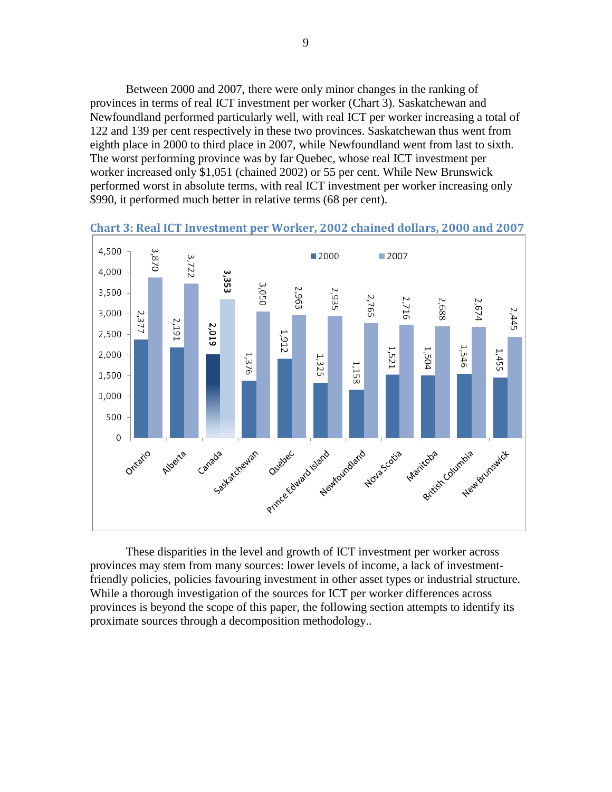Between 2000 and 2007, there were only minor changes in the ranking of provinces in terms of real ICT investment per worker [\(Chart 3\)](#page-14-0). Saskatchewan and Newfoundland performed particularly well, with real ICT per worker increasing a total of 122 and 139 per cent respectively in these two provinces. Saskatchewan thus went from eighth place in 2000 to third place in 2007, while Newfoundland went from last to sixth. The worst performing province was by far Quebec, whose real ICT investment per worker increased only \$1,051 (chained 2002) or 55 per cent. While New Brunswick performed worst in absolute terms, with real ICT investment per worker increasing only \$990, it performed much better in relative terms (68 per cent).



<span id="page-14-0"></span>**Chart 3: Real ICT Investment per Worker, 2002 chained dollars, 2000 and 2007**

These disparities in the level and growth of ICT investment per worker across provinces may stem from many sources: lower levels of income, a lack of investmentfriendly policies, policies favouring investment in other asset types or industrial structure. While a thorough investigation of the sources for ICT per worker differences across provinces is beyond the scope of this paper, the following section attempts to identify its proximate sources through a decomposition methodology..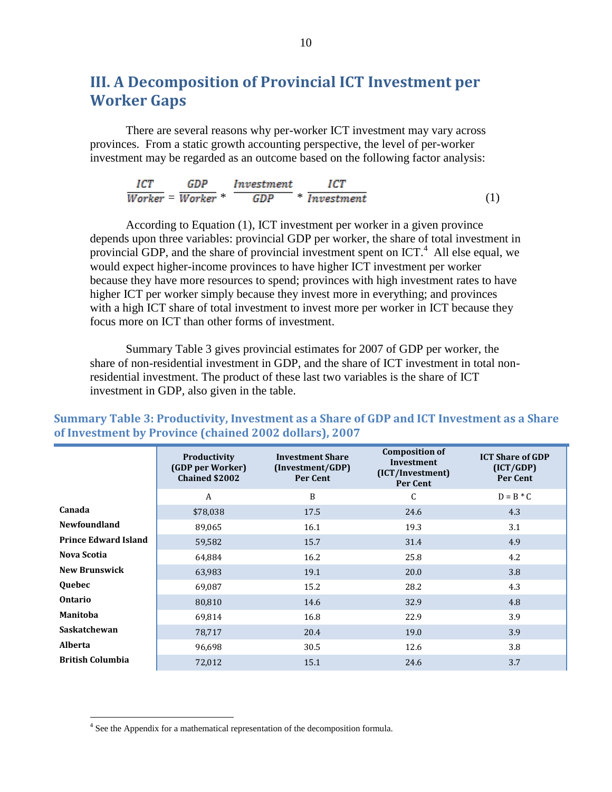## <span id="page-15-0"></span>**III. A Decomposition of Provincial ICT Investment per Worker Gaps**

There are several reasons why per-worker ICT investment may vary across provinces. From a static growth accounting perspective, the level of per-worker investment may be regarded as an outcome based on the following factor analysis:

| ICT | GDP Investment                                                                   |  |  |
|-----|----------------------------------------------------------------------------------|--|--|
|     | $\overline{Worker} = \overline{Worker} * \overline{GDP} * \overline{Investment}$ |  |  |

According to Equation (1), ICT investment per worker in a given province depends upon three variables: provincial GDP per worker, the share of total investment in provincial GDP, and the share of provincial investment spent on  $\text{ICT.}^4$ . All else equal, we would expect higher-income provinces to have higher ICT investment per worker because they have more resources to spend; provinces with high investment rates to have higher ICT per worker simply because they invest more in everything; and provinces with a high ICT share of total investment to invest more per worker in ICT because they focus more on ICT than other forms of investment.

Summary Table 3 gives provincial estimates for 2007 of GDP per worker, the share of non-residential investment in GDP, and the share of ICT investment in total nonresidential investment. The product of these last two variables is the share of ICT investment in GDP, also given in the table.

|                             | Productivity<br>(GDP per Worker)<br><b>Chained \$2002</b> | <b>Investment Share</b><br>(Investment/GDP)<br><b>Per Cent</b> | <b>Composition of</b><br>Investment<br>(ICT/Investment)<br>Per Cent | <b>ICT Share of GDP</b><br>(ICT/GDP)<br>Per Cent |
|-----------------------------|-----------------------------------------------------------|----------------------------------------------------------------|---------------------------------------------------------------------|--------------------------------------------------|
|                             | A                                                         | B                                                              | C                                                                   | $D = B * C$                                      |
| Canada                      | \$78,038                                                  | 17.5                                                           | 24.6                                                                | 4.3                                              |
| <b>Newfoundland</b>         | 89,065                                                    | 16.1                                                           | 19.3                                                                | 3.1                                              |
| <b>Prince Edward Island</b> | 59,582                                                    | 15.7                                                           | 31.4                                                                | 4.9                                              |
| Nova Scotia                 | 64,884                                                    | 16.2                                                           | 25.8                                                                | 4.2                                              |
| <b>New Brunswick</b>        | 63,983                                                    | 19.1                                                           | 20.0                                                                | 3.8                                              |
| Quebec                      | 69,087                                                    | 15.2                                                           | 28.2                                                                | 4.3                                              |
| <b>Ontario</b>              | 80,810                                                    | 14.6                                                           | 32.9                                                                | 4.8                                              |
| <b>Manitoba</b>             | 69,814                                                    | 16.8                                                           | 22.9                                                                | 3.9                                              |
| Saskatchewan                | 78,717                                                    | 20.4                                                           | 19.0                                                                | 3.9                                              |
| <b>Alberta</b>              | 96,698                                                    | 30.5                                                           | 12.6                                                                | 3.8                                              |
| <b>British Columbia</b>     | 72,012                                                    | 15.1                                                           | 24.6                                                                | 3.7                                              |

<span id="page-15-1"></span>**Summary Table 3: Productivity, Investment as a Share of GDP and ICT Investment as a Share of Investment by Province (chained 2002 dollars), 2007**

 $\overline{a}$ 

<sup>&</sup>lt;sup>4</sup> See the Appendix for a mathematical representation of the decomposition formula.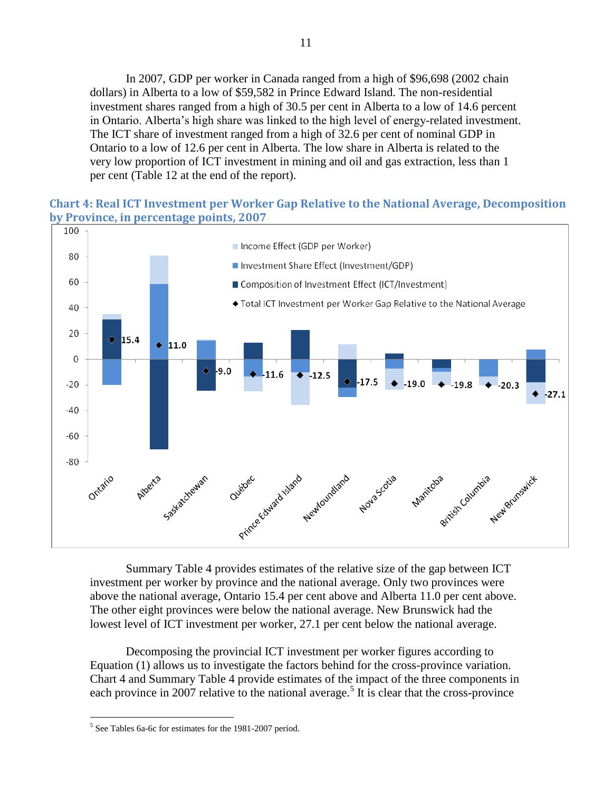In 2007, GDP per worker in Canada ranged from a high of \$96,698 (2002 chain dollars) in Alberta to a low of \$59,582 in Prince Edward Island. The non-residential investment shares ranged from a high of 30.5 per cent in Alberta to a low of 14.6 percent in Ontario. Alberta"s high share was linked to the high level of energy-related investment. The ICT share of investment ranged from a high of 32.6 per cent of nominal GDP in Ontario to a low of 12.6 per cent in Alberta. The low share in Alberta is related to the very low proportion of ICT investment in mining and oil and gas extraction, less than 1 per cent (Table 12 at the end of the report).

#### <span id="page-16-0"></span>**Chart 4: Real ICT Investment per Worker Gap Relative to the National Average, Decomposition by Province, in percentage points, 2007**



[Summary Table 4](#page-17-0) provides estimates of the relative size of the gap between ICT investment per worker by province and the national average. Only two provinces were above the national average, Ontario 15.4 per cent above and Alberta 11.0 per cent above. The other eight provinces were below the national average. New Brunswick had the lowest level of ICT investment per worker, 27.1 per cent below the national average.

Decomposing the provincial ICT investment per worker figures according to Equation (1) allows us to investigate the factors behind for the cross-province variation. [Chart 4](#page-16-0) and Summary Table 4 provide estimates of the impact of the three components in each province in 2007 relative to the national average.<sup>5</sup> It is clear that the cross-province

 $\overline{a}$ <sup>5</sup> See Tables 6a-6c for estimates for the 1981-2007 period.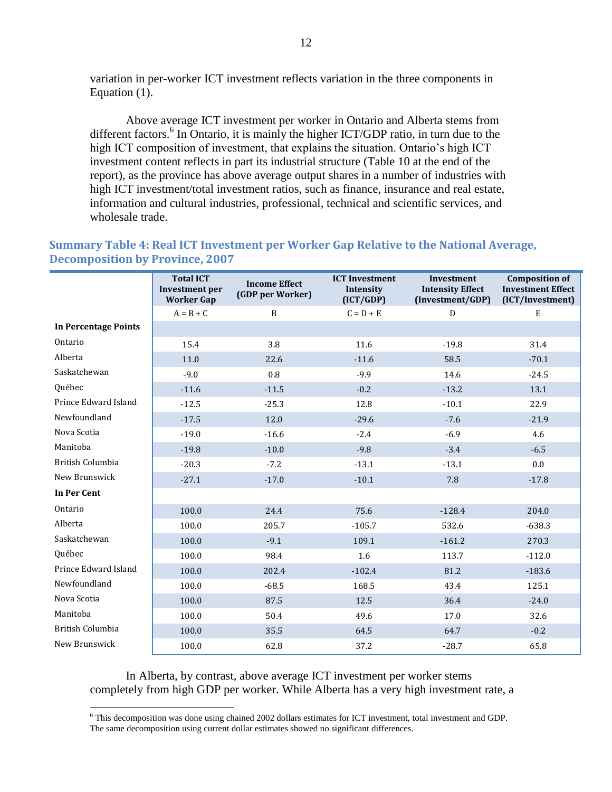variation in per-worker ICT investment reflects variation in the three components in Equation (1).

Above average ICT investment per worker in Ontario and Alberta stems from different factors.<sup>6</sup> In Ontario, it is mainly the higher ICT/GDP ratio, in turn due to the high ICT composition of investment, that explains the situation. Ontario"s high ICT investment content reflects in part its industrial structure (Table 10 at the end of the report), as the province has above average output shares in a number of industries with high ICT investment/total investment ratios, such as finance, insurance and real estate, information and cultural industries, professional, technical and scientific services, and wholesale trade.

#### <span id="page-17-0"></span>**Summary Table 4: Real ICT Investment per Worker Gap Relative to the National Average, Decomposition by Province, 2007**

|                             | <b>Total ICT</b><br><b>Investment</b> per<br><b>Worker Gap</b> | <b>Income Effect</b><br>(GDP per Worker) | <b>ICT Investment</b><br>Intensity<br>(ICT/GDP) | <b>Investment</b><br><b>Intensity Effect</b><br>(Investment/GDP) | <b>Composition of</b><br><b>Investment Effect</b><br>(ICT/Investment) |
|-----------------------------|----------------------------------------------------------------|------------------------------------------|-------------------------------------------------|------------------------------------------------------------------|-----------------------------------------------------------------------|
|                             | $A = B + C$                                                    | $\, {\bf B}$                             | $C = D + E$                                     | D                                                                | E                                                                     |
| <b>In Percentage Points</b> |                                                                |                                          |                                                 |                                                                  |                                                                       |
| Ontario                     | 15.4                                                           | 3.8                                      | 11.6                                            | $-19.8$                                                          | 31.4                                                                  |
| Alberta                     | 11.0                                                           | 22.6                                     | $-11.6$                                         | 58.5                                                             | $-70.1$                                                               |
| Saskatchewan                | $-9.0$                                                         | 0.8                                      | $-9.9$                                          | 14.6                                                             | $-24.5$                                                               |
| Québec                      | $-11.6$                                                        | $-11.5$                                  | $-0.2$                                          | $-13.2$                                                          | 13.1                                                                  |
| Prince Edward Island        | $-12.5$                                                        | $-25.3$                                  | 12.8                                            | $-10.1$                                                          | 22.9                                                                  |
| Newfoundland                | $-17.5$                                                        | 12.0                                     | $-29.6$                                         | $-7.6$                                                           | $-21.9$                                                               |
| Nova Scotia                 | $-19.0$                                                        | $-16.6$                                  | $-2.4$                                          | $-6.9$                                                           | 4.6                                                                   |
| Manitoba                    | $-19.8$                                                        | $-10.0$                                  | $-9.8$                                          | $-3.4$                                                           | $-6.5$                                                                |
| British Columbia            | $-20.3$                                                        | $-7.2$                                   | $-13.1$                                         | $-13.1$                                                          | 0.0                                                                   |
| New Brunswick               | $-27.1$                                                        | $-17.0$                                  | $-10.1$                                         | 7.8                                                              | $-17.8$                                                               |
| In Per Cent                 |                                                                |                                          |                                                 |                                                                  |                                                                       |
| Ontario                     | 100.0                                                          | 24.4                                     | 75.6                                            | $-128.4$                                                         | 204.0                                                                 |
| Alberta                     | 100.0                                                          | 205.7                                    | $-105.7$                                        | 532.6                                                            | $-638.3$                                                              |
| Saskatchewan                | 100.0                                                          | $-9.1$                                   | 109.1                                           | $-161.2$                                                         | 270.3                                                                 |
| Québec                      | 100.0                                                          | 98.4                                     | 1.6                                             | 113.7                                                            | $-112.0$                                                              |
| Prince Edward Island        | 100.0                                                          | 202.4                                    | $-102.4$                                        | 81.2                                                             | $-183.6$                                                              |
| Newfoundland                | 100.0                                                          | $-68.5$                                  | 168.5                                           | 43.4                                                             | 125.1                                                                 |
| Nova Scotia                 | 100.0                                                          | 87.5                                     | 12.5                                            | 36.4                                                             | $-24.0$                                                               |
| Manitoba                    | 100.0                                                          | 50.4                                     | 49.6                                            | 17.0                                                             | 32.6                                                                  |
| <b>British Columbia</b>     | 100.0                                                          | 35.5                                     | 64.5                                            | 64.7                                                             | $-0.2$                                                                |
| New Brunswick               | 100.0                                                          | 62.8                                     | 37.2                                            | $-28.7$                                                          | 65.8                                                                  |

In Alberta, by contrast, above average ICT investment per worker stems completely from high GDP per worker. While Alberta has a very high investment rate, a

 $\overline{a}$ 

 $6$  This decomposition was done using chained 2002 dollars estimates for ICT investment, total investment and GDP.

The same decomposition using current dollar estimates showed no significant differences.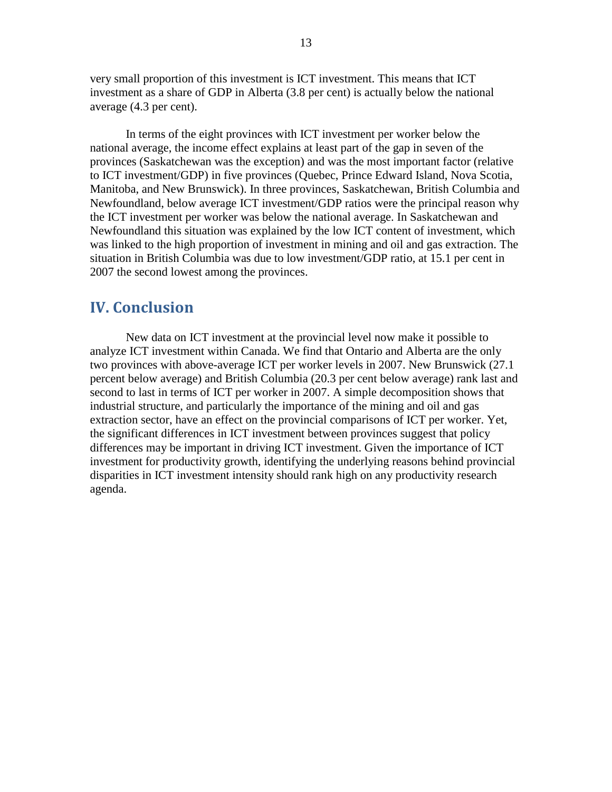very small proportion of this investment is ICT investment. This means that ICT investment as a share of GDP in Alberta (3.8 per cent) is actually below the national average (4.3 per cent).

In terms of the eight provinces with ICT investment per worker below the national average, the income effect explains at least part of the gap in seven of the provinces (Saskatchewan was the exception) and was the most important factor (relative to ICT investment/GDP) in five provinces (Quebec, Prince Edward Island, Nova Scotia, Manitoba, and New Brunswick). In three provinces, Saskatchewan, British Columbia and Newfoundland, below average ICT investment/GDP ratios were the principal reason why the ICT investment per worker was below the national average. In Saskatchewan and Newfoundland this situation was explained by the low ICT content of investment, which was linked to the high proportion of investment in mining and oil and gas extraction. The situation in British Columbia was due to low investment/GDP ratio, at 15.1 per cent in 2007 the second lowest among the provinces.

#### <span id="page-18-0"></span>**IV. Conclusion**

New data on ICT investment at the provincial level now make it possible to analyze ICT investment within Canada. We find that Ontario and Alberta are the only two provinces with above-average ICT per worker levels in 2007. New Brunswick (27.1 percent below average) and British Columbia (20.3 per cent below average) rank last and second to last in terms of ICT per worker in 2007. A simple decomposition shows that industrial structure, and particularly the importance of the mining and oil and gas extraction sector, have an effect on the provincial comparisons of ICT per worker. Yet, the significant differences in ICT investment between provinces suggest that policy differences may be important in driving ICT investment. Given the importance of ICT investment for productivity growth, identifying the underlying reasons behind provincial disparities in ICT investment intensity should rank high on any productivity research agenda.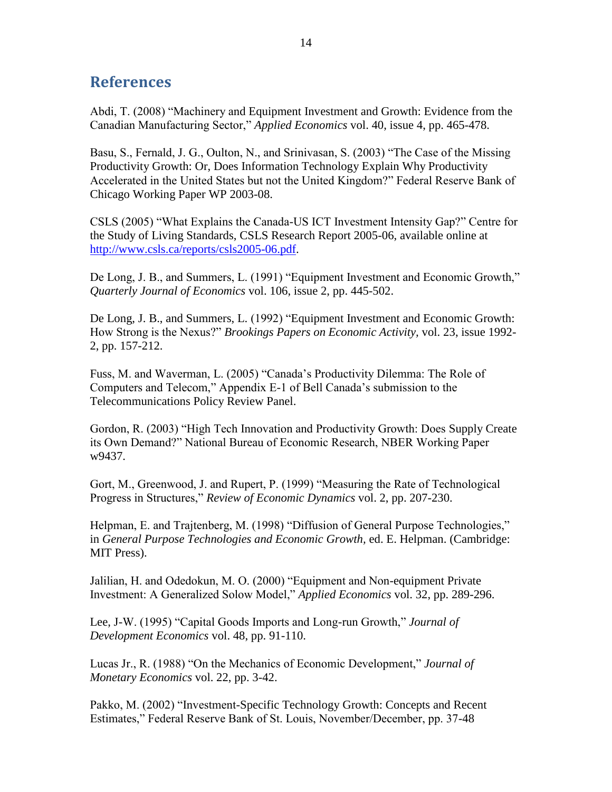### <span id="page-19-0"></span>**References**

Abdi, T. (2008) "Machinery and Equipment Investment and Growth: Evidence from the Canadian Manufacturing Sector," *Applied Economics* vol. 40, issue 4, pp. 465-478.

Basu, S., Fernald, J. G., Oulton, N., and Srinivasan, S. (2003) "The Case of the Missing Productivity Growth: Or, Does Information Technology Explain Why Productivity Accelerated in the United States but not the United Kingdom?" Federal Reserve Bank of Chicago Working Paper WP 2003-08.

CSLS (2005) "What Explains the Canada-US ICT Investment Intensity Gap?" Centre for the Study of Living Standards, CSLS Research Report 2005-06, available online at [http://www.csls.ca/reports/csls2005-06.pdf.](http://www.csls.ca/reports/csls2005-06.pdf)

De Long, J. B., and Summers, L. (1991) "Equipment Investment and Economic Growth," *Quarterly Journal of Economics* vol. 106, issue 2, pp. 445-502.

De Long, J. B., and Summers, L. (1992) "Equipment Investment and Economic Growth: How Strong is the Nexus?" *Brookings Papers on Economic Activity,* vol. 23, issue 1992- 2, pp. 157-212.

Fuss, M. and Waverman, L. (2005) "Canada"s Productivity Dilemma: The Role of Computers and Telecom," Appendix E-1 of Bell Canada"s submission to the Telecommunications Policy Review Panel.

Gordon, R. (2003) "High Tech Innovation and Productivity Growth: Does Supply Create its Own Demand?" National Bureau of Economic Research, NBER Working Paper w9437.

Gort, M., Greenwood, J. and Rupert, P. (1999) "Measuring the Rate of Technological Progress in Structures," *Review of Economic Dynamics* vol. 2, pp. 207-230.

Helpman, E. and Trajtenberg, M. (1998) "Diffusion of General Purpose Technologies," in *General Purpose Technologies and Economic Growth,* ed. E. Helpman. (Cambridge: MIT Press).

Jalilian, H. and Odedokun, M. O. (2000) "Equipment and Non-equipment Private Investment: A Generalized Solow Model," *Applied Economics* vol. 32, pp. 289-296.

Lee, J-W. (1995) "Capital Goods Imports and Long-run Growth," *Journal of Development Economics* vol. 48, pp. 91-110.

Lucas Jr., R. (1988) "On the Mechanics of Economic Development," *Journal of Monetary Economics* vol. 22, pp. 3-42.

Pakko, M. (2002) "Investment-Specific Technology Growth: Concepts and Recent Estimates," Federal Reserve Bank of St. Louis, November/December, pp. 37-48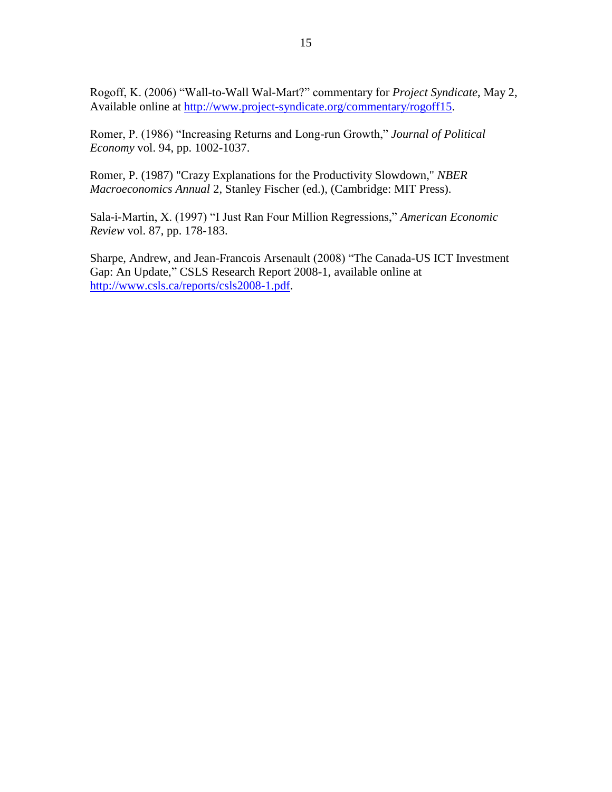Rogoff, K. (2006) "Wall-to-Wall Wal-Mart?" commentary for *Project Syndicate*, May 2, Available online at [http://www.project-syndicate.org/commentary/rogoff15.](http://www.project-syndicate.org/commentary/rogoff15)

Romer, P. (1986) "Increasing Returns and Long-run Growth," *Journal of Political Economy* vol. 94, pp. 1002-1037.

Romer, P. (1987) "Crazy Explanations for the Productivity Slowdown," *NBER Macroeconomics Annual* 2, Stanley Fischer (ed.), (Cambridge: MIT Press).

Sala-i-Martin, X. (1997) "I Just Ran Four Million Regressions," *American Economic Review* vol. 87, pp. 178-183.

Sharpe, Andrew, and Jean-Francois Arsenault (2008) "The Canada-US ICT Investment Gap: An Update," CSLS Research Report 2008-1, available online at [http://www.csls.ca/reports/csls2008-1.pdf.](http://www.csls.ca/reports/csls2008-1.pdf)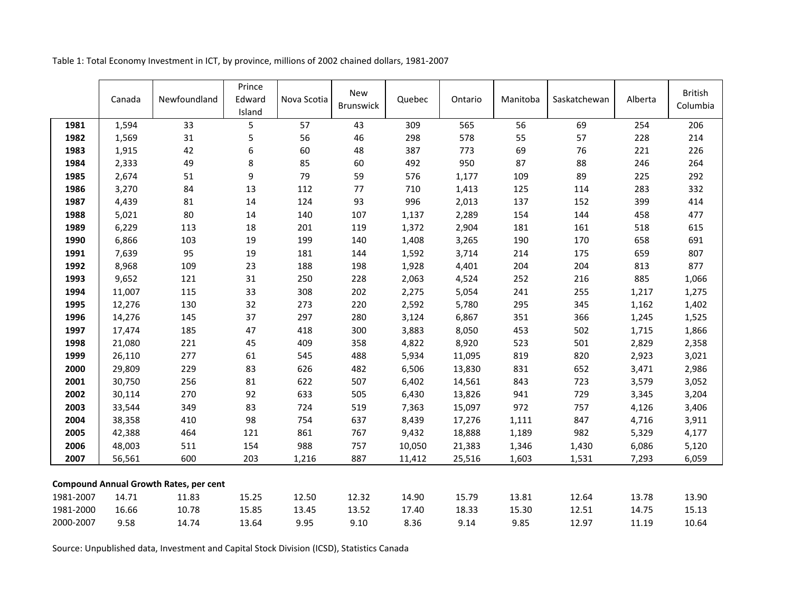|           | Canada | Newfoundland                                  | Prince<br>Edward<br>Island | Nova Scotia | <b>New</b><br><b>Brunswick</b> | Quebec | Ontario | Manitoba | Saskatchewan | Alberta | <b>British</b><br>Columbia |
|-----------|--------|-----------------------------------------------|----------------------------|-------------|--------------------------------|--------|---------|----------|--------------|---------|----------------------------|
| 1981      | 1,594  | 33                                            | 5                          | 57          | 43                             | 309    | 565     | 56       | 69           | 254     | 206                        |
| 1982      | 1,569  | 31                                            | 5                          | 56          | 46                             | 298    | 578     | 55       | 57           | 228     | 214                        |
| 1983      | 1,915  | 42                                            | $\boldsymbol{6}$           | 60          | 48                             | 387    | 773     | 69       | 76           | 221     | 226                        |
| 1984      | 2,333  | 49                                            | 8                          | 85          | 60                             | 492    | 950     | 87       | 88           | 246     | 264                        |
| 1985      | 2,674  | 51                                            | $\boldsymbol{9}$           | 79          | 59                             | 576    | 1,177   | 109      | 89           | 225     | 292                        |
| 1986      | 3,270  | 84                                            | 13                         | 112         | 77                             | 710    | 1,413   | 125      | 114          | 283     | 332                        |
| 1987      | 4,439  | 81                                            | 14                         | 124         | 93                             | 996    | 2,013   | 137      | 152          | 399     | 414                        |
| 1988      | 5,021  | 80                                            | 14                         | 140         | 107                            | 1,137  | 2,289   | 154      | 144          | 458     | 477                        |
| 1989      | 6,229  | 113                                           | 18                         | 201         | 119                            | 1,372  | 2,904   | 181      | 161          | 518     | 615                        |
| 1990      | 6,866  | 103                                           | 19                         | 199         | 140                            | 1,408  | 3,265   | 190      | 170          | 658     | 691                        |
| 1991      | 7,639  | 95                                            | 19                         | 181         | 144                            | 1,592  | 3,714   | 214      | 175          | 659     | 807                        |
| 1992      | 8,968  | 109                                           | 23                         | 188         | 198                            | 1,928  | 4,401   | 204      | 204          | 813     | 877                        |
| 1993      | 9,652  | 121                                           | 31                         | 250         | 228                            | 2,063  | 4,524   | 252      | 216          | 885     | 1,066                      |
| 1994      | 11,007 | 115                                           | 33                         | 308         | 202                            | 2,275  | 5,054   | 241      | 255          | 1,217   | 1,275                      |
| 1995      | 12,276 | 130                                           | 32                         | 273         | 220                            | 2,592  | 5,780   | 295      | 345          | 1,162   | 1,402                      |
| 1996      | 14,276 | 145                                           | 37                         | 297         | 280                            | 3,124  | 6,867   | 351      | 366          | 1,245   | 1,525                      |
| 1997      | 17,474 | 185                                           | 47                         | 418         | 300                            | 3,883  | 8,050   | 453      | 502          | 1,715   | 1,866                      |
| 1998      | 21,080 | 221                                           | 45                         | 409         | 358                            | 4,822  | 8,920   | 523      | 501          | 2,829   | 2,358                      |
| 1999      | 26,110 | 277                                           | 61                         | 545         | 488                            | 5,934  | 11,095  | 819      | 820          | 2,923   | 3,021                      |
| 2000      | 29,809 | 229                                           | 83                         | 626         | 482                            | 6,506  | 13,830  | 831      | 652          | 3,471   | 2,986                      |
| 2001      | 30,750 | 256                                           | 81                         | 622         | 507                            | 6,402  | 14,561  | 843      | 723          | 3,579   | 3,052                      |
| 2002      | 30,114 | 270                                           | 92                         | 633         | 505                            | 6,430  | 13,826  | 941      | 729          | 3,345   | 3,204                      |
| 2003      | 33,544 | 349                                           | 83                         | 724         | 519                            | 7,363  | 15,097  | 972      | 757          | 4,126   | 3,406                      |
| 2004      | 38,358 | 410                                           | 98                         | 754         | 637                            | 8,439  | 17,276  | 1,111    | 847          | 4,716   | 3,911                      |
| 2005      | 42,388 | 464                                           | 121                        | 861         | 767                            | 9,432  | 18,888  | 1,189    | 982          | 5,329   | 4,177                      |
| 2006      | 48,003 | 511                                           | 154                        | 988         | 757                            | 10,050 | 21,383  | 1,346    | 1,430        | 6,086   | 5,120                      |
| 2007      | 56,561 | 600                                           | 203                        | 1,216       | 887                            | 11,412 | 25,516  | 1,603    | 1,531        | 7,293   | 6,059                      |
|           |        | <b>Compound Annual Growth Rates, per cent</b> |                            |             |                                |        |         |          |              |         |                            |
| 1981-2007 | 14.71  | 11.83                                         | 15.25                      | 12.50       | 12.32                          | 14.90  | 15.79   | 13.81    | 12.64        | 13.78   | 13.90                      |
| 1981-2000 | 16.66  | 10.78                                         | 15.85                      | 13.45       | 13.52                          | 17.40  | 18.33   | 15.30    | 12.51        | 14.75   | 15.13                      |
| 2000-2007 | 9.58   | 14.74                                         | 13.64                      | 9.95        | 9.10                           | 8.36   | 9.14    | 9.85     | 12.97        | 11.19   | 10.64                      |

Table 1: Total Economy Investment in ICT, by province, millions of 2002 chained dollars, 1981-2007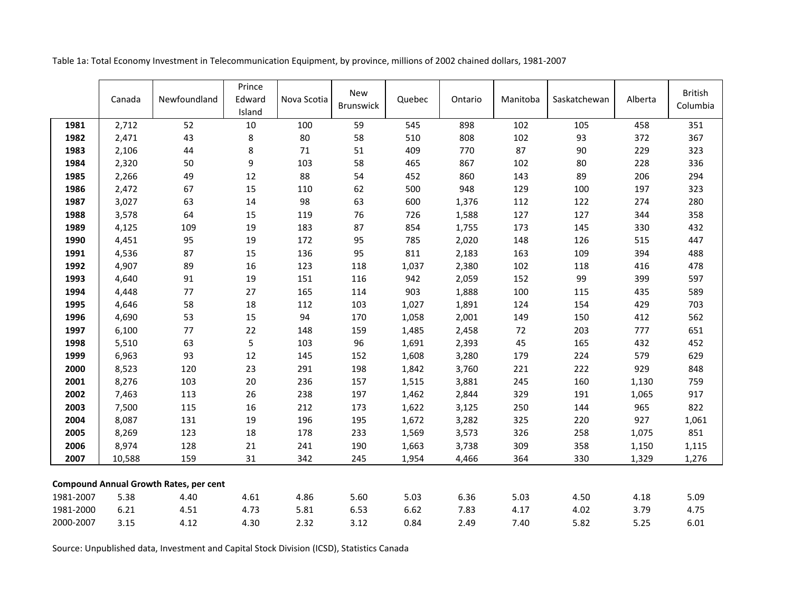|           | Canada | Newfoundland                                  | Prince<br>Edward<br>Island | Nova Scotia | <b>New</b><br><b>Brunswick</b> | Quebec | Ontario | Manitoba | Saskatchewan | Alberta | <b>British</b><br>Columbia |
|-----------|--------|-----------------------------------------------|----------------------------|-------------|--------------------------------|--------|---------|----------|--------------|---------|----------------------------|
| 1981      | 2,712  | 52                                            | 10                         | 100         | 59                             | 545    | 898     | 102      | 105          | 458     | 351                        |
| 1982      | 2,471  | 43                                            | 8                          | 80          | 58                             | 510    | 808     | 102      | 93           | 372     | 367                        |
| 1983      | 2,106  | 44                                            | 8                          | 71          | 51                             | 409    | 770     | 87       | 90           | 229     | 323                        |
| 1984      | 2,320  | 50                                            | 9                          | 103         | 58                             | 465    | 867     | 102      | 80           | 228     | 336                        |
| 1985      | 2,266  | 49                                            | 12                         | 88          | 54                             | 452    | 860     | 143      | 89           | 206     | 294                        |
| 1986      | 2,472  | 67                                            | 15                         | 110         | 62                             | 500    | 948     | 129      | 100          | 197     | 323                        |
| 1987      | 3,027  | 63                                            | 14                         | 98          | 63                             | 600    | 1,376   | 112      | 122          | 274     | 280                        |
| 1988      | 3,578  | 64                                            | 15                         | 119         | 76                             | 726    | 1,588   | 127      | 127          | 344     | 358                        |
| 1989      | 4,125  | 109                                           | 19                         | 183         | 87                             | 854    | 1,755   | 173      | 145          | 330     | 432                        |
| 1990      | 4,451  | 95                                            | 19                         | 172         | 95                             | 785    | 2,020   | 148      | 126          | 515     | 447                        |
| 1991      | 4,536  | 87                                            | 15                         | 136         | 95                             | 811    | 2,183   | 163      | 109          | 394     | 488                        |
| 1992      | 4,907  | 89                                            | 16                         | 123         | 118                            | 1,037  | 2,380   | 102      | 118          | 416     | 478                        |
| 1993      | 4,640  | 91                                            | 19                         | 151         | 116                            | 942    | 2,059   | 152      | 99           | 399     | 597                        |
| 1994      | 4,448  | 77                                            | 27                         | 165         | 114                            | 903    | 1,888   | 100      | 115          | 435     | 589                        |
| 1995      | 4,646  | 58                                            | 18                         | 112         | 103                            | 1,027  | 1,891   | 124      | 154          | 429     | 703                        |
| 1996      | 4,690  | 53                                            | 15                         | 94          | 170                            | 1,058  | 2,001   | 149      | 150          | 412     | 562                        |
| 1997      | 6,100  | 77                                            | 22                         | 148         | 159                            | 1,485  | 2,458   | 72       | 203          | 777     | 651                        |
| 1998      | 5,510  | 63                                            | 5                          | 103         | 96                             | 1,691  | 2,393   | 45       | 165          | 432     | 452                        |
| 1999      | 6,963  | 93                                            | $12\,$                     | 145         | 152                            | 1,608  | 3,280   | 179      | 224          | 579     | 629                        |
| 2000      | 8,523  | 120                                           | 23                         | 291         | 198                            | 1,842  | 3,760   | 221      | 222          | 929     | 848                        |
| 2001      | 8,276  | 103                                           | 20                         | 236         | 157                            | 1,515  | 3,881   | 245      | 160          | 1,130   | 759                        |
| 2002      | 7,463  | 113                                           | 26                         | 238         | 197                            | 1,462  | 2,844   | 329      | 191          | 1,065   | 917                        |
| 2003      | 7,500  | 115                                           | 16                         | 212         | 173                            | 1,622  | 3,125   | 250      | 144          | 965     | 822                        |
| 2004      | 8,087  | 131                                           | 19                         | 196         | 195                            | 1,672  | 3,282   | 325      | 220          | 927     | 1,061                      |
| 2005      | 8,269  | 123                                           | 18                         | 178         | 233                            | 1,569  | 3,573   | 326      | 258          | 1,075   | 851                        |
| 2006      | 8,974  | 128                                           | 21                         | 241         | 190                            | 1,663  | 3,738   | 309      | 358          | 1,150   | 1,115                      |
| 2007      | 10,588 | 159                                           | 31                         | 342         | 245                            | 1,954  | 4,466   | 364      | 330          | 1,329   | 1,276                      |
|           |        | <b>Compound Annual Growth Rates, per cent</b> |                            |             |                                |        |         |          |              |         |                            |
| 1981-2007 | 5.38   | 4.40                                          | 4.61                       | 4.86        | 5.60                           | 5.03   | 6.36    | 5.03     | 4.50         | 4.18    | 5.09                       |
| 1981-2000 | 6.21   | 4.51                                          | 4.73                       | 5.81        | 6.53                           | 6.62   | 7.83    | 4.17     | 4.02         | 3.79    | 4.75                       |
| 2000-2007 | 3.15   | 4.12                                          | 4.30                       | 2.32        | 3.12                           | 0.84   | 2.49    | 7.40     | 5.82         | 5.25    | 6.01                       |

Table 1a: Total Economy Investment in Telecommunication Equipment, by province, millions of 2002 chained dollars, 1981-2007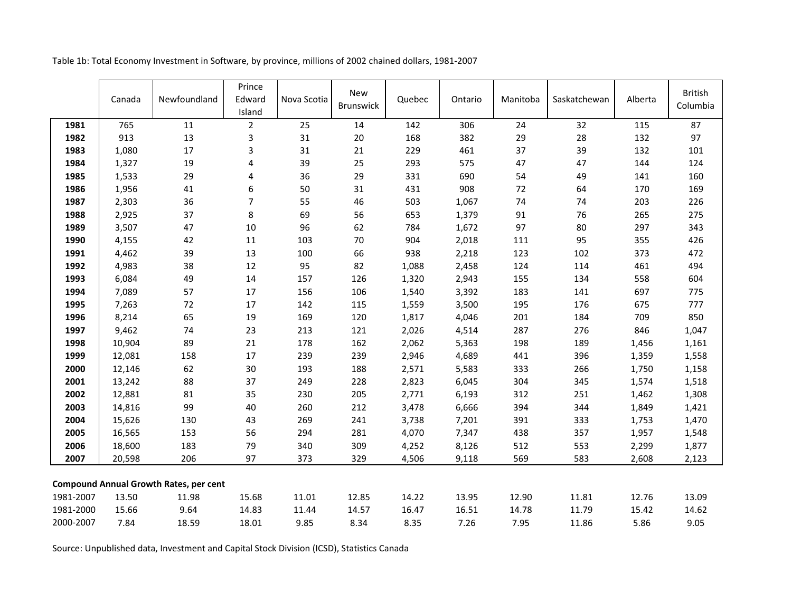| Table 1b: Total Economy Investment in Software, by province, millions of 2002 chained dollars, 1981-2007 |  |
|----------------------------------------------------------------------------------------------------------|--|
|----------------------------------------------------------------------------------------------------------|--|

|           | Canada | Newfoundland                                  | Prince<br>Edward<br>Island | Nova Scotia | <b>New</b><br>Brunswick | Quebec | Ontario | Manitoba | Saskatchewan | Alberta | <b>British</b><br>Columbia |
|-----------|--------|-----------------------------------------------|----------------------------|-------------|-------------------------|--------|---------|----------|--------------|---------|----------------------------|
| 1981      | 765    | 11                                            | $\overline{2}$             | 25          | 14                      | 142    | 306     | 24       | 32           | 115     | 87                         |
| 1982      | 913    | 13                                            | $\mathsf 3$                | 31          | 20                      | 168    | 382     | 29       | 28           | 132     | 97                         |
| 1983      | 1,080  | 17                                            | 3                          | 31          | 21                      | 229    | 461     | 37       | 39           | 132     | 101                        |
| 1984      | 1,327  | 19                                            | $\overline{\mathbf{r}}$    | 39          | 25                      | 293    | 575     | 47       | 47           | 144     | 124                        |
| 1985      | 1,533  | 29                                            | 4                          | 36          | 29                      | 331    | 690     | 54       | 49           | 141     | 160                        |
| 1986      | 1,956  | 41                                            | 6                          | 50          | 31                      | 431    | 908     | 72       | 64           | 170     | 169                        |
| 1987      | 2,303  | 36                                            | $\overline{7}$             | 55          | 46                      | 503    | 1,067   | 74       | 74           | 203     | 226                        |
| 1988      | 2,925  | 37                                            | $\bf 8$                    | 69          | 56                      | 653    | 1,379   | 91       | 76           | 265     | 275                        |
| 1989      | 3,507  | 47                                            | 10                         | 96          | 62                      | 784    | 1,672   | 97       | 80           | 297     | 343                        |
| 1990      | 4,155  | 42                                            | 11                         | 103         | 70                      | 904    | 2,018   | 111      | 95           | 355     | 426                        |
| 1991      | 4,462  | 39                                            | 13                         | 100         | 66                      | 938    | 2,218   | 123      | 102          | 373     | 472                        |
| 1992      | 4,983  | 38                                            | 12                         | 95          | 82                      | 1,088  | 2,458   | 124      | 114          | 461     | 494                        |
| 1993      | 6,084  | 49                                            | 14                         | 157         | 126                     | 1,320  | 2,943   | 155      | 134          | 558     | 604                        |
| 1994      | 7,089  | 57                                            | 17                         | 156         | 106                     | 1,540  | 3,392   | 183      | 141          | 697     | 775                        |
| 1995      | 7,263  | 72                                            | 17                         | 142         | 115                     | 1,559  | 3,500   | 195      | 176          | 675     | 777                        |
| 1996      | 8,214  | 65                                            | 19                         | 169         | 120                     | 1,817  | 4,046   | 201      | 184          | 709     | 850                        |
| 1997      | 9,462  | 74                                            | 23                         | 213         | 121                     | 2,026  | 4,514   | 287      | 276          | 846     | 1,047                      |
| 1998      | 10,904 | 89                                            | 21                         | 178         | 162                     | 2,062  | 5,363   | 198      | 189          | 1,456   | 1,161                      |
| 1999      | 12,081 | 158                                           | 17                         | 239         | 239                     | 2,946  | 4,689   | 441      | 396          | 1,359   | 1,558                      |
| 2000      | 12,146 | 62                                            | 30                         | 193         | 188                     | 2,571  | 5,583   | 333      | 266          | 1,750   | 1,158                      |
| 2001      | 13,242 | 88                                            | 37                         | 249         | 228                     | 2,823  | 6,045   | 304      | 345          | 1,574   | 1,518                      |
| 2002      | 12,881 | 81                                            | 35                         | 230         | 205                     | 2,771  | 6,193   | 312      | 251          | 1,462   | 1,308                      |
| 2003      | 14,816 | 99                                            | 40                         | 260         | 212                     | 3,478  | 6,666   | 394      | 344          | 1,849   | 1,421                      |
| 2004      | 15,626 | 130                                           | 43                         | 269         | 241                     | 3,738  | 7,201   | 391      | 333          | 1,753   | 1,470                      |
| 2005      | 16,565 | 153                                           | 56                         | 294         | 281                     | 4,070  | 7,347   | 438      | 357          | 1,957   | 1,548                      |
| 2006      | 18,600 | 183                                           | 79                         | 340         | 309                     | 4,252  | 8,126   | 512      | 553          | 2,299   | 1,877                      |
| 2007      | 20,598 | 206                                           | 97                         | 373         | 329                     | 4,506  | 9,118   | 569      | 583          | 2,608   | 2,123                      |
|           |        | <b>Compound Annual Growth Rates, per cent</b> |                            |             |                         |        |         |          |              |         |                            |
| 1981-2007 | 13.50  | 11.98                                         | 15.68                      | 11.01       | 12.85                   | 14.22  | 13.95   | 12.90    | 11.81        | 12.76   | 13.09                      |
| 1981-2000 | 15.66  | 9.64                                          | 14.83                      | 11.44       | 14.57                   | 16.47  | 16.51   | 14.78    | 11.79        | 15.42   | 14.62                      |
| 2000-2007 | 7.84   | 18.59                                         | 18.01                      | 9.85        | 8.34                    | 8.35   | 7.26    | 7.95     | 11.86        | 5.86    | 9.05                       |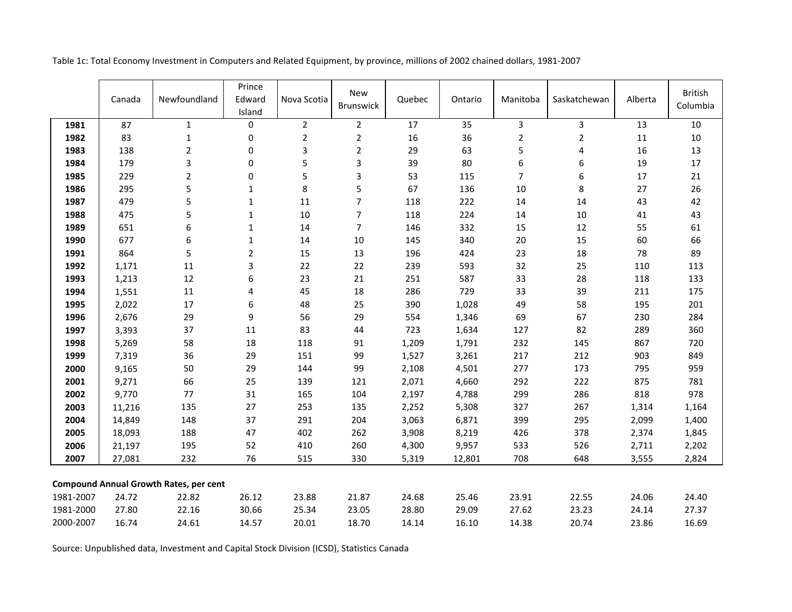|           | Canada | Newfoundland                                  | Prince<br>Edward<br>Island | Nova Scotia    | <b>New</b><br>Brunswick | Quebec | Ontario | Manitoba                | Saskatchewan   | Alberta | <b>British</b><br>Columbia |
|-----------|--------|-----------------------------------------------|----------------------------|----------------|-------------------------|--------|---------|-------------------------|----------------|---------|----------------------------|
| 1981      | 87     | $\mathbf{1}$                                  | $\boldsymbol{0}$           | $\overline{2}$ | $\overline{2}$          | 17     | 35      | $\overline{3}$          | $\overline{3}$ | 13      | $10\,$                     |
| 1982      | 83     | $\mathbf 1$                                   | $\boldsymbol{0}$           | $\overline{2}$ | $\overline{2}$          | 16     | 36      | $\overline{2}$          | $\overline{2}$ | 11      | 10                         |
| 1983      | 138    | $\overline{2}$                                | $\pmb{0}$                  | 3              | $\overline{2}$          | 29     | 63      | 5                       | 4              | 16      | 13                         |
| 1984      | 179    | 3                                             | $\pmb{0}$                  | $\mathsf S$    | $\mathsf 3$             | 39     | 80      | 6                       | 6              | 19      | $17\,$                     |
| 1985      | 229    | $\overline{2}$                                | $\pmb{0}$                  | 5              | 3                       | 53     | 115     | $\overline{\mathbf{z}}$ | 6              | 17      | 21                         |
| 1986      | 295    | 5                                             | $\mathbf{1}$               | $\,8\,$        | 5                       | 67     | 136     | 10                      | 8              | 27      | 26                         |
| 1987      | 479    | 5                                             | $\mathbf 1$                | 11             | $\overline{7}$          | 118    | 222     | 14                      | 14             | 43      | 42                         |
| 1988      | 475    | 5                                             | $\mathbf{1}$               | 10             | $\overline{7}$          | 118    | 224     | 14                      | $10\,$         | 41      | 43                         |
| 1989      | 651    | 6                                             | $\mathbf 1$                | 14             | $\overline{7}$          | 146    | 332     | 15                      | 12             | 55      | 61                         |
| 1990      | 677    | 6                                             | $\mathbf 1$                | 14             | 10                      | 145    | 340     | 20                      | 15             | 60      | 66                         |
| 1991      | 864    | 5                                             | $\overline{2}$             | 15             | 13                      | 196    | 424     | 23                      | 18             | 78      | 89                         |
| 1992      | 1,171  | 11                                            | $\overline{3}$             | 22             | 22                      | 239    | 593     | 32                      | 25             | 110     | 113                        |
| 1993      | 1,213  | 12                                            | $\boldsymbol{6}$           | 23             | 21                      | 251    | 587     | 33                      | 28             | 118     | 133                        |
| 1994      | 1,551  | $11\,$                                        | 4                          | 45             | 18                      | 286    | 729     | 33                      | 39             | 211     | 175                        |
| 1995      | 2,022  | 17                                            | $\boldsymbol{6}$           | 48             | 25                      | 390    | 1,028   | 49                      | 58             | 195     | 201                        |
| 1996      | 2,676  | 29                                            | 9                          | 56             | 29                      | 554    | 1,346   | 69                      | 67             | 230     | 284                        |
| 1997      | 3,393  | 37                                            | $11\,$                     | 83             | 44                      | 723    | 1,634   | 127                     | 82             | 289     | 360                        |
| 1998      | 5,269  | 58                                            | 18                         | 118            | 91                      | 1,209  | 1,791   | 232                     | 145            | 867     | 720                        |
| 1999      | 7,319  | 36                                            | 29                         | 151            | 99                      | 1,527  | 3,261   | 217                     | 212            | 903     | 849                        |
| 2000      | 9,165  | 50                                            | 29                         | 144            | 99                      | 2,108  | 4,501   | 277                     | 173            | 795     | 959                        |
| 2001      | 9,271  | 66                                            | 25                         | 139            | 121                     | 2,071  | 4,660   | 292                     | 222            | 875     | 781                        |
| 2002      | 9,770  | 77                                            | 31                         | 165            | 104                     | 2,197  | 4,788   | 299                     | 286            | 818     | 978                        |
| 2003      | 11,216 | 135                                           | 27                         | 253            | 135                     | 2,252  | 5,308   | 327                     | 267            | 1,314   | 1,164                      |
| 2004      | 14,849 | 148                                           | 37                         | 291            | 204                     | 3,063  | 6,871   | 399                     | 295            | 2,099   | 1,400                      |
| 2005      | 18,093 | 188                                           | 47                         | 402            | 262                     | 3,908  | 8,219   | 426                     | 378            | 2,374   | 1,845                      |
| 2006      | 21,197 | 195                                           | 52                         | 410            | 260                     | 4,300  | 9,957   | 533                     | 526            | 2,711   | 2,202                      |
| 2007      | 27,081 | 232                                           | 76                         | 515            | 330                     | 5,319  | 12,801  | 708                     | 648            | 3,555   | 2,824                      |
|           |        | <b>Compound Annual Growth Rates, per cent</b> |                            |                |                         |        |         |                         |                |         |                            |
| 1981-2007 | 24.72  | 22.82                                         | 26.12                      | 23.88          | 21.87                   | 24.68  | 25.46   | 23.91                   | 22.55          | 24.06   | 24.40                      |
| 1981-2000 | 27.80  | 22.16                                         | 30.66                      | 25.34          | 23.05                   | 28.80  | 29.09   | 27.62                   | 23.23          | 24.14   | 27.37                      |
| 2000-2007 | 16.74  | 24.61                                         | 14.57                      | 20.01          | 18.70                   | 14.14  | 16.10   | 14.38                   | 20.74          | 23.86   | 16.69                      |

Table 1c: Total Economy Investment in Computers and Related Equipment, by province, millions of 2002 chained dollars, 1981-2007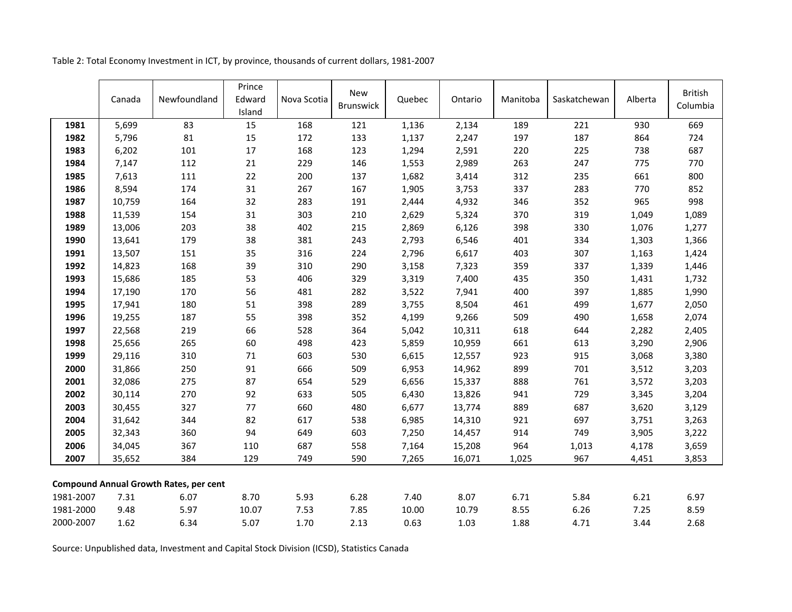|           | Canada | Newfoundland                                  | Prince<br>Edward<br>Island | Nova Scotia | <b>New</b><br><b>Brunswick</b> | Quebec | Ontario | Manitoba | Saskatchewan | Alberta | <b>British</b><br>Columbia |
|-----------|--------|-----------------------------------------------|----------------------------|-------------|--------------------------------|--------|---------|----------|--------------|---------|----------------------------|
| 1981      | 5,699  | 83                                            | 15                         | 168         | 121                            | 1,136  | 2,134   | 189      | 221          | 930     | 669                        |
| 1982      | 5,796  | 81                                            | 15                         | 172         | 133                            | 1,137  | 2,247   | 197      | 187          | 864     | 724                        |
| 1983      | 6,202  | 101                                           | 17                         | 168         | 123                            | 1,294  | 2,591   | 220      | 225          | 738     | 687                        |
| 1984      | 7,147  | 112                                           | 21                         | 229         | 146                            | 1,553  | 2,989   | 263      | 247          | 775     | 770                        |
| 1985      | 7,613  | 111                                           | 22                         | 200         | 137                            | 1,682  | 3,414   | 312      | 235          | 661     | 800                        |
| 1986      | 8,594  | 174                                           | $31\,$                     | 267         | 167                            | 1,905  | 3,753   | 337      | 283          | 770     | 852                        |
| 1987      | 10,759 | 164                                           | 32                         | 283         | 191                            | 2,444  | 4,932   | 346      | 352          | 965     | 998                        |
| 1988      | 11,539 | 154                                           | 31                         | 303         | 210                            | 2,629  | 5,324   | 370      | 319          | 1,049   | 1,089                      |
| 1989      | 13,006 | 203                                           | 38                         | 402         | 215                            | 2,869  | 6,126   | 398      | 330          | 1,076   | 1,277                      |
| 1990      | 13,641 | 179                                           | 38                         | 381         | 243                            | 2,793  | 6,546   | 401      | 334          | 1,303   | 1,366                      |
| 1991      | 13,507 | 151                                           | 35                         | 316         | 224                            | 2,796  | 6,617   | 403      | 307          | 1,163   | 1,424                      |
| 1992      | 14,823 | 168                                           | 39                         | 310         | 290                            | 3,158  | 7,323   | 359      | 337          | 1,339   | 1,446                      |
| 1993      | 15,686 | 185                                           | 53                         | 406         | 329                            | 3,319  | 7,400   | 435      | 350          | 1,431   | 1,732                      |
| 1994      | 17,190 | 170                                           | 56                         | 481         | 282                            | 3,522  | 7,941   | 400      | 397          | 1,885   | 1,990                      |
| 1995      | 17,941 | 180                                           | 51                         | 398         | 289                            | 3,755  | 8,504   | 461      | 499          | 1,677   | 2,050                      |
| 1996      | 19,255 | 187                                           | 55                         | 398         | 352                            | 4,199  | 9,266   | 509      | 490          | 1,658   | 2,074                      |
| 1997      | 22,568 | 219                                           | 66                         | 528         | 364                            | 5,042  | 10,311  | 618      | 644          | 2,282   | 2,405                      |
| 1998      | 25,656 | 265                                           | 60                         | 498         | 423                            | 5,859  | 10,959  | 661      | 613          | 3,290   | 2,906                      |
| 1999      | 29,116 | 310                                           | $71\,$                     | 603         | 530                            | 6,615  | 12,557  | 923      | 915          | 3,068   | 3,380                      |
| 2000      | 31,866 | 250                                           | 91                         | 666         | 509                            | 6,953  | 14,962  | 899      | 701          | 3,512   | 3,203                      |
| 2001      | 32,086 | 275                                           | 87                         | 654         | 529                            | 6,656  | 15,337  | 888      | 761          | 3,572   | 3,203                      |
| 2002      | 30,114 | 270                                           | 92                         | 633         | 505                            | 6,430  | 13,826  | 941      | 729          | 3,345   | 3,204                      |
| 2003      | 30,455 | 327                                           | 77                         | 660         | 480                            | 6,677  | 13,774  | 889      | 687          | 3,620   | 3,129                      |
| 2004      | 31,642 | 344                                           | 82                         | 617         | 538                            | 6,985  | 14,310  | 921      | 697          | 3,751   | 3,263                      |
| 2005      | 32,343 | 360                                           | 94                         | 649         | 603                            | 7,250  | 14,457  | 914      | 749          | 3,905   | 3,222                      |
| 2006      | 34,045 | 367                                           | 110                        | 687         | 558                            | 7,164  | 15,208  | 964      | 1,013        | 4,178   | 3,659                      |
| 2007      | 35,652 | 384                                           | 129                        | 749         | 590                            | 7,265  | 16,071  | 1,025    | 967          | 4,451   | 3,853                      |
|           |        | <b>Compound Annual Growth Rates, per cent</b> |                            |             |                                |        |         |          |              |         |                            |
| 1981-2007 | 7.31   | 6.07                                          | 8.70                       | 5.93        | 6.28                           | 7.40   | 8.07    | 6.71     | 5.84         | 6.21    | 6.97                       |
| 1981-2000 | 9.48   | 5.97                                          | 10.07                      | 7.53        | 7.85                           | 10.00  | 10.79   | 8.55     | 6.26         | 7.25    | 8.59                       |
| 2000-2007 | 1.62   | 6.34                                          | 5.07                       | 1.70        | 2.13                           | 0.63   | 1.03    | 1.88     | 4.71         | 3.44    | 2.68                       |

Table 2: Total Economy Investment in ICT, by province, thousands of current dollars, 1981-2007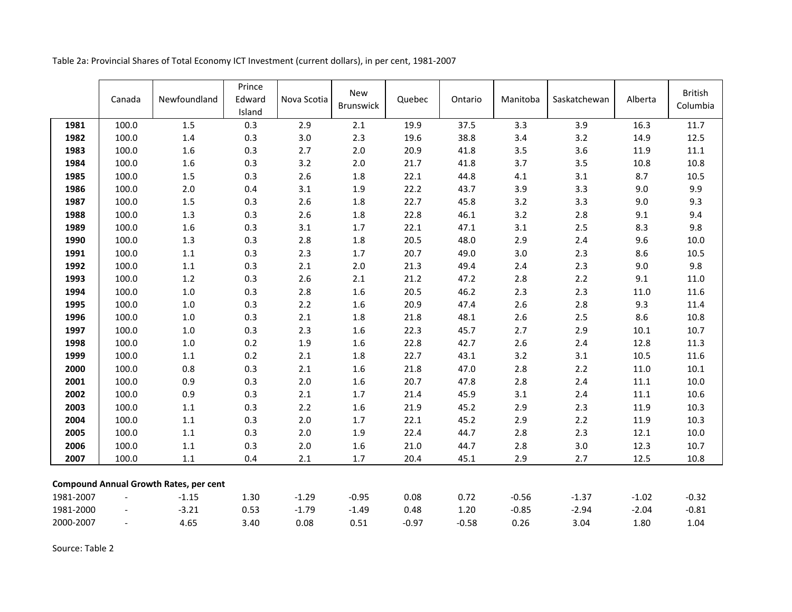| Table 2a: Provincial Shares of Total Economy ICT Investment (current dollars), in per cent, 1981-2007 |  |
|-------------------------------------------------------------------------------------------------------|--|
|-------------------------------------------------------------------------------------------------------|--|

|           | Canada | Newfoundland                                  | Prince<br>Edward<br>Island | Nova Scotia | <b>New</b><br><b>Brunswick</b> | Quebec  | Ontario | Manitoba | Saskatchewan | Alberta  | <b>British</b><br>Columbia |
|-----------|--------|-----------------------------------------------|----------------------------|-------------|--------------------------------|---------|---------|----------|--------------|----------|----------------------------|
| 1981      | 100.0  | 1.5                                           | 0.3                        | 2.9         | 2.1                            | 19.9    | 37.5    | 3.3      | 3.9          | 16.3     | 11.7                       |
| 1982      | 100.0  | $1.4\,$                                       | 0.3                        | $3.0\,$     | 2.3                            | 19.6    | 38.8    | 3.4      | 3.2          | 14.9     | 12.5                       |
| 1983      | 100.0  | 1.6                                           | 0.3                        | 2.7         | $2.0\,$                        | 20.9    | 41.8    | 3.5      | 3.6          | 11.9     | $11.1\,$                   |
| 1984      | 100.0  | $1.6\,$                                       | 0.3                        | 3.2         | $2.0\,$                        | 21.7    | 41.8    | 3.7      | 3.5          | 10.8     | 10.8                       |
| 1985      | 100.0  | $1.5\,$                                       | 0.3                        | 2.6         | $1.8\,$                        | 22.1    | 44.8    | 4.1      | 3.1          | 8.7      | $10.5$                     |
| 1986      | 100.0  | 2.0                                           | 0.4                        | 3.1         | 1.9                            | 22.2    | 43.7    | 3.9      | 3.3          | 9.0      | 9.9                        |
| 1987      | 100.0  | $1.5\,$                                       | 0.3                        | $2.6\,$     | $1.8\,$                        | 22.7    | 45.8    | 3.2      | 3.3          | 9.0      | 9.3                        |
| 1988      | 100.0  | 1.3                                           | 0.3                        | 2.6         | $1.8\,$                        | 22.8    | 46.1    | 3.2      | 2.8          | 9.1      | 9.4                        |
| 1989      | 100.0  | 1.6                                           | 0.3                        | 3.1         | 1.7                            | 22.1    | 47.1    | 3.1      | 2.5          | 8.3      | 9.8                        |
| 1990      | 100.0  | $1.3\,$                                       | 0.3                        | 2.8         | $1.8\,$                        | 20.5    | 48.0    | 2.9      | 2.4          | 9.6      | 10.0                       |
| 1991      | 100.0  | $1.1\,$                                       | 0.3                        | 2.3         | 1.7                            | 20.7    | 49.0    | 3.0      | 2.3          | 8.6      | $10.5$                     |
| 1992      | 100.0  | $1.1\,$                                       | 0.3                        | 2.1         | 2.0                            | 21.3    | 49.4    | 2.4      | 2.3          | 9.0      | 9.8                        |
| 1993      | 100.0  | $1.2\,$                                       | 0.3                        | $2.6\,$     | $2.1\,$                        | 21.2    | 47.2    | 2.8      | $2.2$        | 9.1      | 11.0                       |
| 1994      | 100.0  | $1.0\,$                                       | 0.3                        | 2.8         | $1.6\,$                        | 20.5    | 46.2    | 2.3      | 2.3          | 11.0     | 11.6                       |
| 1995      | 100.0  | $1.0\,$                                       | 0.3                        | $2.2$       | $1.6\,$                        | 20.9    | 47.4    | 2.6      | 2.8          | 9.3      | 11.4                       |
| 1996      | 100.0  | $1.0\,$                                       | 0.3                        | $2.1$       | $1.8\,$                        | 21.8    | 48.1    | 2.6      | 2.5          | 8.6      | 10.8                       |
| 1997      | 100.0  | $1.0\,$                                       | 0.3                        | 2.3         | $1.6\,$                        | 22.3    | 45.7    | 2.7      | 2.9          | $10.1\,$ | 10.7                       |
| 1998      | 100.0  | $1.0\,$                                       | 0.2                        | 1.9         | $1.6\,$                        | 22.8    | 42.7    | 2.6      | $2.4$        | 12.8     | 11.3                       |
| 1999      | 100.0  | $1.1\,$                                       | 0.2                        | 2.1         | $1.8\,$                        | 22.7    | 43.1    | 3.2      | 3.1          | 10.5     | 11.6                       |
| 2000      | 100.0  | 0.8                                           | 0.3                        | 2.1         | $1.6\,$                        | 21.8    | 47.0    | 2.8      | 2.2          | 11.0     | $10.1\,$                   |
| 2001      | 100.0  | 0.9                                           | 0.3                        | $2.0\,$     | $1.6\,$                        | 20.7    | 47.8    | 2.8      | $2.4\,$      | $11.1\,$ | 10.0                       |
| 2002      | 100.0  | 0.9                                           | 0.3                        | $2.1$       | 1.7                            | 21.4    | 45.9    | 3.1      | 2.4          | 11.1     | 10.6                       |
| 2003      | 100.0  | $1.1\,$                                       | 0.3                        | $2.2$       | $1.6\,$                        | 21.9    | 45.2    | 2.9      | 2.3          | 11.9     | 10.3                       |
| 2004      | 100.0  | $1.1\,$                                       | 0.3                        | $2.0\,$     | $1.7$                          | 22.1    | 45.2    | 2.9      | $2.2$        | 11.9     | 10.3                       |
| 2005      | 100.0  | $1.1\,$                                       | 0.3                        | $2.0\,$     | 1.9                            | 22.4    | 44.7    | 2.8      | 2.3          | 12.1     | 10.0                       |
| 2006      | 100.0  | $1.1\,$                                       | 0.3                        | $2.0\,$     | $1.6\,$                        | 21.0    | 44.7    | 2.8      | 3.0          | 12.3     | 10.7                       |
| 2007      | 100.0  | 1.1                                           | 0.4                        | 2.1         | $1.7\,$                        | 20.4    | 45.1    | 2.9      | 2.7          | 12.5     | 10.8                       |
|           |        | <b>Compound Annual Growth Rates, per cent</b> |                            |             |                                |         |         |          |              |          |                            |
| 1981-2007 |        | $-1.15$                                       | 1.30                       | $-1.29$     | $-0.95$                        | 0.08    | 0.72    | $-0.56$  | $-1.37$      | $-1.02$  | $-0.32$                    |
| 1981-2000 |        | $-3.21$                                       | 0.53                       | $-1.79$     | $-1.49$                        | 0.48    | 1.20    | $-0.85$  | $-2.94$      | $-2.04$  | $-0.81$                    |
| 2000-2007 |        | 4.65                                          | 3.40                       | 0.08        | 0.51                           | $-0.97$ | $-0.58$ | 0.26     | 3.04         | 1.80     | 1.04                       |

Source: Table 2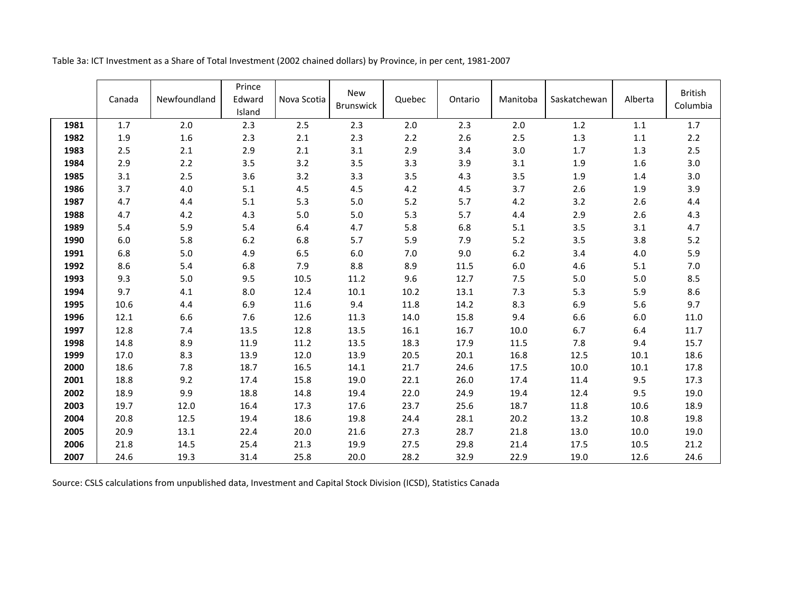|      | Canada | Newfoundland | Prince<br>Edward<br>Island | Nova Scotia | <b>New</b><br><b>Brunswick</b> | Quebec | Ontario | Manitoba | Saskatchewan | Alberta  | <b>British</b><br>Columbia |
|------|--------|--------------|----------------------------|-------------|--------------------------------|--------|---------|----------|--------------|----------|----------------------------|
| 1981 | 1.7    | 2.0          | 2.3                        | 2.5         | 2.3                            | 2.0    | 2.3     | 2.0      | 1.2          | 1.1      | $1.7$                      |
| 1982 | 1.9    | $1.6\,$      | 2.3                        | 2.1         | 2.3                            | 2.2    | 2.6     | 2.5      | 1.3          | $1.1\,$  | 2.2                        |
| 1983 | 2.5    | 2.1          | 2.9                        | 2.1         | 3.1                            | 2.9    | 3.4     | 3.0      | 1.7          | 1.3      | 2.5                        |
| 1984 | 2.9    | 2.2          | 3.5                        | 3.2         | 3.5                            | 3.3    | 3.9     | 3.1      | 1.9          | 1.6      | 3.0                        |
| 1985 | 3.1    | 2.5          | 3.6                        | 3.2         | 3.3                            | 3.5    | 4.3     | 3.5      | 1.9          | 1.4      | 3.0                        |
| 1986 | 3.7    | 4.0          | 5.1                        | 4.5         | 4.5                            | 4.2    | 4.5     | 3.7      | 2.6          | 1.9      | 3.9                        |
| 1987 | 4.7    | 4.4          | 5.1                        | 5.3         | 5.0                            | 5.2    | 5.7     | 4.2      | 3.2          | 2.6      | 4.4                        |
| 1988 | 4.7    | 4.2          | 4.3                        | $5.0$       | $5.0$                          | 5.3    | 5.7     | 4.4      | 2.9          | 2.6      | 4.3                        |
| 1989 | 5.4    | 5.9          | 5.4                        | 6.4         | 4.7                            | 5.8    | 6.8     | 5.1      | 3.5          | 3.1      | 4.7                        |
| 1990 | 6.0    | 5.8          | $6.2\,$                    | 6.8         | 5.7                            | 5.9    | 7.9     | 5.2      | 3.5          | 3.8      | 5.2                        |
| 1991 | 6.8    | 5.0          | 4.9                        | 6.5         | 6.0                            | 7.0    | 9.0     | 6.2      | 3.4          | 4.0      | 5.9                        |
| 1992 | 8.6    | 5.4          | 6.8                        | 7.9         | 8.8                            | 8.9    | 11.5    | 6.0      | 4.6          | 5.1      | 7.0                        |
| 1993 | 9.3    | 5.0          | 9.5                        | 10.5        | 11.2                           | 9.6    | 12.7    | 7.5      | 5.0          | 5.0      | 8.5                        |
| 1994 | 9.7    | 4.1          | 8.0                        | 12.4        | 10.1                           | 10.2   | 13.1    | 7.3      | 5.3          | 5.9      | 8.6                        |
| 1995 | 10.6   | 4.4          | 6.9                        | 11.6        | 9.4                            | 11.8   | 14.2    | 8.3      | 6.9          | 5.6      | 9.7                        |
| 1996 | 12.1   | 6.6          | 7.6                        | 12.6        | 11.3                           | 14.0   | 15.8    | 9.4      | 6.6          | 6.0      | 11.0                       |
| 1997 | 12.8   | 7.4          | 13.5                       | 12.8        | 13.5                           | 16.1   | 16.7    | 10.0     | 6.7          | 6.4      | 11.7                       |
| 1998 | 14.8   | 8.9          | 11.9                       | 11.2        | 13.5                           | 18.3   | 17.9    | 11.5     | 7.8          | 9.4      | 15.7                       |
| 1999 | 17.0   | 8.3          | 13.9                       | 12.0        | 13.9                           | 20.5   | 20.1    | 16.8     | 12.5         | $10.1\,$ | 18.6                       |
| 2000 | 18.6   | 7.8          | 18.7                       | 16.5        | 14.1                           | 21.7   | 24.6    | 17.5     | 10.0         | $10.1\,$ | 17.8                       |
| 2001 | 18.8   | 9.2          | 17.4                       | 15.8        | 19.0                           | 22.1   | 26.0    | 17.4     | 11.4         | 9.5      | 17.3                       |
| 2002 | 18.9   | 9.9          | 18.8                       | 14.8        | 19.4                           | 22.0   | 24.9    | 19.4     | 12.4         | 9.5      | 19.0                       |
| 2003 | 19.7   | 12.0         | 16.4                       | 17.3        | 17.6                           | 23.7   | 25.6    | 18.7     | 11.8         | 10.6     | 18.9                       |
| 2004 | 20.8   | 12.5         | 19.4                       | 18.6        | 19.8                           | 24.4   | 28.1    | 20.2     | 13.2         | 10.8     | 19.8                       |
| 2005 | 20.9   | 13.1         | 22.4                       | 20.0        | 21.6                           | 27.3   | 28.7    | 21.8     | 13.0         | 10.0     | 19.0                       |
| 2006 | 21.8   | 14.5         | 25.4                       | 21.3        | 19.9                           | 27.5   | 29.8    | 21.4     | 17.5         | 10.5     | 21.2                       |
| 2007 | 24.6   | 19.3         | 31.4                       | 25.8        | 20.0                           | 28.2   | 32.9    | 22.9     | 19.0         | 12.6     | 24.6                       |

Table 3a: ICT Investment as a Share of Total Investment (2002 chained dollars) by Province, in per cent, 1981-2007

Source: CSLS calculations from unpublished data, Investment and Capital Stock Division (ICSD), Statistics Canada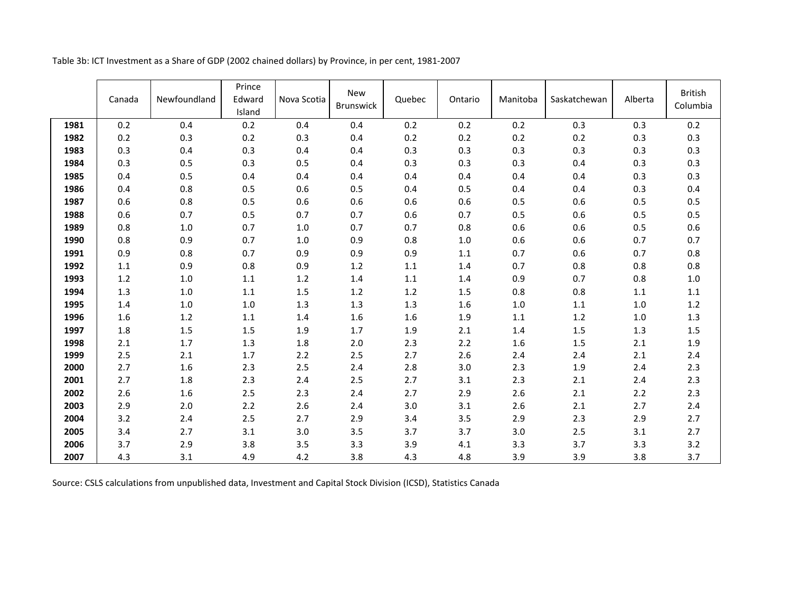| Table 3b: ICT Investment as a Share of GDP (2002 chained dollars) by Province, in per cent, 1981-2007 |  |  |
|-------------------------------------------------------------------------------------------------------|--|--|
|-------------------------------------------------------------------------------------------------------|--|--|

|      | Canada | Newfoundland | Prince<br>Edward<br>Island | Nova Scotia | New<br><b>Brunswick</b> | Quebec | Ontario | Manitoba | Saskatchewan | Alberta | <b>British</b><br>Columbia |
|------|--------|--------------|----------------------------|-------------|-------------------------|--------|---------|----------|--------------|---------|----------------------------|
| 1981 | 0.2    | 0.4          | 0.2                        | 0.4         | 0.4                     | 0.2    | 0.2     | 0.2      | 0.3          | 0.3     | 0.2                        |
| 1982 | 0.2    | 0.3          | 0.2                        | 0.3         | 0.4                     | 0.2    | 0.2     | 0.2      | 0.2          | 0.3     | 0.3                        |
| 1983 | 0.3    | 0.4          | 0.3                        | 0.4         | 0.4                     | 0.3    | 0.3     | 0.3      | 0.3          | 0.3     | 0.3                        |
| 1984 | 0.3    | 0.5          | 0.3                        | 0.5         | 0.4                     | 0.3    | 0.3     | 0.3      | 0.4          | 0.3     | 0.3                        |
| 1985 | 0.4    | 0.5          | 0.4                        | 0.4         | 0.4                     | 0.4    | 0.4     | 0.4      | 0.4          | 0.3     | 0.3                        |
| 1986 | 0.4    | 0.8          | 0.5                        | 0.6         | 0.5                     | 0.4    | 0.5     | 0.4      | 0.4          | 0.3     | 0.4                        |
| 1987 | 0.6    | 0.8          | 0.5                        | 0.6         | 0.6                     | 0.6    | 0.6     | 0.5      | 0.6          | 0.5     | $0.5\,$                    |
| 1988 | 0.6    | 0.7          | 0.5                        | 0.7         | 0.7                     | 0.6    | 0.7     | 0.5      | 0.6          | 0.5     | 0.5                        |
| 1989 | 0.8    | 1.0          | 0.7                        | 1.0         | 0.7                     | 0.7    | 0.8     | 0.6      | 0.6          | 0.5     | 0.6                        |
| 1990 | 0.8    | 0.9          | 0.7                        | 1.0         | 0.9                     | 0.8    | 1.0     | 0.6      | 0.6          | 0.7     | 0.7                        |
| 1991 | 0.9    | 0.8          | 0.7                        | 0.9         | 0.9                     | 0.9    | 1.1     | 0.7      | 0.6          | 0.7     | 0.8                        |
| 1992 | 1.1    | 0.9          | 0.8                        | 0.9         | 1.2                     | 1.1    | 1.4     | 0.7      | 0.8          | 0.8     | 0.8                        |
| 1993 | 1.2    | 1.0          | $1.1\,$                    | 1.2         | 1.4                     | 1.1    | 1.4     | 0.9      | 0.7          | 0.8     | $1.0\,$                    |
| 1994 | 1.3    | 1.0          | 1.1                        | 1.5         | 1.2                     | 1.2    | 1.5     | 0.8      | 0.8          | 1.1     | $1.1\,$                    |
| 1995 | 1.4    | 1.0          | $1.0\,$                    | 1.3         | 1.3                     | 1.3    | 1.6     | $1.0$    | 1.1          | 1.0     | $1.2\,$                    |
| 1996 | 1.6    | 1.2          | $1.1\,$                    | 1.4         | 1.6                     | 1.6    | 1.9     | 1.1      | 1.2          | 1.0     | 1.3                        |
| 1997 | 1.8    | 1.5          | $1.5\,$                    | 1.9         | 1.7                     | 1.9    | 2.1     | 1.4      | 1.5          | 1.3     | 1.5                        |
| 1998 | 2.1    | 1.7          | 1.3                        | 1.8         | 2.0                     | 2.3    | 2.2     | 1.6      | 1.5          | 2.1     | 1.9                        |
| 1999 | 2.5    | 2.1          | 1.7                        | 2.2         | 2.5                     | 2.7    | 2.6     | 2.4      | 2.4          | 2.1     | $2.4$                      |
| 2000 | 2.7    | 1.6          | 2.3                        | 2.5         | 2.4                     | 2.8    | 3.0     | 2.3      | 1.9          | $2.4$   | 2.3                        |
| 2001 | 2.7    | 1.8          | 2.3                        | 2.4         | 2.5                     | 2.7    | 3.1     | 2.3      | 2.1          | 2.4     | 2.3                        |
| 2002 | 2.6    | 1.6          | 2.5                        | 2.3         | 2.4                     | 2.7    | 2.9     | 2.6      | 2.1          | 2.2     | $2.3$                      |
| 2003 | 2.9    | 2.0          | 2.2                        | 2.6         | 2.4                     | 3.0    | 3.1     | 2.6      | 2.1          | 2.7     | $2.4\,$                    |
| 2004 | 3.2    | 2.4          | 2.5                        | 2.7         | 2.9                     | 3.4    | 3.5     | 2.9      | 2.3          | 2.9     | 2.7                        |
| 2005 | 3.4    | 2.7          | 3.1                        | 3.0         | 3.5                     | 3.7    | 3.7     | 3.0      | 2.5          | 3.1     | 2.7                        |
| 2006 | 3.7    | 2.9          | 3.8                        | 3.5         | 3.3                     | 3.9    | 4.1     | 3.3      | 3.7          | 3.3     | 3.2                        |
| 2007 | 4.3    | 3.1          | 4.9                        | 4.2         | 3.8                     | 4.3    | 4.8     | 3.9      | 3.9          | 3.8     | 3.7                        |

Source: CSLS calculations from unpublished data, Investment and Capital Stock Division (ICSD), Statistics Canada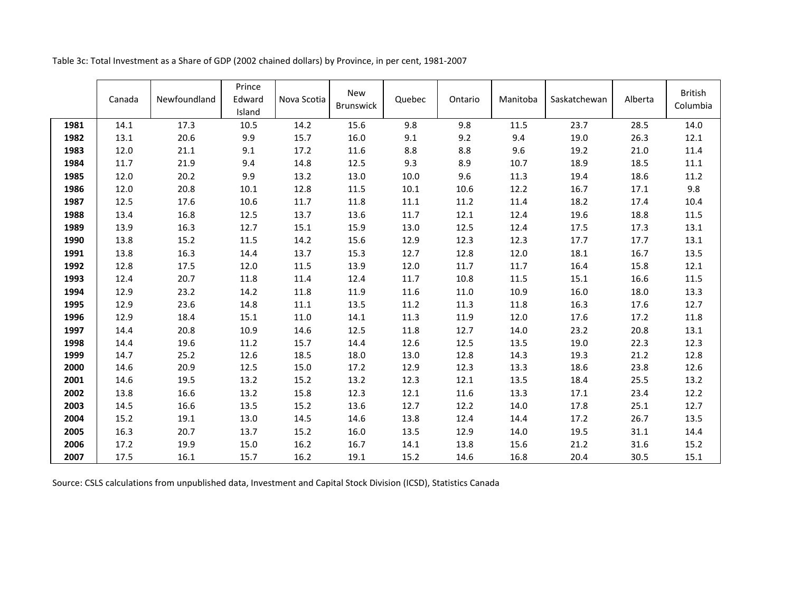|      | Canada | Newfoundland | Prince<br>Edward<br>Island | Nova Scotia | <b>New</b><br><b>Brunswick</b> | Quebec | Ontario | Manitoba | Saskatchewan | Alberta | <b>British</b><br>Columbia |
|------|--------|--------------|----------------------------|-------------|--------------------------------|--------|---------|----------|--------------|---------|----------------------------|
| 1981 | 14.1   | 17.3         | 10.5                       | 14.2        | 15.6                           | 9.8    | 9.8     | 11.5     | 23.7         | 28.5    | 14.0                       |
| 1982 | 13.1   | 20.6         | 9.9                        | 15.7        | 16.0                           | 9.1    | 9.2     | 9.4      | 19.0         | 26.3    | 12.1                       |
| 1983 | 12.0   | 21.1         | 9.1                        | 17.2        | 11.6                           | 8.8    | 8.8     | 9.6      | 19.2         | 21.0    | 11.4                       |
| 1984 | 11.7   | 21.9         | 9.4                        | 14.8        | 12.5                           | 9.3    | 8.9     | 10.7     | 18.9         | 18.5    | 11.1                       |
| 1985 | 12.0   | 20.2         | 9.9                        | 13.2        | 13.0                           | 10.0   | 9.6     | 11.3     | 19.4         | 18.6    | 11.2                       |
| 1986 | 12.0   | 20.8         | 10.1                       | 12.8        | 11.5                           | 10.1   | 10.6    | 12.2     | 16.7         | 17.1    | 9.8                        |
| 1987 | 12.5   | 17.6         | 10.6                       | 11.7        | 11.8                           | 11.1   | 11.2    | 11.4     | 18.2         | 17.4    | 10.4                       |
| 1988 | 13.4   | 16.8         | 12.5                       | 13.7        | 13.6                           | 11.7   | 12.1    | 12.4     | 19.6         | 18.8    | 11.5                       |
| 1989 | 13.9   | 16.3         | 12.7                       | 15.1        | 15.9                           | 13.0   | 12.5    | 12.4     | 17.5         | 17.3    | 13.1                       |
| 1990 | 13.8   | 15.2         | 11.5                       | 14.2        | 15.6                           | 12.9   | 12.3    | 12.3     | 17.7         | 17.7    | 13.1                       |
| 1991 | 13.8   | 16.3         | 14.4                       | 13.7        | 15.3                           | 12.7   | 12.8    | 12.0     | 18.1         | 16.7    | 13.5                       |
| 1992 | 12.8   | 17.5         | 12.0                       | 11.5        | 13.9                           | 12.0   | 11.7    | 11.7     | 16.4         | 15.8    | 12.1                       |
| 1993 | 12.4   | 20.7         | 11.8                       | 11.4        | 12.4                           | 11.7   | 10.8    | 11.5     | 15.1         | 16.6    | 11.5                       |
| 1994 | 12.9   | 23.2         | 14.2                       | 11.8        | 11.9                           | 11.6   | 11.0    | 10.9     | 16.0         | 18.0    | 13.3                       |
| 1995 | 12.9   | 23.6         | 14.8                       | $11.1\,$    | 13.5                           | 11.2   | 11.3    | 11.8     | 16.3         | 17.6    | 12.7                       |
| 1996 | 12.9   | 18.4         | 15.1                       | 11.0        | 14.1                           | 11.3   | 11.9    | 12.0     | 17.6         | 17.2    | 11.8                       |
| 1997 | 14.4   | 20.8         | 10.9                       | 14.6        | 12.5                           | 11.8   | 12.7    | 14.0     | 23.2         | 20.8    | 13.1                       |
| 1998 | 14.4   | 19.6         | 11.2                       | 15.7        | 14.4                           | 12.6   | 12.5    | 13.5     | 19.0         | 22.3    | 12.3                       |
| 1999 | 14.7   | 25.2         | 12.6                       | 18.5        | 18.0                           | 13.0   | 12.8    | 14.3     | 19.3         | 21.2    | 12.8                       |
| 2000 | 14.6   | 20.9         | 12.5                       | 15.0        | 17.2                           | 12.9   | 12.3    | 13.3     | 18.6         | 23.8    | 12.6                       |
| 2001 | 14.6   | 19.5         | 13.2                       | 15.2        | 13.2                           | 12.3   | 12.1    | 13.5     | 18.4         | 25.5    | 13.2                       |
| 2002 | 13.8   | 16.6         | 13.2                       | 15.8        | 12.3                           | 12.1   | 11.6    | 13.3     | 17.1         | 23.4    | 12.2                       |
| 2003 | 14.5   | 16.6         | 13.5                       | 15.2        | 13.6                           | 12.7   | 12.2    | 14.0     | 17.8         | 25.1    | 12.7                       |
| 2004 | 15.2   | 19.1         | 13.0                       | 14.5        | 14.6                           | 13.8   | 12.4    | 14.4     | 17.2         | 26.7    | 13.5                       |
| 2005 | 16.3   | 20.7         | 13.7                       | 15.2        | 16.0                           | 13.5   | 12.9    | 14.0     | 19.5         | 31.1    | 14.4                       |
| 2006 | 17.2   | 19.9         | 15.0                       | 16.2        | 16.7                           | 14.1   | 13.8    | 15.6     | 21.2         | 31.6    | 15.2                       |
| 2007 | 17.5   | 16.1         | 15.7                       | 16.2        | 19.1                           | 15.2   | 14.6    | 16.8     | 20.4         | 30.5    | 15.1                       |

Table 3c: Total Investment as a Share of GDP (2002 chained dollars) by Province, in per cent, 1981-2007

Source: CSLS calculations from unpublished data, Investment and Capital Stock Division (ICSD), Statistics Canada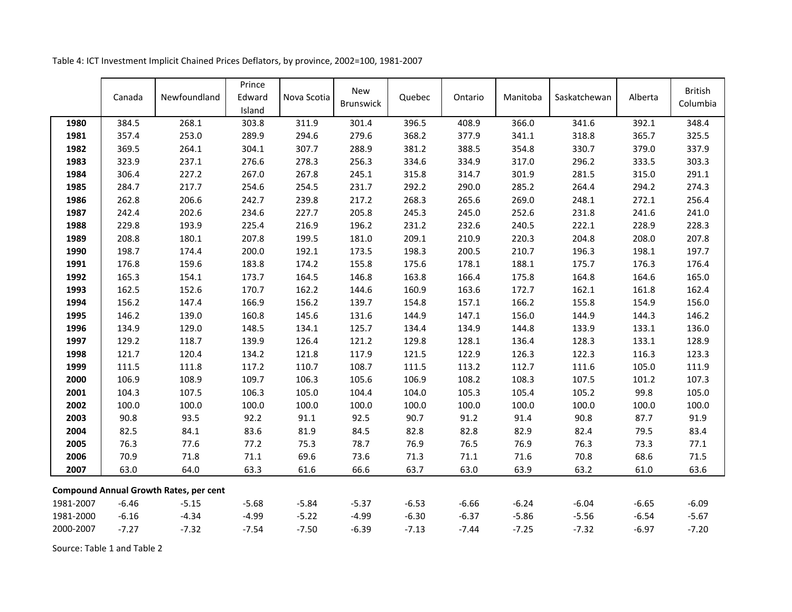|           |         |                                               | Prince  |             |                                |         |         |          |              |         | <b>British</b> |
|-----------|---------|-----------------------------------------------|---------|-------------|--------------------------------|---------|---------|----------|--------------|---------|----------------|
|           | Canada  | Newfoundland                                  | Edward  | Nova Scotia | <b>New</b><br><b>Brunswick</b> | Quebec  | Ontario | Manitoba | Saskatchewan | Alberta | Columbia       |
|           |         |                                               | Island  |             |                                |         |         |          |              |         |                |
| 1980      | 384.5   | 268.1                                         | 303.8   | 311.9       | 301.4                          | 396.5   | 408.9   | 366.0    | 341.6        | 392.1   | 348.4          |
| 1981      | 357.4   | 253.0                                         | 289.9   | 294.6       | 279.6                          | 368.2   | 377.9   | 341.1    | 318.8        | 365.7   | 325.5          |
| 1982      | 369.5   | 264.1                                         | 304.1   | 307.7       | 288.9                          | 381.2   | 388.5   | 354.8    | 330.7        | 379.0   | 337.9          |
| 1983      | 323.9   | 237.1                                         | 276.6   | 278.3       | 256.3                          | 334.6   | 334.9   | 317.0    | 296.2        | 333.5   | 303.3          |
| 1984      | 306.4   | 227.2                                         | 267.0   | 267.8       | 245.1                          | 315.8   | 314.7   | 301.9    | 281.5        | 315.0   | 291.1          |
| 1985      | 284.7   | 217.7                                         | 254.6   | 254.5       | 231.7                          | 292.2   | 290.0   | 285.2    | 264.4        | 294.2   | 274.3          |
| 1986      | 262.8   | 206.6                                         | 242.7   | 239.8       | 217.2                          | 268.3   | 265.6   | 269.0    | 248.1        | 272.1   | 256.4          |
| 1987      | 242.4   | 202.6                                         | 234.6   | 227.7       | 205.8                          | 245.3   | 245.0   | 252.6    | 231.8        | 241.6   | 241.0          |
| 1988      | 229.8   | 193.9                                         | 225.4   | 216.9       | 196.2                          | 231.2   | 232.6   | 240.5    | 222.1        | 228.9   | 228.3          |
| 1989      | 208.8   | 180.1                                         | 207.8   | 199.5       | 181.0                          | 209.1   | 210.9   | 220.3    | 204.8        | 208.0   | 207.8          |
| 1990      | 198.7   | 174.4                                         | 200.0   | 192.1       | 173.5                          | 198.3   | 200.5   | 210.7    | 196.3        | 198.1   | 197.7          |
| 1991      | 176.8   | 159.6                                         | 183.8   | 174.2       | 155.8                          | 175.6   | 178.1   | 188.1    | 175.7        | 176.3   | 176.4          |
| 1992      | 165.3   | 154.1                                         | 173.7   | 164.5       | 146.8                          | 163.8   | 166.4   | 175.8    | 164.8        | 164.6   | 165.0          |
| 1993      | 162.5   | 152.6                                         | 170.7   | 162.2       | 144.6                          | 160.9   | 163.6   | 172.7    | 162.1        | 161.8   | 162.4          |
| 1994      | 156.2   | 147.4                                         | 166.9   | 156.2       | 139.7                          | 154.8   | 157.1   | 166.2    | 155.8        | 154.9   | 156.0          |
| 1995      | 146.2   | 139.0                                         | 160.8   | 145.6       | 131.6                          | 144.9   | 147.1   | 156.0    | 144.9        | 144.3   | 146.2          |
| 1996      | 134.9   | 129.0                                         | 148.5   | 134.1       | 125.7                          | 134.4   | 134.9   | 144.8    | 133.9        | 133.1   | 136.0          |
| 1997      | 129.2   | 118.7                                         | 139.9   | 126.4       | 121.2                          | 129.8   | 128.1   | 136.4    | 128.3        | 133.1   | 128.9          |
| 1998      | 121.7   | 120.4                                         | 134.2   | 121.8       | 117.9                          | 121.5   | 122.9   | 126.3    | 122.3        | 116.3   | 123.3          |
| 1999      | 111.5   | 111.8                                         | 117.2   | 110.7       | 108.7                          | 111.5   | 113.2   | 112.7    | 111.6        | 105.0   | 111.9          |
| 2000      | 106.9   | 108.9                                         | 109.7   | 106.3       | 105.6                          | 106.9   | 108.2   | 108.3    | 107.5        | 101.2   | 107.3          |
| 2001      | 104.3   | 107.5                                         | 106.3   | 105.0       | 104.4                          | 104.0   | 105.3   | 105.4    | 105.2        | 99.8    | 105.0          |
| 2002      | 100.0   | 100.0                                         | 100.0   | 100.0       | 100.0                          | 100.0   | 100.0   | 100.0    | 100.0        | 100.0   | 100.0          |
| 2003      | 90.8    | 93.5                                          | 92.2    | 91.1        | 92.5                           | 90.7    | 91.2    | 91.4     | 90.8         | 87.7    | 91.9           |
| 2004      | 82.5    | 84.1                                          | 83.6    | 81.9        | 84.5                           | 82.8    | 82.8    | 82.9     | 82.4         | 79.5    | 83.4           |
| 2005      | 76.3    | 77.6                                          | 77.2    | 75.3        | 78.7                           | 76.9    | 76.5    | 76.9     | 76.3         | 73.3    | 77.1           |
| 2006      | 70.9    | 71.8                                          | 71.1    | 69.6        | 73.6                           | 71.3    | 71.1    | 71.6     | 70.8         | 68.6    | 71.5           |
| 2007      | 63.0    | 64.0                                          | 63.3    | 61.6        | 66.6                           | 63.7    | 63.0    | 63.9     | 63.2         | 61.0    | 63.6           |
|           |         |                                               |         |             |                                |         |         |          |              |         |                |
|           |         | <b>Compound Annual Growth Rates, per cent</b> |         |             |                                |         |         |          |              |         |                |
| 1981-2007 | $-6.46$ | $-5.15$                                       | $-5.68$ | $-5.84$     | $-5.37$                        | $-6.53$ | $-6.66$ | $-6.24$  | $-6.04$      | $-6.65$ | $-6.09$        |
| 1981-2000 | $-6.16$ | $-4.34$                                       | $-4.99$ | $-5.22$     | $-4.99$                        | $-6.30$ | $-6.37$ | $-5.86$  | $-5.56$      | $-6.54$ | $-5.67$        |
| 2000-2007 | $-7.27$ | $-7.32$                                       | $-7.54$ | $-7.50$     | $-6.39$                        | $-7.13$ | $-7.44$ | $-7.25$  | $-7.32$      | $-6.97$ | $-7.20$        |

Table 4: ICT Investment Implicit Chained Prices Deflators, by province, 2002=100, 1981-2007

Source: Table 1 and Table 2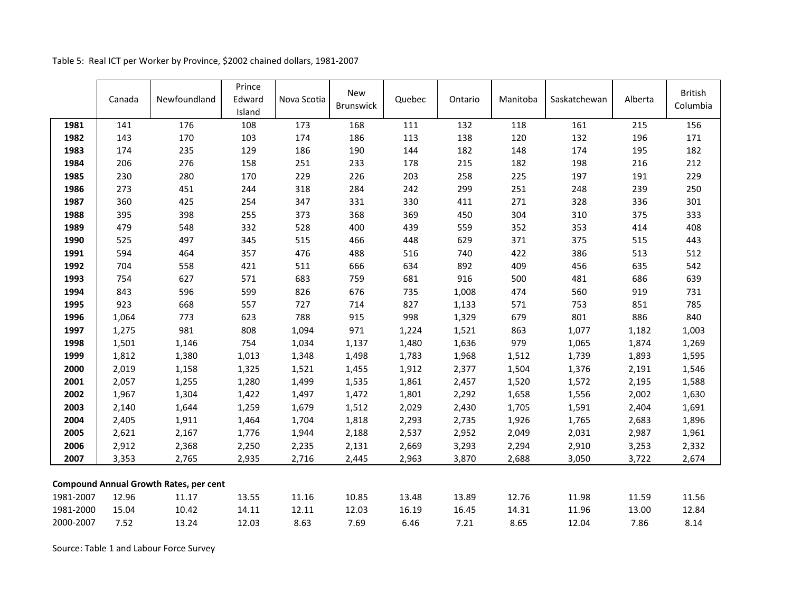|           | Canada | Newfoundland                                  | Prince<br>Edward<br>Island | Nova Scotia | <b>New</b><br><b>Brunswick</b> | Quebec | Ontario | Manitoba | Saskatchewan | Alberta | <b>British</b><br>Columbia |
|-----------|--------|-----------------------------------------------|----------------------------|-------------|--------------------------------|--------|---------|----------|--------------|---------|----------------------------|
| 1981      | 141    | 176                                           | 108                        | 173         | 168                            | 111    | 132     | 118      | 161          | 215     | 156                        |
| 1982      | 143    | 170                                           | 103                        | 174         | 186                            | 113    | 138     | 120      | 132          | 196     | 171                        |
| 1983      | 174    | 235                                           | 129                        | 186         | 190                            | 144    | 182     | 148      | 174          | 195     | 182                        |
| 1984      | 206    | 276                                           | 158                        | 251         | 233                            | 178    | 215     | 182      | 198          | 216     | 212                        |
| 1985      | 230    | 280                                           | 170                        | 229         | 226                            | 203    | 258     | 225      | 197          | 191     | 229                        |
| 1986      | 273    | 451                                           | 244                        | 318         | 284                            | 242    | 299     | 251      | 248          | 239     | 250                        |
| 1987      | 360    | 425                                           | 254                        | 347         | 331                            | 330    | 411     | 271      | 328          | 336     | 301                        |
| 1988      | 395    | 398                                           | 255                        | 373         | 368                            | 369    | 450     | 304      | 310          | 375     | 333                        |
| 1989      | 479    | 548                                           | 332                        | 528         | 400                            | 439    | 559     | 352      | 353          | 414     | 408                        |
| 1990      | 525    | 497                                           | 345                        | 515         | 466                            | 448    | 629     | 371      | 375          | 515     | 443                        |
| 1991      | 594    | 464                                           | 357                        | 476         | 488                            | 516    | 740     | 422      | 386          | 513     | 512                        |
| 1992      | 704    | 558                                           | 421                        | 511         | 666                            | 634    | 892     | 409      | 456          | 635     | 542                        |
| 1993      | 754    | 627                                           | 571                        | 683         | 759                            | 681    | 916     | 500      | 481          | 686     | 639                        |
| 1994      | 843    | 596                                           | 599                        | 826         | 676                            | 735    | 1,008   | 474      | 560          | 919     | 731                        |
| 1995      | 923    | 668                                           | 557                        | 727         | 714                            | 827    | 1,133   | 571      | 753          | 851     | 785                        |
| 1996      | 1,064  | 773                                           | 623                        | 788         | 915                            | 998    | 1,329   | 679      | 801          | 886     | 840                        |
| 1997      | 1,275  | 981                                           | 808                        | 1,094       | 971                            | 1,224  | 1,521   | 863      | 1,077        | 1,182   | 1,003                      |
| 1998      | 1,501  | 1,146                                         | 754                        | 1,034       | 1,137                          | 1,480  | 1,636   | 979      | 1,065        | 1,874   | 1,269                      |
| 1999      | 1,812  | 1,380                                         | 1,013                      | 1,348       | 1,498                          | 1,783  | 1,968   | 1,512    | 1,739        | 1,893   | 1,595                      |
| 2000      | 2,019  | 1,158                                         | 1,325                      | 1,521       | 1,455                          | 1,912  | 2,377   | 1,504    | 1,376        | 2,191   | 1,546                      |
| 2001      | 2,057  | 1,255                                         | 1,280                      | 1,499       | 1,535                          | 1,861  | 2,457   | 1,520    | 1,572        | 2,195   | 1,588                      |
| 2002      | 1,967  | 1,304                                         | 1,422                      | 1,497       | 1,472                          | 1,801  | 2,292   | 1,658    | 1,556        | 2,002   | 1,630                      |
| 2003      | 2,140  | 1,644                                         | 1,259                      | 1,679       | 1,512                          | 2,029  | 2,430   | 1,705    | 1,591        | 2,404   | 1,691                      |
| 2004      | 2,405  | 1,911                                         | 1,464                      | 1,704       | 1,818                          | 2,293  | 2,735   | 1,926    | 1,765        | 2,683   | 1,896                      |
| 2005      | 2,621  | 2,167                                         | 1,776                      | 1,944       | 2,188                          | 2,537  | 2,952   | 2,049    | 2,031        | 2,987   | 1,961                      |
| 2006      | 2,912  | 2,368                                         | 2,250                      | 2,235       | 2,131                          | 2,669  | 3,293   | 2,294    | 2,910        | 3,253   | 2,332                      |
| 2007      | 3,353  | 2,765                                         | 2,935                      | 2,716       | 2,445                          | 2,963  | 3,870   | 2,688    | 3,050        | 3,722   | 2,674                      |
|           |        | <b>Compound Annual Growth Rates, per cent</b> |                            |             |                                |        |         |          |              |         |                            |
| 1981-2007 | 12.96  | 11.17                                         | 13.55                      | 11.16       | 10.85                          | 13.48  | 13.89   | 12.76    | 11.98        | 11.59   | 11.56                      |
| 1981-2000 | 15.04  | 10.42                                         | 14.11                      | 12.11       | 12.03                          | 16.19  | 16.45   | 14.31    | 11.96        | 13.00   | 12.84                      |
| 2000-2007 | 7.52   | 13.24                                         | 12.03                      | 8.63        | 7.69                           | 6.46   | 7.21    | 8.65     | 12.04        | 7.86    | 8.14                       |

Table 5: Real ICT per Worker by Province, \$2002 chained dollars, 1981-2007

Source: Table 1 and Labour Force Survey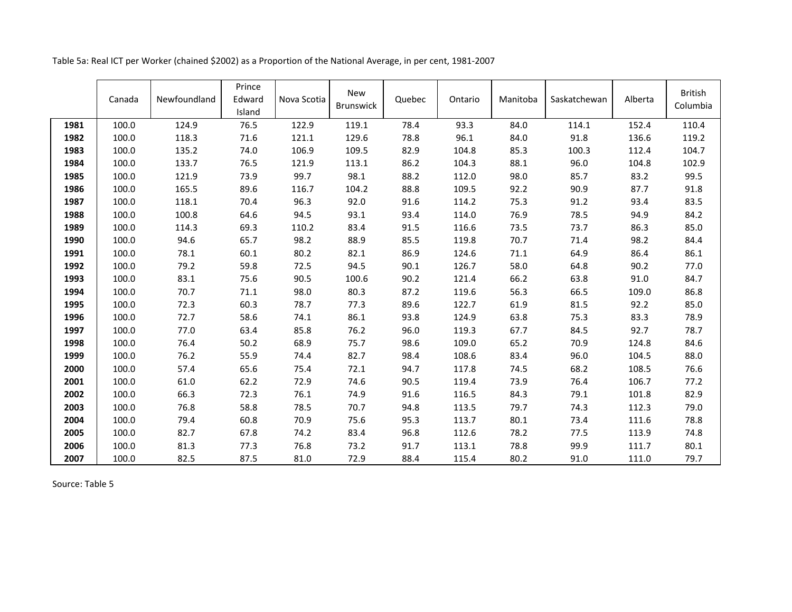| Table 5a: Real ICT per Worker (chained \$2002) as a Proportion of the National Average, in per cent, 1981-2007 |  |  |
|----------------------------------------------------------------------------------------------------------------|--|--|
|----------------------------------------------------------------------------------------------------------------|--|--|

|      | Canada | Newfoundland | Prince<br>Edward<br>Island | Nova Scotia | <b>New</b><br>Brunswick | Quebec | Ontario | Manitoba | Saskatchewan | Alberta | <b>British</b><br>Columbia |
|------|--------|--------------|----------------------------|-------------|-------------------------|--------|---------|----------|--------------|---------|----------------------------|
| 1981 | 100.0  | 124.9        | 76.5                       | 122.9       | 119.1                   | 78.4   | 93.3    | 84.0     | 114.1        | 152.4   | 110.4                      |
| 1982 | 100.0  | 118.3        | 71.6                       | 121.1       | 129.6                   | 78.8   | 96.1    | 84.0     | 91.8         | 136.6   | 119.2                      |
| 1983 | 100.0  | 135.2        | 74.0                       | 106.9       | 109.5                   | 82.9   | 104.8   | 85.3     | 100.3        | 112.4   | 104.7                      |
| 1984 | 100.0  | 133.7        | 76.5                       | 121.9       | 113.1                   | 86.2   | 104.3   | 88.1     | 96.0         | 104.8   | 102.9                      |
| 1985 | 100.0  | 121.9        | 73.9                       | 99.7        | 98.1                    | 88.2   | 112.0   | 98.0     | 85.7         | 83.2    | 99.5                       |
| 1986 | 100.0  | 165.5        | 89.6                       | 116.7       | 104.2                   | 88.8   | 109.5   | 92.2     | 90.9         | 87.7    | 91.8                       |
| 1987 | 100.0  | 118.1        | 70.4                       | 96.3        | 92.0                    | 91.6   | 114.2   | 75.3     | 91.2         | 93.4    | 83.5                       |
| 1988 | 100.0  | 100.8        | 64.6                       | 94.5        | 93.1                    | 93.4   | 114.0   | 76.9     | 78.5         | 94.9    | 84.2                       |
| 1989 | 100.0  | 114.3        | 69.3                       | 110.2       | 83.4                    | 91.5   | 116.6   | 73.5     | 73.7         | 86.3    | 85.0                       |
| 1990 | 100.0  | 94.6         | 65.7                       | 98.2        | 88.9                    | 85.5   | 119.8   | 70.7     | 71.4         | 98.2    | 84.4                       |
| 1991 | 100.0  | 78.1         | 60.1                       | 80.2        | 82.1                    | 86.9   | 124.6   | 71.1     | 64.9         | 86.4    | 86.1                       |
| 1992 | 100.0  | 79.2         | 59.8                       | 72.5        | 94.5                    | 90.1   | 126.7   | 58.0     | 64.8         | 90.2    | 77.0                       |
| 1993 | 100.0  | 83.1         | 75.6                       | 90.5        | 100.6                   | 90.2   | 121.4   | 66.2     | 63.8         | 91.0    | 84.7                       |
| 1994 | 100.0  | 70.7         | 71.1                       | 98.0        | 80.3                    | 87.2   | 119.6   | 56.3     | 66.5         | 109.0   | 86.8                       |
| 1995 | 100.0  | 72.3         | 60.3                       | 78.7        | 77.3                    | 89.6   | 122.7   | 61.9     | 81.5         | 92.2    | 85.0                       |
| 1996 | 100.0  | 72.7         | 58.6                       | 74.1        | 86.1                    | 93.8   | 124.9   | 63.8     | 75.3         | 83.3    | 78.9                       |
| 1997 | 100.0  | 77.0         | 63.4                       | 85.8        | 76.2                    | 96.0   | 119.3   | 67.7     | 84.5         | 92.7    | 78.7                       |
| 1998 | 100.0  | 76.4         | 50.2                       | 68.9        | 75.7                    | 98.6   | 109.0   | 65.2     | 70.9         | 124.8   | 84.6                       |
| 1999 | 100.0  | 76.2         | 55.9                       | 74.4        | 82.7                    | 98.4   | 108.6   | 83.4     | 96.0         | 104.5   | 88.0                       |
| 2000 | 100.0  | 57.4         | 65.6                       | 75.4        | 72.1                    | 94.7   | 117.8   | 74.5     | 68.2         | 108.5   | 76.6                       |
| 2001 | 100.0  | 61.0         | 62.2                       | 72.9        | 74.6                    | 90.5   | 119.4   | 73.9     | 76.4         | 106.7   | 77.2                       |
| 2002 | 100.0  | 66.3         | 72.3                       | 76.1        | 74.9                    | 91.6   | 116.5   | 84.3     | 79.1         | 101.8   | 82.9                       |
| 2003 | 100.0  | 76.8         | 58.8                       | 78.5        | 70.7                    | 94.8   | 113.5   | 79.7     | 74.3         | 112.3   | 79.0                       |
| 2004 | 100.0  | 79.4         | 60.8                       | 70.9        | 75.6                    | 95.3   | 113.7   | 80.1     | 73.4         | 111.6   | 78.8                       |
| 2005 | 100.0  | 82.7         | 67.8                       | 74.2        | 83.4                    | 96.8   | 112.6   | 78.2     | 77.5         | 113.9   | 74.8                       |
| 2006 | 100.0  | 81.3         | 77.3                       | 76.8        | 73.2                    | 91.7   | 113.1   | 78.8     | 99.9         | 111.7   | 80.1                       |
| 2007 | 100.0  | 82.5         | 87.5                       | 81.0        | 72.9                    | 88.4   | 115.4   | 80.2     | 91.0         | 111.0   | 79.7                       |

Source: Table 5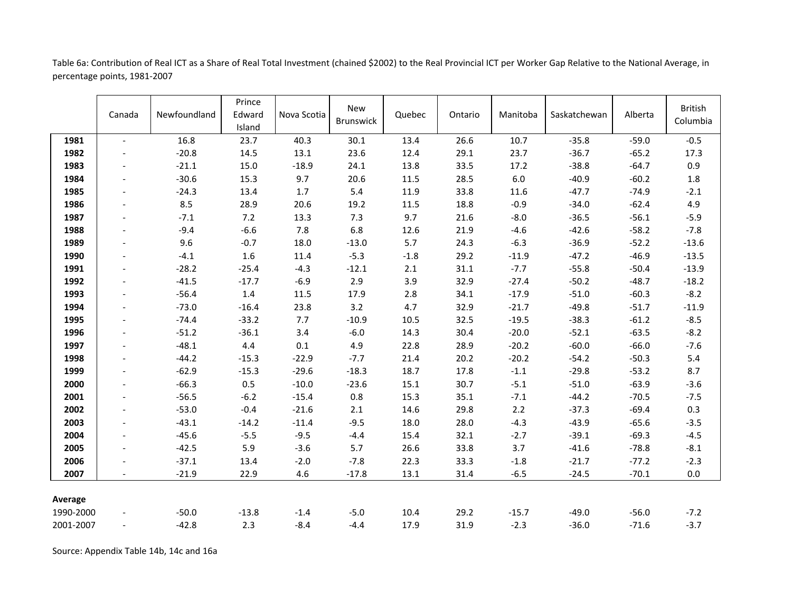Canada Newfoundland Prince Edward Island Nova Scotia New New Quebec Ontario Manitoba Saskatchewan Alberta British<br>Brunswick Quebec Ontario Manitoba Saskatchewan Alberta Columbi Columbia **1981** - 16.8 23.7 40.3 30.1 13.4 26.6 10.7 -35.8 -59.0 -0.5 **1982** - -20.8 14.5 13.1 23.6 12.4 29.1 23.7 -36.7 -65.2 17.3 **1983 | - -21.1 1**5.0 -18.9 24.1 13.8 33.5 17.2 -38.8 -64.7 0.9 **1984** - -30.6 15.3 9.7 20.6 11.5 28.5 6.0 -40.9 -60.2 1.8 **1985** - -24.3 13.4 1.7 5.4 11.9 33.8 11.6 -47.7 -74.9 -2.1 **1986** - 8.5 28.9 20.6 19.2 11.5 18.8 -0.9 -34.0 -62.4 4.9 **1987 | - - -7.1 - 7.2 13.3 7.3 9.7 21.6 -8.0 -36.5 -56.1 -5.9 1988 | - -**9.4 -6.6 7.8 6.8 12.6 21.9 -4.6 -42.6 -58.2 -7.8 **1989** - 9.6 -0.7 18.0 -13.0 5.7 24.3 -6.3 -36.9 -52.2 -13.6 **1990** - -4.1 1.6 11.4 -5.3 -1.8 29.2 -11.9 -47.2 -46.9 -13.5 **1991** - -28.2 -25.4 -4.3 -12.1 2.1 31.1 -7.7 -55.8 -50.4 -13.9 **1992** - -41.5 -17.7 -6.9 2.9 3.9 32.9 -27.4 -50.2 -48.7 -18.2 **1993** - -56.4 1.4 11.5 17.9 2.8 34.1 -17.9 -51.0 -60.3 -8.2 **1994** - -73.0 -16.4 23.8 3.2 4.7 32.9 -21.7 -49.8 -51.7 -11.9 **1995** - -74.4 -33.2 7.7 -10.9 10.5 32.5 -19.5 -38.3 -61.2 -8.5 **1996 | - -**51.2 -36.1 3.4 -6.0 14.3 30.4 -20.0 -52.1 -63.5 -8.2 **1997 | - -**48.1 4.4 0.1 4.9 22.8 28.9 -20.2 -60.0 -66.0 -7.6 **1998 | - -44.2 -15.3 -22.9 -7.7 21.4 20.2 -20.2 -54.2 -50.3 5.4 1999** - -62.9 -15.3 -29.6 -18.3 18.7 17.8 -1.1 -29.8 -53.2 8.7 **2000 | - -**66.3 0.5 -10.0 -23.6 15.1 30.7 -5.1 -51.0 -63.9 -3.6 **2001 | - -**56.5 -6.2 -15.4 0.8 15.3 35.1 -7.1 -44.2 -70.5 -7.5 **2002 | - -**53.0 -0.4 -21.6 2.1 14.6 29.8 2.2 -37.3 -69.4 0.3 **2003 | - -43.1 -14.2 -11.4 -9.5 18.0 28.0 -4.3 -43.9 -65.6 -3.5 2004 | - -45.6 -5.5 -9.5 -4.4 15.4 32.1 -2.7 -39.1 -69.3 -4.5 2005** - -42.5 5.9 -3.6 5.7 26.6 33.8 3.7 -41.6 -78.8 -8.1 **2006** - -37.1 13.4 -2.0 -7.8 22.3 33.3 -1.8 -21.7 -77.2 -2.3 **2007** - -21.9 22.9 4.6 -17.8 13.1 31.4 -6.5 -24.5 -70.1 0.0 **Average** 1990-2000 - -50.0 -13.8 -1.4 -5.0 10.4 29.2 -15.7 -49.0 -56.0 -7.2 2001-2007 - -42.8 2.3 -8.4 -4.4 17.9 31.9 -2.3 -36.0 -71.6 -3.7

Table 6a: Contribution of Real ICT as a Share of Real Total Investment (chained \$2002) to the Real Provincial ICT per Worker Gap Relative to the National Average, in percentage points, 1981-2007

Source: Appendix Table 14b, 14c and 16a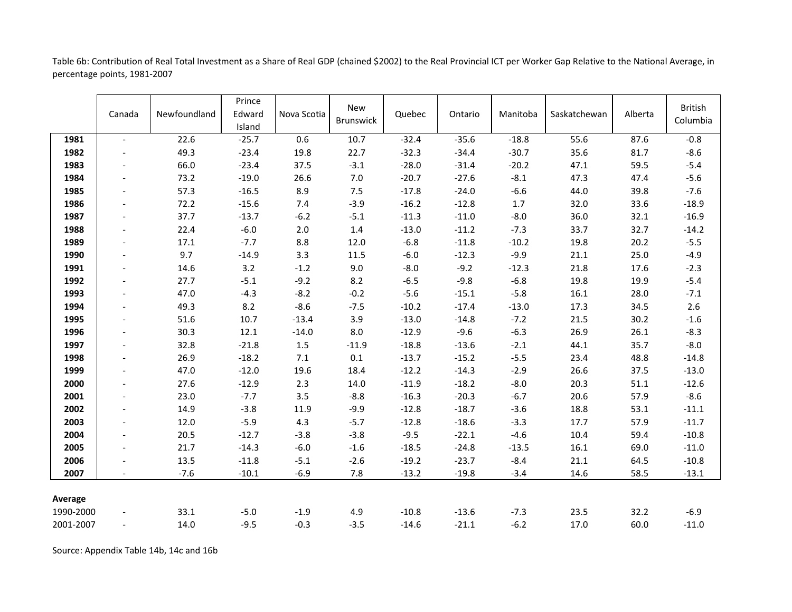Table 6b: Contribution of Real Total Investment as a Share of Real GDP (chained \$2002) to the Real Provincial ICT per Worker Gap Relative to the National Average, in percentage points, 1981-2007

|           | Canada                   | Newfoundland | Prince<br>Edward<br>Island | Nova Scotia | <b>New</b><br><b>Brunswick</b> | Quebec  | Ontario | Manitoba | Saskatchewan | Alberta | <b>British</b><br>Columbia |
|-----------|--------------------------|--------------|----------------------------|-------------|--------------------------------|---------|---------|----------|--------------|---------|----------------------------|
| 1981      | $\overline{\phantom{a}}$ | 22.6         | $-25.7$                    | 0.6         | 10.7                           | $-32.4$ | $-35.6$ | $-18.8$  | 55.6         | 87.6    | $-0.8$                     |
| 1982      | $\overline{\phantom{a}}$ | 49.3         | $-23.4$                    | 19.8        | 22.7                           | $-32.3$ | $-34.4$ | $-30.7$  | 35.6         | 81.7    | $-8.6$                     |
| 1983      | $\overline{\phantom{a}}$ | 66.0         | $-23.4$                    | 37.5        | $-3.1$                         | $-28.0$ | $-31.4$ | $-20.2$  | 47.1         | 59.5    | $-5.4$                     |
| 1984      | $\overline{\phantom{a}}$ | 73.2         | $-19.0$                    | 26.6        | $7.0\,$                        | $-20.7$ | $-27.6$ | $-8.1$   | 47.3         | 47.4    | $-5.6$                     |
| 1985      | $\overline{\phantom{a}}$ | 57.3         | $-16.5$                    | 8.9         | $7.5$                          | $-17.8$ | $-24.0$ | $-6.6$   | 44.0         | 39.8    | $-7.6$                     |
| 1986      | $\overline{\phantom{a}}$ | 72.2         | $-15.6$                    | 7.4         | $-3.9$                         | $-16.2$ | $-12.8$ | $1.7$    | 32.0         | 33.6    | $-18.9$                    |
| 1987      | $\overline{\phantom{a}}$ | 37.7         | $-13.7$                    | $-6.2$      | $-5.1$                         | $-11.3$ | $-11.0$ | $-8.0$   | 36.0         | 32.1    | $-16.9$                    |
| 1988      |                          | 22.4         | $-6.0$                     | $2.0$       | 1.4                            | $-13.0$ | $-11.2$ | $-7.3$   | 33.7         | 32.7    | $-14.2$                    |
| 1989      |                          | 17.1         | $-7.7$                     | 8.8         | 12.0                           | $-6.8$  | $-11.8$ | $-10.2$  | 19.8         | 20.2    | $-5.5$                     |
| 1990      | $\overline{\phantom{a}}$ | 9.7          | $-14.9$                    | 3.3         | 11.5                           | $-6.0$  | $-12.3$ | $-9.9$   | 21.1         | 25.0    | $-4.9$                     |
| 1991      | $\overline{\phantom{a}}$ | 14.6         | 3.2                        | $-1.2$      | 9.0                            | $-8.0$  | $-9.2$  | $-12.3$  | 21.8         | 17.6    | $-2.3$                     |
| 1992      | $\overline{\phantom{a}}$ | 27.7         | $-5.1$                     | $-9.2$      | 8.2                            | $-6.5$  | $-9.8$  | $-6.8$   | 19.8         | 19.9    | $-5.4$                     |
| 1993      | $\overline{\phantom{a}}$ | 47.0         | $-4.3$                     | $-8.2$      | $-0.2$                         | $-5.6$  | $-15.1$ | $-5.8$   | 16.1         | 28.0    | $-7.1$                     |
| 1994      | $\overline{\phantom{a}}$ | 49.3         | 8.2                        | $-8.6$      | $-7.5$                         | $-10.2$ | $-17.4$ | $-13.0$  | 17.3         | 34.5    | 2.6                        |
| 1995      | $\overline{\phantom{a}}$ | 51.6         | 10.7                       | $-13.4$     | 3.9                            | $-13.0$ | $-14.8$ | $-7.2$   | 21.5         | 30.2    | $-1.6$                     |
| 1996      | $\overline{\phantom{a}}$ | 30.3         | 12.1                       | $-14.0$     | 8.0                            | $-12.9$ | $-9.6$  | $-6.3$   | 26.9         | 26.1    | $-8.3$                     |
| 1997      | $\overline{\phantom{a}}$ | 32.8         | $-21.8$                    | 1.5         | $-11.9$                        | $-18.8$ | $-13.6$ | $-2.1$   | 44.1         | 35.7    | $-8.0$                     |
| 1998      |                          | 26.9         | $-18.2$                    | $7.1\,$     | $0.1\,$                        | $-13.7$ | $-15.2$ | $-5.5$   | 23.4         | 48.8    | $-14.8$                    |
| 1999      | $\blacksquare$           | 47.0         | $-12.0$                    | 19.6        | 18.4                           | $-12.2$ | $-14.3$ | $-2.9$   | 26.6         | 37.5    | $-13.0$                    |
| 2000      | $\overline{\phantom{a}}$ | 27.6         | $-12.9$                    | 2.3         | 14.0                           | $-11.9$ | $-18.2$ | $-8.0$   | 20.3         | 51.1    | $-12.6$                    |
| 2001      | $\overline{\phantom{a}}$ | 23.0         | $-7.7$                     | 3.5         | $-8.8$                         | $-16.3$ | $-20.3$ | $-6.7$   | 20.6         | 57.9    | $-8.6$                     |
| 2002      | $\overline{\phantom{a}}$ | 14.9         | $-3.8$                     | 11.9        | $-9.9$                         | $-12.8$ | $-18.7$ | $-3.6$   | 18.8         | 53.1    | $-11.1$                    |
| 2003      | $\overline{\phantom{a}}$ | 12.0         | $-5.9$                     | 4.3         | $-5.7$                         | $-12.8$ | $-18.6$ | $-3.3$   | 17.7         | 57.9    | $-11.7$                    |
| 2004      | $\overline{\phantom{a}}$ | 20.5         | $-12.7$                    | $-3.8$      | $-3.8$                         | $-9.5$  | $-22.1$ | $-4.6$   | 10.4         | 59.4    | $-10.8$                    |
| 2005      | $\overline{\phantom{a}}$ | 21.7         | $-14.3$                    | $-6.0$      | $-1.6$                         | $-18.5$ | $-24.8$ | $-13.5$  | 16.1         | 69.0    | $-11.0$                    |
| 2006      | $\overline{\phantom{a}}$ | 13.5         | $-11.8$                    | $-5.1$      | $-2.6$                         | $-19.2$ | $-23.7$ | $-8.4$   | 21.1         | 64.5    | $-10.8$                    |
| 2007      | $\overline{\phantom{a}}$ | $-7.6$       | $-10.1$                    | $-6.9$      | 7.8                            | $-13.2$ | $-19.8$ | $-3.4$   | 14.6         | 58.5    | $-13.1$                    |
| Average   |                          |              |                            |             |                                |         |         |          |              |         |                            |
| 1990-2000 |                          | 33.1         | $-5.0$                     | $-1.9$      | 4.9                            | $-10.8$ | $-13.6$ | $-7.3$   | 23.5         | 32.2    | $-6.9$                     |
| 2001-2007 |                          | 14.0         | $-9.5$                     | $-0.3$      | $-3.5$                         | $-14.6$ | $-21.1$ | $-6.2$   | 17.0         | 60.0    | $-11.0$                    |

Source: Appendix Table 14b, 14c and 16b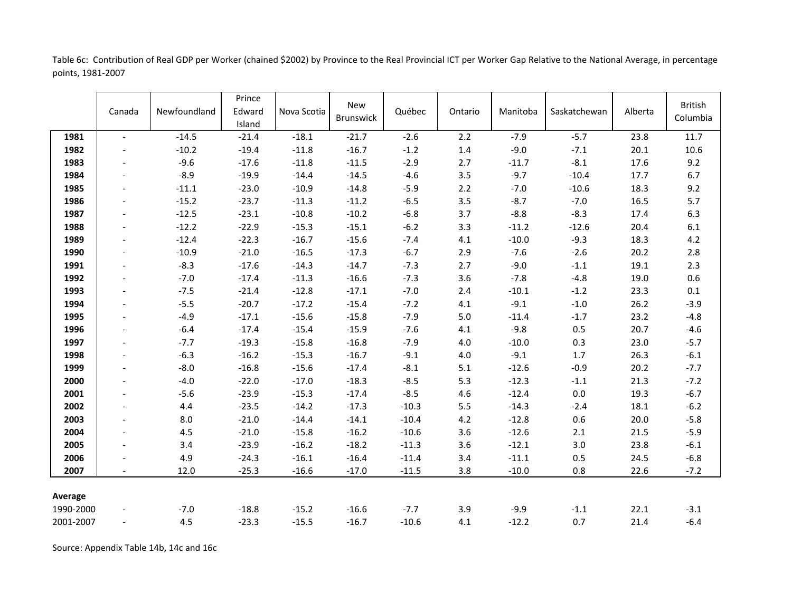Table 6c: Contribution of Real GDP per Worker (chained \$2002) by Province to the Real Provincial ICT per Worker Gap Relative to the National Average, in percentage points, 1981-2007

|           | Canada                   | Newfoundland | Prince<br>Edward<br>Island | Nova Scotia | <b>New</b><br>Brunswick | Québec  | Ontario | Manitoba | Saskatchewan | Alberta | <b>British</b><br>Columbia |
|-----------|--------------------------|--------------|----------------------------|-------------|-------------------------|---------|---------|----------|--------------|---------|----------------------------|
| 1981      | $\overline{\phantom{0}}$ | $-14.5$      | $-21.4$                    | $-18.1$     | $-21.7$                 | $-2.6$  | 2.2     | $-7.9$   | $-5.7$       | 23.8    | 11.7                       |
| 1982      | $\overline{\phantom{a}}$ | $-10.2$      | $-19.4$                    | $-11.8$     | $-16.7$                 | $-1.2$  | 1.4     | $-9.0$   | $-7.1$       | 20.1    | 10.6                       |
| 1983      | $\blacksquare$           | $-9.6$       | $-17.6$                    | $-11.8$     | $-11.5$                 | $-2.9$  | 2.7     | $-11.7$  | $-8.1$       | 17.6    | 9.2                        |
| 1984      |                          | $-8.9$       | $-19.9$                    | $-14.4$     | $-14.5$                 | $-4.6$  | 3.5     | $-9.7$   | $-10.4$      | 17.7    | 6.7                        |
| 1985      | $\overline{\phantom{a}}$ | $-11.1$      | $-23.0$                    | $-10.9$     | $-14.8$                 | $-5.9$  | 2.2     | $-7.0$   | $-10.6$      | 18.3    | 9.2                        |
| 1986      | $\overline{\phantom{a}}$ | $-15.2$      | $-23.7$                    | $-11.3$     | $-11.2$                 | $-6.5$  | 3.5     | $-8.7$   | $-7.0$       | 16.5    | 5.7                        |
| 1987      | $\overline{\phantom{a}}$ | $-12.5$      | $-23.1$                    | $-10.8$     | $-10.2$                 | $-6.8$  | 3.7     | $-8.8$   | $-8.3$       | 17.4    | 6.3                        |
| 1988      | $\overline{\phantom{a}}$ | $-12.2$      | $-22.9$                    | $-15.3$     | $-15.1$                 | $-6.2$  | 3.3     | $-11.2$  | $-12.6$      | 20.4    | $6.1\,$                    |
| 1989      | $\blacksquare$           | $-12.4$      | $-22.3$                    | $-16.7$     | $-15.6$                 | $-7.4$  | 4.1     | $-10.0$  | $-9.3$       | 18.3    | 4.2                        |
| 1990      | $\overline{\phantom{a}}$ | $-10.9$      | $-21.0$                    | $-16.5$     | $-17.3$                 | $-6.7$  | 2.9     | $-7.6$   | $-2.6$       | 20.2    | 2.8                        |
| 1991      | $\overline{\phantom{a}}$ | $-8.3$       | $-17.6$                    | $-14.3$     | $-14.7$                 | $-7.3$  | 2.7     | $-9.0$   | $-1.1$       | 19.1    | 2.3                        |
| 1992      | $\overline{\phantom{a}}$ | $-7.0$       | $-17.4$                    | $-11.3$     | $-16.6$                 | $-7.3$  | 3.6     | $-7.8$   | $-4.8$       | 19.0    | 0.6                        |
| 1993      | $\overline{\phantom{a}}$ | $-7.5$       | $-21.4$                    | $-12.8$     | $-17.1$                 | $-7.0$  | 2.4     | $-10.1$  | $-1.2$       | 23.3    | $0.1\,$                    |
| 1994      | $\blacksquare$           | $-5.5$       | $-20.7$                    | $-17.2$     | $-15.4$                 | $-7.2$  | 4.1     | $-9.1$   | $-1.0$       | 26.2    | $-3.9$                     |
| 1995      | $\overline{\phantom{a}}$ | $-4.9$       | $-17.1$                    | $-15.6$     | $-15.8$                 | $-7.9$  | $5.0$   | $-11.4$  | $-1.7$       | 23.2    | $-4.8$                     |
| 1996      |                          | $-6.4$       | $-17.4$                    | $-15.4$     | $-15.9$                 | $-7.6$  | 4.1     | $-9.8$   | 0.5          | 20.7    | $-4.6$                     |
| 1997      |                          | $-7.7$       | $-19.3$                    | $-15.8$     | $-16.8$                 | $-7.9$  | 4.0     | $-10.0$  | 0.3          | 23.0    | $-5.7$                     |
| 1998      | $\overline{\phantom{a}}$ | $-6.3$       | $-16.2$                    | $-15.3$     | $-16.7$                 | $-9.1$  | $4.0\,$ | $-9.1$   | $1.7$        | 26.3    | $-6.1$                     |
| 1999      | $\overline{\phantom{a}}$ | $-8.0$       | $-16.8$                    | $-15.6$     | $-17.4$                 | $-8.1$  | 5.1     | $-12.6$  | $-0.9$       | 20.2    | $-7.7$                     |
| 2000      | $\blacksquare$           | $-4.0$       | $-22.0$                    | $-17.0$     | $-18.3$                 | $-8.5$  | 5.3     | $-12.3$  | $-1.1$       | 21.3    | $-7.2$                     |
| 2001      | $\overline{\phantom{a}}$ | $-5.6$       | $-23.9$                    | $-15.3$     | $-17.4$                 | $-8.5$  | 4.6     | $-12.4$  | $0.0\,$      | 19.3    | $-6.7$                     |
| 2002      | $\overline{\phantom{a}}$ | 4.4          | $-23.5$                    | $-14.2$     | $-17.3$                 | $-10.3$ | 5.5     | $-14.3$  | $-2.4$       | 18.1    | $-6.2$                     |
| 2003      | $\overline{\phantom{a}}$ | 8.0          | $-21.0$                    | $-14.4$     | $-14.1$                 | $-10.4$ | 4.2     | $-12.8$  | 0.6          | 20.0    | $-5.8$                     |
| 2004      | $\overline{\phantom{a}}$ | 4.5          | $-21.0$                    | $-15.8$     | $-16.2$                 | $-10.6$ | 3.6     | $-12.6$  | 2.1          | 21.5    | $-5.9$                     |
| 2005      |                          | 3.4          | $-23.9$                    | $-16.2$     | $-18.2$                 | $-11.3$ | 3.6     | $-12.1$  | 3.0          | 23.8    | $-6.1$                     |
| 2006      |                          | 4.9          | $-24.3$                    | $-16.1$     | $-16.4$                 | $-11.4$ | 3.4     | $-11.1$  | 0.5          | 24.5    | $-6.8$                     |
| 2007      |                          | 12.0         | $-25.3$                    | $-16.6$     | $-17.0$                 | $-11.5$ | 3.8     | $-10.0$  | 0.8          | 22.6    | $-7.2$                     |
| Average   |                          |              |                            |             |                         |         |         |          |              |         |                            |
| 1990-2000 |                          | $-7.0$       | $-18.8$                    | $-15.2$     | $-16.6$                 | $-7.7$  | 3.9     | $-9.9$   | $-1.1$       | 22.1    | $-3.1$                     |
| 2001-2007 |                          | 4.5          | $-23.3$                    | $-15.5$     | $-16.7$                 | $-10.6$ | 4.1     | $-12.2$  | 0.7          | 21.4    | $-6.4$                     |

Source: Appendix Table 14b, 14c and 16c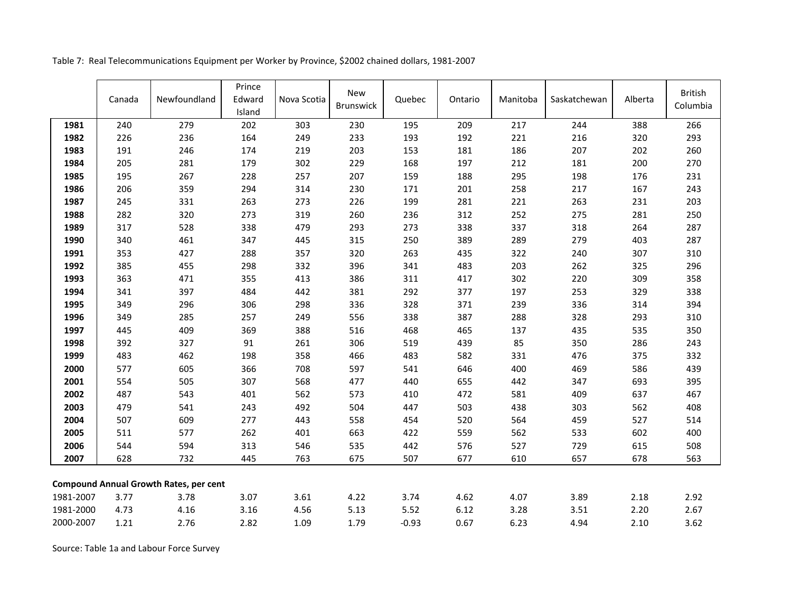Table 7: Real Telecommunications Equipment per Worker by Province, \$2002 chained dollars, 1981-2007

|           | Canada | Newfoundland                                  | Prince<br>Edward<br>Island | Nova Scotia | <b>New</b><br><b>Brunswick</b> | Quebec  | Ontario | Manitoba | Saskatchewan | Alberta | <b>British</b><br>Columbia |
|-----------|--------|-----------------------------------------------|----------------------------|-------------|--------------------------------|---------|---------|----------|--------------|---------|----------------------------|
| 1981      | 240    | 279                                           | 202                        | 303         | 230                            | 195     | 209     | 217      | 244          | 388     | 266                        |
| 1982      | 226    | 236                                           | 164                        | 249         | 233                            | 193     | 192     | 221      | 216          | 320     | 293                        |
| 1983      | 191    | 246                                           | 174                        | 219         | 203                            | 153     | 181     | 186      | 207          | 202     | 260                        |
| 1984      | 205    | 281                                           | 179                        | 302         | 229                            | 168     | 197     | 212      | 181          | 200     | 270                        |
| 1985      | 195    | 267                                           | 228                        | 257         | 207                            | 159     | 188     | 295      | 198          | 176     | 231                        |
| 1986      | 206    | 359                                           | 294                        | 314         | 230                            | 171     | 201     | 258      | 217          | 167     | 243                        |
| 1987      | 245    | 331                                           | 263                        | 273         | 226                            | 199     | 281     | 221      | 263          | 231     | 203                        |
| 1988      | 282    | 320                                           | 273                        | 319         | 260                            | 236     | 312     | 252      | 275          | 281     | 250                        |
| 1989      | 317    | 528                                           | 338                        | 479         | 293                            | 273     | 338     | 337      | 318          | 264     | 287                        |
| 1990      | 340    | 461                                           | 347                        | 445         | 315                            | 250     | 389     | 289      | 279          | 403     | 287                        |
| 1991      | 353    | 427                                           | 288                        | 357         | 320                            | 263     | 435     | 322      | 240          | 307     | 310                        |
| 1992      | 385    | 455                                           | 298                        | 332         | 396                            | 341     | 483     | 203      | 262          | 325     | 296                        |
| 1993      | 363    | 471                                           | 355                        | 413         | 386                            | 311     | 417     | 302      | 220          | 309     | 358                        |
| 1994      | 341    | 397                                           | 484                        | 442         | 381                            | 292     | 377     | 197      | 253          | 329     | 338                        |
| 1995      | 349    | 296                                           | 306                        | 298         | 336                            | 328     | 371     | 239      | 336          | 314     | 394                        |
| 1996      | 349    | 285                                           | 257                        | 249         | 556                            | 338     | 387     | 288      | 328          | 293     | 310                        |
| 1997      | 445    | 409                                           | 369                        | 388         | 516                            | 468     | 465     | 137      | 435          | 535     | 350                        |
| 1998      | 392    | 327                                           | 91                         | 261         | 306                            | 519     | 439     | 85       | 350          | 286     | 243                        |
| 1999      | 483    | 462                                           | 198                        | 358         | 466                            | 483     | 582     | 331      | 476          | 375     | 332                        |
| 2000      | 577    | 605                                           | 366                        | 708         | 597                            | 541     | 646     | 400      | 469          | 586     | 439                        |
| 2001      | 554    | 505                                           | 307                        | 568         | 477                            | 440     | 655     | 442      | 347          | 693     | 395                        |
| 2002      | 487    | 543                                           | 401                        | 562         | 573                            | 410     | 472     | 581      | 409          | 637     | 467                        |
| 2003      | 479    | 541                                           | 243                        | 492         | 504                            | 447     | 503     | 438      | 303          | 562     | 408                        |
| 2004      | 507    | 609                                           | 277                        | 443         | 558                            | 454     | 520     | 564      | 459          | 527     | 514                        |
| 2005      | 511    | 577                                           | 262                        | 401         | 663                            | 422     | 559     | 562      | 533          | 602     | 400                        |
| 2006      | 544    | 594                                           | 313                        | 546         | 535                            | 442     | 576     | 527      | 729          | 615     | 508                        |
| 2007      | 628    | 732                                           | 445                        | 763         | 675                            | 507     | 677     | 610      | 657          | 678     | 563                        |
|           |        | <b>Compound Annual Growth Rates, per cent</b> |                            |             |                                |         |         |          |              |         |                            |
| 1981-2007 | 3.77   | 3.78                                          | 3.07                       | 3.61        | 4.22                           | 3.74    | 4.62    | 4.07     | 3.89         | 2.18    | 2.92                       |
| 1981-2000 | 4.73   | 4.16                                          | 3.16                       | 4.56        | 5.13                           | 5.52    | 6.12    | 3.28     | 3.51         | 2.20    | 2.67                       |
| 2000-2007 | 1.21   | 2.76                                          | 2.82                       | 1.09        | 1.79                           | $-0.93$ | 0.67    | 6.23     | 4.94         | 2.10    | 3.62                       |

Source: Table 1a and Labour Force Survey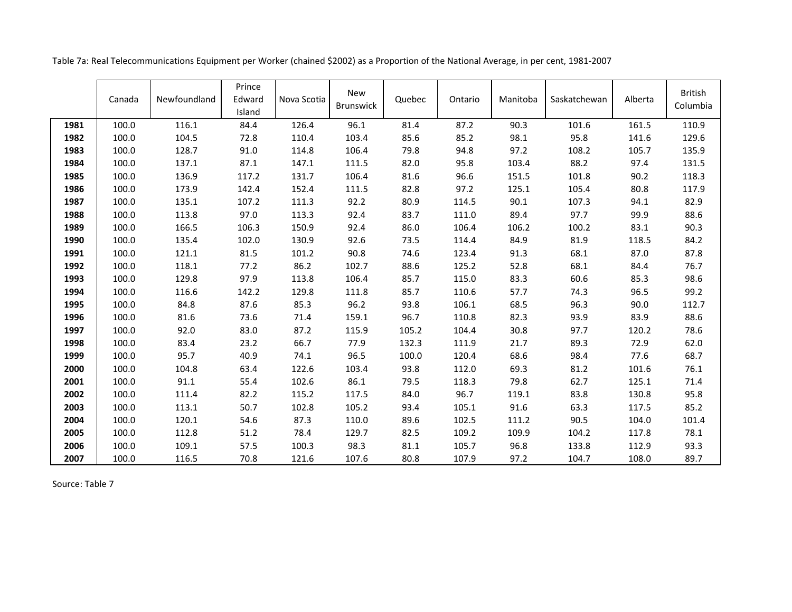|      | Canada | Newfoundland | Prince<br>Edward<br>Island | Nova Scotia | <b>New</b><br><b>Brunswick</b> | Quebec | Ontario | Manitoba | Saskatchewan | Alberta | <b>British</b><br>Columbia |
|------|--------|--------------|----------------------------|-------------|--------------------------------|--------|---------|----------|--------------|---------|----------------------------|
| 1981 | 100.0  | 116.1        | 84.4                       | 126.4       | 96.1                           | 81.4   | 87.2    | 90.3     | 101.6        | 161.5   | 110.9                      |
| 1982 | 100.0  | 104.5        | 72.8                       | 110.4       | 103.4                          | 85.6   | 85.2    | 98.1     | 95.8         | 141.6   | 129.6                      |
| 1983 | 100.0  | 128.7        | 91.0                       | 114.8       | 106.4                          | 79.8   | 94.8    | 97.2     | 108.2        | 105.7   | 135.9                      |
| 1984 | 100.0  | 137.1        | 87.1                       | 147.1       | 111.5                          | 82.0   | 95.8    | 103.4    | 88.2         | 97.4    | 131.5                      |
| 1985 | 100.0  | 136.9        | 117.2                      | 131.7       | 106.4                          | 81.6   | 96.6    | 151.5    | 101.8        | 90.2    | 118.3                      |
| 1986 | 100.0  | 173.9        | 142.4                      | 152.4       | 111.5                          | 82.8   | 97.2    | 125.1    | 105.4        | 80.8    | 117.9                      |
| 1987 | 100.0  | 135.1        | 107.2                      | 111.3       | 92.2                           | 80.9   | 114.5   | 90.1     | 107.3        | 94.1    | 82.9                       |
| 1988 | 100.0  | 113.8        | 97.0                       | 113.3       | 92.4                           | 83.7   | 111.0   | 89.4     | 97.7         | 99.9    | 88.6                       |
| 1989 | 100.0  | 166.5        | 106.3                      | 150.9       | 92.4                           | 86.0   | 106.4   | 106.2    | 100.2        | 83.1    | 90.3                       |
| 1990 | 100.0  | 135.4        | 102.0                      | 130.9       | 92.6                           | 73.5   | 114.4   | 84.9     | 81.9         | 118.5   | 84.2                       |
| 1991 | 100.0  | 121.1        | 81.5                       | 101.2       | 90.8                           | 74.6   | 123.4   | 91.3     | 68.1         | 87.0    | 87.8                       |
| 1992 | 100.0  | 118.1        | 77.2                       | 86.2        | 102.7                          | 88.6   | 125.2   | 52.8     | 68.1         | 84.4    | 76.7                       |
| 1993 | 100.0  | 129.8        | 97.9                       | 113.8       | 106.4                          | 85.7   | 115.0   | 83.3     | 60.6         | 85.3    | 98.6                       |
| 1994 | 100.0  | 116.6        | 142.2                      | 129.8       | 111.8                          | 85.7   | 110.6   | 57.7     | 74.3         | 96.5    | 99.2                       |
| 1995 | 100.0  | 84.8         | 87.6                       | 85.3        | 96.2                           | 93.8   | 106.1   | 68.5     | 96.3         | 90.0    | 112.7                      |
| 1996 | 100.0  | 81.6         | 73.6                       | 71.4        | 159.1                          | 96.7   | 110.8   | 82.3     | 93.9         | 83.9    | 88.6                       |
| 1997 | 100.0  | 92.0         | 83.0                       | 87.2        | 115.9                          | 105.2  | 104.4   | 30.8     | 97.7         | 120.2   | 78.6                       |
| 1998 | 100.0  | 83.4         | 23.2                       | 66.7        | 77.9                           | 132.3  | 111.9   | 21.7     | 89.3         | 72.9    | 62.0                       |
| 1999 | 100.0  | 95.7         | 40.9                       | 74.1        | 96.5                           | 100.0  | 120.4   | 68.6     | 98.4         | 77.6    | 68.7                       |
| 2000 | 100.0  | 104.8        | 63.4                       | 122.6       | 103.4                          | 93.8   | 112.0   | 69.3     | 81.2         | 101.6   | 76.1                       |
| 2001 | 100.0  | 91.1         | 55.4                       | 102.6       | 86.1                           | 79.5   | 118.3   | 79.8     | 62.7         | 125.1   | 71.4                       |
| 2002 | 100.0  | 111.4        | 82.2                       | 115.2       | 117.5                          | 84.0   | 96.7    | 119.1    | 83.8         | 130.8   | 95.8                       |
| 2003 | 100.0  | 113.1        | 50.7                       | 102.8       | 105.2                          | 93.4   | 105.1   | 91.6     | 63.3         | 117.5   | 85.2                       |
| 2004 | 100.0  | 120.1        | 54.6                       | 87.3        | 110.0                          | 89.6   | 102.5   | 111.2    | 90.5         | 104.0   | 101.4                      |
| 2005 | 100.0  | 112.8        | 51.2                       | 78.4        | 129.7                          | 82.5   | 109.2   | 109.9    | 104.2        | 117.8   | 78.1                       |
| 2006 | 100.0  | 109.1        | 57.5                       | 100.3       | 98.3                           | 81.1   | 105.7   | 96.8     | 133.8        | 112.9   | 93.3                       |
| 2007 | 100.0  | 116.5        | 70.8                       | 121.6       | 107.6                          | 80.8   | 107.9   | 97.2     | 104.7        | 108.0   | 89.7                       |

Table 7a: Real Telecommunications Equipment per Worker (chained \$2002) as a Proportion of the National Average, in per cent, 1981-2007

Source: Table 7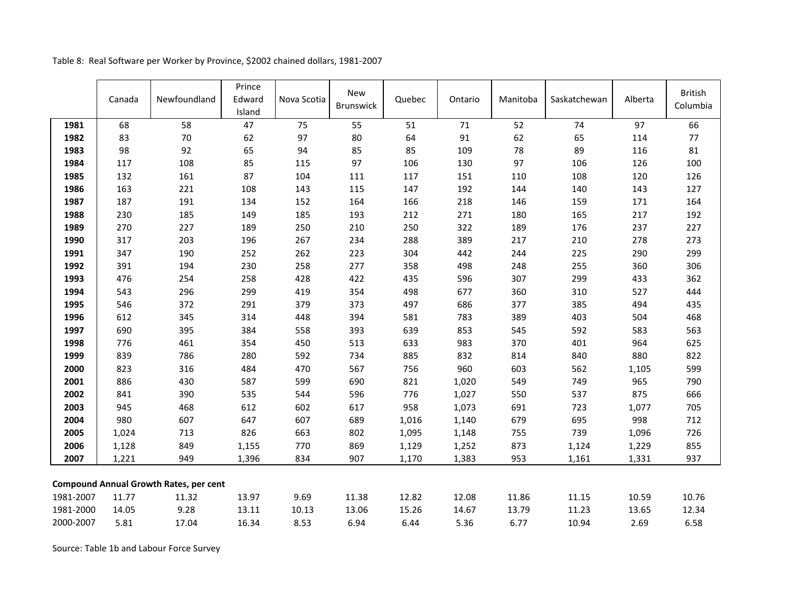|           | Canada | Newfoundland                                  | Prince<br>Edward<br>Island | Nova Scotia | <b>New</b><br>Brunswick | Quebec | Ontario | Manitoba | Saskatchewan | Alberta | <b>British</b><br>Columbia |
|-----------|--------|-----------------------------------------------|----------------------------|-------------|-------------------------|--------|---------|----------|--------------|---------|----------------------------|
| 1981      | 68     | 58                                            | 47                         | 75          | 55                      | 51     | 71      | 52       | 74           | 97      | 66                         |
| 1982      | 83     | 70                                            | 62                         | 97          | 80                      | 64     | 91      | 62       | 65           | 114     | 77                         |
| 1983      | 98     | 92                                            | 65                         | 94          | 85                      | 85     | 109     | 78       | 89           | 116     | 81                         |
| 1984      | 117    | 108                                           | 85                         | 115         | 97                      | 106    | 130     | 97       | 106          | 126     | 100                        |
| 1985      | 132    | 161                                           | 87                         | 104         | 111                     | 117    | 151     | 110      | 108          | 120     | 126                        |
| 1986      | 163    | 221                                           | 108                        | 143         | 115                     | 147    | 192     | 144      | 140          | 143     | 127                        |
| 1987      | 187    | 191                                           | 134                        | 152         | 164                     | 166    | 218     | 146      | 159          | 171     | 164                        |
| 1988      | 230    | 185                                           | 149                        | 185         | 193                     | 212    | 271     | 180      | 165          | 217     | 192                        |
| 1989      | 270    | 227                                           | 189                        | 250         | 210                     | 250    | 322     | 189      | 176          | 237     | 227                        |
| 1990      | 317    | 203                                           | 196                        | 267         | 234                     | 288    | 389     | 217      | 210          | 278     | 273                        |
| 1991      | 347    | 190                                           | 252                        | 262         | 223                     | 304    | 442     | 244      | 225          | 290     | 299                        |
| 1992      | 391    | 194                                           | 230                        | 258         | 277                     | 358    | 498     | 248      | 255          | 360     | 306                        |
| 1993      | 476    | 254                                           | 258                        | 428         | 422                     | 435    | 596     | 307      | 299          | 433     | 362                        |
| 1994      | 543    | 296                                           | 299                        | 419         | 354                     | 498    | 677     | 360      | 310          | 527     | 444                        |
| 1995      | 546    | 372                                           | 291                        | 379         | 373                     | 497    | 686     | 377      | 385          | 494     | 435                        |
| 1996      | 612    | 345                                           | 314                        | 448         | 394                     | 581    | 783     | 389      | 403          | 504     | 468                        |
| 1997      | 690    | 395                                           | 384                        | 558         | 393                     | 639    | 853     | 545      | 592          | 583     | 563                        |
| 1998      | 776    | 461                                           | 354                        | 450         | 513                     | 633    | 983     | 370      | 401          | 964     | 625                        |
| 1999      | 839    | 786                                           | 280                        | 592         | 734                     | 885    | 832     | 814      | 840          | 880     | 822                        |
| 2000      | 823    | 316                                           | 484                        | 470         | 567                     | 756    | 960     | 603      | 562          | 1,105   | 599                        |
| 2001      | 886    | 430                                           | 587                        | 599         | 690                     | 821    | 1,020   | 549      | 749          | 965     | 790                        |
| 2002      | 841    | 390                                           | 535                        | 544         | 596                     | 776    | 1,027   | 550      | 537          | 875     | 666                        |
| 2003      | 945    | 468                                           | 612                        | 602         | 617                     | 958    | 1,073   | 691      | 723          | 1,077   | 705                        |
| 2004      | 980    | 607                                           | 647                        | 607         | 689                     | 1,016  | 1,140   | 679      | 695          | 998     | 712                        |
| 2005      | 1,024  | 713                                           | 826                        | 663         | 802                     | 1,095  | 1,148   | 755      | 739          | 1,096   | 726                        |
| 2006      | 1,128  | 849                                           | 1,155                      | 770         | 869                     | 1,129  | 1,252   | 873      | 1,124        | 1,229   | 855                        |
| 2007      | 1,221  | 949                                           | 1,396                      | 834         | 907                     | 1,170  | 1,383   | 953      | 1,161        | 1,331   | 937                        |
|           |        | <b>Compound Annual Growth Rates, per cent</b> |                            |             |                         |        |         |          |              |         |                            |
| 1981-2007 | 11.77  | 11.32                                         | 13.97                      | 9.69        | 11.38                   | 12.82  | 12.08   | 11.86    | 11.15        | 10.59   | 10.76                      |
| 1981-2000 | 14.05  | 9.28                                          | 13.11                      | 10.13       | 13.06                   | 15.26  | 14.67   | 13.79    | 11.23        | 13.65   | 12.34                      |
| 2000-2007 | 5.81   | 17.04                                         | 16.34                      | 8.53        | 6.94                    | 6.44   | 5.36    | 6.77     | 10.94        | 2.69    | 6.58                       |

Table 8: Real Software per Worker by Province, \$2002 chained dollars, 1981-2007

Source: Table 1b and Labour Force Survey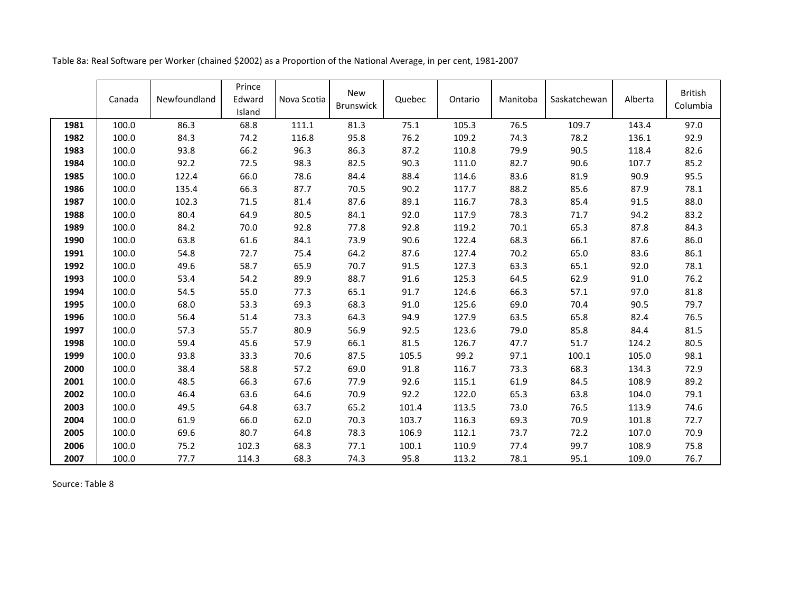| Table 8a: Real Software per Worker (chained \$2002) as a Proportion of the National Average, in per cent, 1981-2007 |  |  |  |
|---------------------------------------------------------------------------------------------------------------------|--|--|--|
|---------------------------------------------------------------------------------------------------------------------|--|--|--|

|      | Canada | Newfoundland | Prince<br>Edward<br>Island | Nova Scotia | <b>New</b><br><b>Brunswick</b> | Quebec | Ontario | Manitoba | Saskatchewan | Alberta | <b>British</b><br>Columbia |
|------|--------|--------------|----------------------------|-------------|--------------------------------|--------|---------|----------|--------------|---------|----------------------------|
| 1981 | 100.0  | 86.3         | 68.8                       | 111.1       | 81.3                           | 75.1   | 105.3   | 76.5     | 109.7        | 143.4   | 97.0                       |
| 1982 | 100.0  | 84.3         | 74.2                       | 116.8       | 95.8                           | 76.2   | 109.2   | 74.3     | 78.2         | 136.1   | 92.9                       |
| 1983 | 100.0  | 93.8         | 66.2                       | 96.3        | 86.3                           | 87.2   | 110.8   | 79.9     | 90.5         | 118.4   | 82.6                       |
| 1984 | 100.0  | 92.2         | 72.5                       | 98.3        | 82.5                           | 90.3   | 111.0   | 82.7     | 90.6         | 107.7   | 85.2                       |
| 1985 | 100.0  | 122.4        | 66.0                       | 78.6        | 84.4                           | 88.4   | 114.6   | 83.6     | 81.9         | 90.9    | 95.5                       |
| 1986 | 100.0  | 135.4        | 66.3                       | 87.7        | 70.5                           | 90.2   | 117.7   | 88.2     | 85.6         | 87.9    | 78.1                       |
| 1987 | 100.0  | 102.3        | 71.5                       | 81.4        | 87.6                           | 89.1   | 116.7   | 78.3     | 85.4         | 91.5    | 88.0                       |
| 1988 | 100.0  | 80.4         | 64.9                       | 80.5        | 84.1                           | 92.0   | 117.9   | 78.3     | 71.7         | 94.2    | 83.2                       |
| 1989 | 100.0  | 84.2         | 70.0                       | 92.8        | 77.8                           | 92.8   | 119.2   | 70.1     | 65.3         | 87.8    | 84.3                       |
| 1990 | 100.0  | 63.8         | 61.6                       | 84.1        | 73.9                           | 90.6   | 122.4   | 68.3     | 66.1         | 87.6    | 86.0                       |
| 1991 | 100.0  | 54.8         | 72.7                       | 75.4        | 64.2                           | 87.6   | 127.4   | 70.2     | 65.0         | 83.6    | 86.1                       |
| 1992 | 100.0  | 49.6         | 58.7                       | 65.9        | 70.7                           | 91.5   | 127.3   | 63.3     | 65.1         | 92.0    | 78.1                       |
| 1993 | 100.0  | 53.4         | 54.2                       | 89.9        | 88.7                           | 91.6   | 125.3   | 64.5     | 62.9         | 91.0    | 76.2                       |
| 1994 | 100.0  | 54.5         | 55.0                       | 77.3        | 65.1                           | 91.7   | 124.6   | 66.3     | 57.1         | 97.0    | 81.8                       |
| 1995 | 100.0  | 68.0         | 53.3                       | 69.3        | 68.3                           | 91.0   | 125.6   | 69.0     | 70.4         | 90.5    | 79.7                       |
| 1996 | 100.0  | 56.4         | 51.4                       | 73.3        | 64.3                           | 94.9   | 127.9   | 63.5     | 65.8         | 82.4    | 76.5                       |
| 1997 | 100.0  | 57.3         | 55.7                       | 80.9        | 56.9                           | 92.5   | 123.6   | 79.0     | 85.8         | 84.4    | 81.5                       |
| 1998 | 100.0  | 59.4         | 45.6                       | 57.9        | 66.1                           | 81.5   | 126.7   | 47.7     | 51.7         | 124.2   | 80.5                       |
| 1999 | 100.0  | 93.8         | 33.3                       | 70.6        | 87.5                           | 105.5  | 99.2    | 97.1     | 100.1        | 105.0   | 98.1                       |
| 2000 | 100.0  | 38.4         | 58.8                       | 57.2        | 69.0                           | 91.8   | 116.7   | 73.3     | 68.3         | 134.3   | 72.9                       |
| 2001 | 100.0  | 48.5         | 66.3                       | 67.6        | 77.9                           | 92.6   | 115.1   | 61.9     | 84.5         | 108.9   | 89.2                       |
| 2002 | 100.0  | 46.4         | 63.6                       | 64.6        | 70.9                           | 92.2   | 122.0   | 65.3     | 63.8         | 104.0   | 79.1                       |
| 2003 | 100.0  | 49.5         | 64.8                       | 63.7        | 65.2                           | 101.4  | 113.5   | 73.0     | 76.5         | 113.9   | 74.6                       |
| 2004 | 100.0  | 61.9         | 66.0                       | 62.0        | 70.3                           | 103.7  | 116.3   | 69.3     | 70.9         | 101.8   | 72.7                       |
| 2005 | 100.0  | 69.6         | 80.7                       | 64.8        | 78.3                           | 106.9  | 112.1   | 73.7     | 72.2         | 107.0   | 70.9                       |
| 2006 | 100.0  | 75.2         | 102.3                      | 68.3        | 77.1                           | 100.1  | 110.9   | 77.4     | 99.7         | 108.9   | 75.8                       |
| 2007 | 100.0  | 77.7         | 114.3                      | 68.3        | 74.3                           | 95.8   | 113.2   | 78.1     | 95.1         | 109.0   | 76.7                       |

Source: Table 8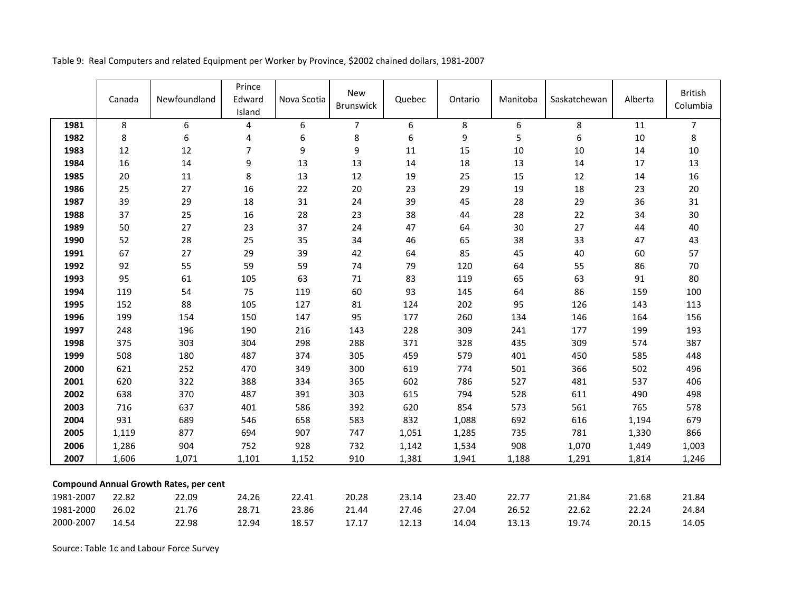|           | Canada | Newfoundland                                  | Prince<br>Edward<br>Island | Nova Scotia | <b>New</b><br><b>Brunswick</b> | Quebec | Ontario | Manitoba | Saskatchewan     | Alberta | <b>British</b><br>Columbia |
|-----------|--------|-----------------------------------------------|----------------------------|-------------|--------------------------------|--------|---------|----------|------------------|---------|----------------------------|
| 1981      | 8      | 6                                             | 4                          | 6           | $\overline{7}$                 | 6      | 8       | 6        | 8                | 11      | $\overline{7}$             |
| 1982      | 8      | 6                                             | 4                          | 6           | $\bf 8$                        | 6      | 9       | 5        | $\boldsymbol{6}$ | $10\,$  | $\bf 8$                    |
| 1983      | 12     | 12                                            | $\overline{7}$             | 9           | 9                              | 11     | 15      | 10       | 10               | 14      | $10\,$                     |
| 1984      | 16     | 14                                            | 9                          | 13          | 13                             | $14\,$ | 18      | 13       | 14               | $17\,$  | 13                         |
| 1985      | 20     | 11                                            | 8                          | 13          | $12\,$                         | 19     | 25      | 15       | 12               | 14      | 16                         |
| 1986      | 25     | 27                                            | $16\,$                     | 22          | $20\,$                         | 23     | 29      | 19       | 18               | 23      | $20\,$                     |
| 1987      | 39     | 29                                            | $18\,$                     | 31          | 24                             | 39     | 45      | 28       | 29               | 36      | 31                         |
| 1988      | 37     | 25                                            | 16                         | 28          | 23                             | 38     | $44\,$  | 28       | 22               | 34      | 30                         |
| 1989      | 50     | 27                                            | 23                         | 37          | 24                             | 47     | 64      | 30       | 27               | 44      | 40                         |
| 1990      | 52     | 28                                            | 25                         | 35          | 34                             | 46     | 65      | 38       | 33               | 47      | 43                         |
| 1991      | 67     | 27                                            | 29                         | 39          | 42                             | 64     | 85      | 45       | 40               | 60      | 57                         |
| 1992      | 92     | 55                                            | 59                         | 59          | 74                             | 79     | 120     | 64       | 55               | 86      | $70\,$                     |
| 1993      | 95     | 61                                            | 105                        | 63          | 71                             | 83     | 119     | 65       | 63               | 91      | 80                         |
| 1994      | 119    | 54                                            | 75                         | 119         | 60                             | 93     | 145     | 64       | 86               | 159     | 100                        |
| 1995      | 152    | 88                                            | 105                        | 127         | 81                             | 124    | 202     | 95       | 126              | 143     | 113                        |
| 1996      | 199    | 154                                           | 150                        | 147         | 95                             | 177    | 260     | 134      | 146              | 164     | 156                        |
| 1997      | 248    | 196                                           | 190                        | 216         | 143                            | 228    | 309     | 241      | 177              | 199     | 193                        |
| 1998      | 375    | 303                                           | 304                        | 298         | 288                            | 371    | 328     | 435      | 309              | 574     | 387                        |
| 1999      | 508    | 180                                           | 487                        | 374         | 305                            | 459    | 579     | 401      | 450              | 585     | 448                        |
| 2000      | 621    | 252                                           | 470                        | 349         | 300                            | 619    | 774     | 501      | 366              | 502     | 496                        |
| 2001      | 620    | 322                                           | 388                        | 334         | 365                            | 602    | 786     | 527      | 481              | 537     | 406                        |
| 2002      | 638    | 370                                           | 487                        | 391         | 303                            | 615    | 794     | 528      | 611              | 490     | 498                        |
| 2003      | 716    | 637                                           | 401                        | 586         | 392                            | 620    | 854     | 573      | 561              | 765     | 578                        |
| 2004      | 931    | 689                                           | 546                        | 658         | 583                            | 832    | 1,088   | 692      | 616              | 1,194   | 679                        |
| 2005      | 1,119  | 877                                           | 694                        | 907         | 747                            | 1,051  | 1,285   | 735      | 781              | 1,330   | 866                        |
| 2006      | 1,286  | 904                                           | 752                        | 928         | 732                            | 1,142  | 1,534   | 908      | 1,070            | 1,449   | 1,003                      |
| 2007      | 1,606  | 1,071                                         | 1,101                      | 1,152       | 910                            | 1,381  | 1,941   | 1,188    | 1,291            | 1,814   | 1,246                      |
|           |        | <b>Compound Annual Growth Rates, per cent</b> |                            |             |                                |        |         |          |                  |         |                            |
| 1981-2007 | 22.82  | 22.09                                         | 24.26                      | 22.41       | 20.28                          | 23.14  | 23.40   | 22.77    | 21.84            | 21.68   | 21.84                      |
| 1981-2000 | 26.02  | 21.76                                         | 28.71                      | 23.86       | 21.44                          | 27.46  | 27.04   | 26.52    | 22.62            | 22.24   | 24.84                      |
| 2000-2007 | 14.54  | 22.98                                         | 12.94                      | 18.57       | 17.17                          | 12.13  | 14.04   | 13.13    | 19.74            | 20.15   | 14.05                      |

Source: Table 1c and Labour Force Survey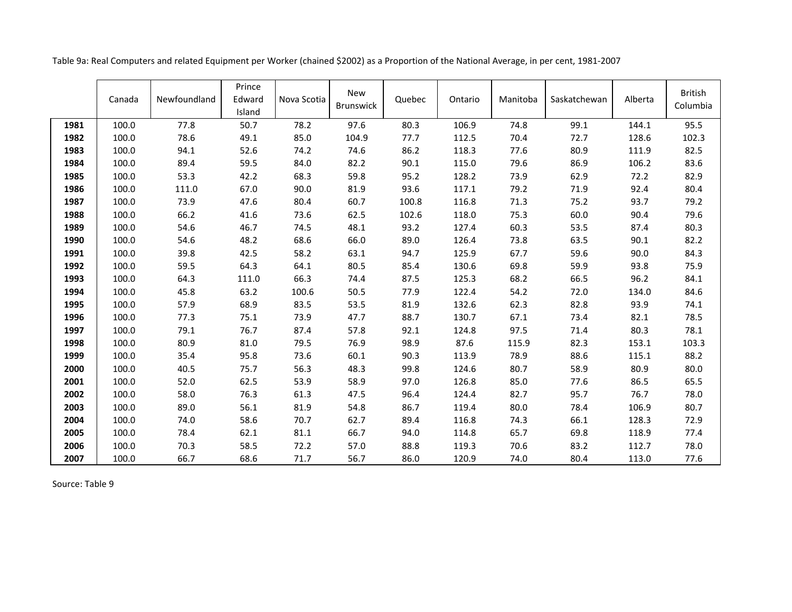|      | Canada | Newfoundland | Prince<br>Edward<br>Island | Nova Scotia | <b>New</b><br><b>Brunswick</b> | Quebec | Ontario | Manitoba | Saskatchewan | Alberta | <b>British</b><br>Columbia |
|------|--------|--------------|----------------------------|-------------|--------------------------------|--------|---------|----------|--------------|---------|----------------------------|
| 1981 | 100.0  | 77.8         | 50.7                       | 78.2        | 97.6                           | 80.3   | 106.9   | 74.8     | 99.1         | 144.1   | 95.5                       |
| 1982 | 100.0  | 78.6         | 49.1                       | 85.0        | 104.9                          | 77.7   | 112.5   | 70.4     | 72.7         | 128.6   | 102.3                      |
| 1983 | 100.0  | 94.1         | 52.6                       | 74.2        | 74.6                           | 86.2   | 118.3   | 77.6     | 80.9         | 111.9   | 82.5                       |
| 1984 | 100.0  | 89.4         | 59.5                       | 84.0        | 82.2                           | 90.1   | 115.0   | 79.6     | 86.9         | 106.2   | 83.6                       |
| 1985 | 100.0  | 53.3         | 42.2                       | 68.3        | 59.8                           | 95.2   | 128.2   | 73.9     | 62.9         | 72.2    | 82.9                       |
| 1986 | 100.0  | 111.0        | 67.0                       | 90.0        | 81.9                           | 93.6   | 117.1   | 79.2     | 71.9         | 92.4    | 80.4                       |
| 1987 | 100.0  | 73.9         | 47.6                       | 80.4        | 60.7                           | 100.8  | 116.8   | 71.3     | 75.2         | 93.7    | 79.2                       |
| 1988 | 100.0  | 66.2         | 41.6                       | 73.6        | 62.5                           | 102.6  | 118.0   | 75.3     | 60.0         | 90.4    | 79.6                       |
| 1989 | 100.0  | 54.6         | 46.7                       | 74.5        | 48.1                           | 93.2   | 127.4   | 60.3     | 53.5         | 87.4    | 80.3                       |
| 1990 | 100.0  | 54.6         | 48.2                       | 68.6        | 66.0                           | 89.0   | 126.4   | 73.8     | 63.5         | 90.1    | 82.2                       |
| 1991 | 100.0  | 39.8         | 42.5                       | 58.2        | 63.1                           | 94.7   | 125.9   | 67.7     | 59.6         | 90.0    | 84.3                       |
| 1992 | 100.0  | 59.5         | 64.3                       | 64.1        | 80.5                           | 85.4   | 130.6   | 69.8     | 59.9         | 93.8    | 75.9                       |
| 1993 | 100.0  | 64.3         | 111.0                      | 66.3        | 74.4                           | 87.5   | 125.3   | 68.2     | 66.5         | 96.2    | 84.1                       |
| 1994 | 100.0  | 45.8         | 63.2                       | 100.6       | 50.5                           | 77.9   | 122.4   | 54.2     | 72.0         | 134.0   | 84.6                       |
| 1995 | 100.0  | 57.9         | 68.9                       | 83.5        | 53.5                           | 81.9   | 132.6   | 62.3     | 82.8         | 93.9    | 74.1                       |
| 1996 | 100.0  | 77.3         | 75.1                       | 73.9        | 47.7                           | 88.7   | 130.7   | 67.1     | 73.4         | 82.1    | 78.5                       |
| 1997 | 100.0  | 79.1         | 76.7                       | 87.4        | 57.8                           | 92.1   | 124.8   | 97.5     | 71.4         | 80.3    | 78.1                       |
| 1998 | 100.0  | 80.9         | 81.0                       | 79.5        | 76.9                           | 98.9   | 87.6    | 115.9    | 82.3         | 153.1   | 103.3                      |
| 1999 | 100.0  | 35.4         | 95.8                       | 73.6        | 60.1                           | 90.3   | 113.9   | 78.9     | 88.6         | 115.1   | 88.2                       |
| 2000 | 100.0  | 40.5         | 75.7                       | 56.3        | 48.3                           | 99.8   | 124.6   | 80.7     | 58.9         | 80.9    | 80.0                       |
| 2001 | 100.0  | 52.0         | 62.5                       | 53.9        | 58.9                           | 97.0   | 126.8   | 85.0     | 77.6         | 86.5    | 65.5                       |
| 2002 | 100.0  | 58.0         | 76.3                       | 61.3        | 47.5                           | 96.4   | 124.4   | 82.7     | 95.7         | 76.7    | 78.0                       |
| 2003 | 100.0  | 89.0         | 56.1                       | 81.9        | 54.8                           | 86.7   | 119.4   | 80.0     | 78.4         | 106.9   | 80.7                       |
| 2004 | 100.0  | 74.0         | 58.6                       | 70.7        | 62.7                           | 89.4   | 116.8   | 74.3     | 66.1         | 128.3   | 72.9                       |
| 2005 | 100.0  | 78.4         | 62.1                       | 81.1        | 66.7                           | 94.0   | 114.8   | 65.7     | 69.8         | 118.9   | 77.4                       |
| 2006 | 100.0  | 70.3         | 58.5                       | 72.2        | 57.0                           | 88.8   | 119.3   | 70.6     | 83.2         | 112.7   | 78.0                       |
| 2007 | 100.0  | 66.7         | 68.6                       | 71.7        | 56.7                           | 86.0   | 120.9   | 74.0     | 80.4         | 113.0   | 77.6                       |

Table 9a: Real Computers and related Equipment per Worker (chained \$2002) as a Proportion of the National Average, in per cent, 1981-2007

Source: Table 9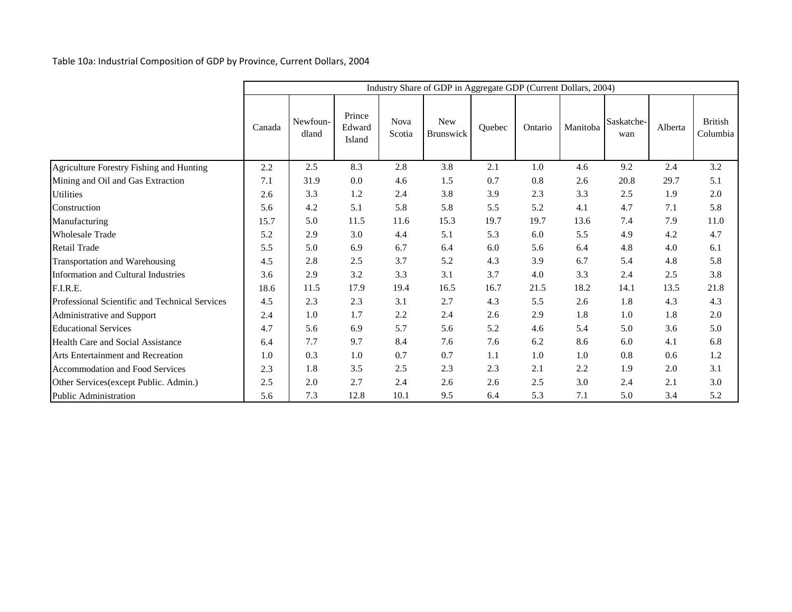Table 10a: Industrial Composition of GDP by Province, Current Dollars, 2004

|                                                |        |                   |                            |                       | Industry Share of GDP in Aggregate GDP (Current Dollars, 2004) |        |         |          |                   |         |                            |
|------------------------------------------------|--------|-------------------|----------------------------|-----------------------|----------------------------------------------------------------|--------|---------|----------|-------------------|---------|----------------------------|
|                                                | Canada | Newfoun-<br>dland | Prince<br>Edward<br>Island | <b>Nova</b><br>Scotia | <b>New</b><br>Brunswick                                        | Quebec | Ontario | Manitoba | Saskatche-<br>wan | Alberta | <b>British</b><br>Columbia |
| Agriculture Forestry Fishing and Hunting       | 2.2    | 2.5               | 8.3                        | 2.8                   | 3.8                                                            | 2.1    | 1.0     | 4.6      | 9.2               | 2.4     | 3.2                        |
| Mining and Oil and Gas Extraction              | 7.1    | 31.9              | 0.0                        | 4.6                   | 1.5                                                            | 0.7    | 0.8     | 2.6      | 20.8              | 29.7    | 5.1                        |
| <b>Utilities</b>                               | 2.6    | 3.3               | 1.2                        | 2.4                   | 3.8                                                            | 3.9    | 2.3     | 3.3      | 2.5               | 1.9     | 2.0                        |
| Construction                                   | 5.6    | 4.2               | 5.1                        | 5.8                   | 5.8                                                            | 5.5    | 5.2     | 4.1      | 4.7               | 7.1     | 5.8                        |
| Manufacturing                                  | 15.7   | 5.0               | 11.5                       | 11.6                  | 15.3                                                           | 19.7   | 19.7    | 13.6     | 7.4               | 7.9     | 11.0                       |
| <b>Wholesale Trade</b>                         | 5.2    | 2.9               | 3.0                        | 4.4                   | 5.1                                                            | 5.3    | 6.0     | 5.5      | 4.9               | 4.2     | 4.7                        |
| Retail Trade                                   | 5.5    | 5.0               | 6.9                        | 6.7                   | 6.4                                                            | 6.0    | 5.6     | 6.4      | 4.8               | 4.0     | 6.1                        |
| Transportation and Warehousing                 | 4.5    | 2.8               | 2.5                        | 3.7                   | 5.2                                                            | 4.3    | 3.9     | 6.7      | 5.4               | 4.8     | 5.8                        |
| <b>Information and Cultural Industries</b>     | 3.6    | 2.9               | 3.2                        | 3.3                   | 3.1                                                            | 3.7    | 4.0     | 3.3      | 2.4               | 2.5     | 3.8                        |
| F.I.R.E.                                       | 18.6   | 11.5              | 17.9                       | 19.4                  | 16.5                                                           | 16.7   | 21.5    | 18.2     | 14.1              | 13.5    | 21.8                       |
| Professional Scientific and Technical Services | 4.5    | 2.3               | 2.3                        | 3.1                   | 2.7                                                            | 4.3    | 5.5     | 2.6      | 1.8               | 4.3     | 4.3                        |
| Administrative and Support                     | 2.4    | 1.0               | 1.7                        | 2.2                   | 2.4                                                            | 2.6    | 2.9     | 1.8      | 1.0               | 1.8     | 2.0                        |
| <b>Educational Services</b>                    | 4.7    | 5.6               | 6.9                        | 5.7                   | 5.6                                                            | 5.2    | 4.6     | 5.4      | 5.0               | 3.6     | 5.0                        |
| Health Care and Social Assistance              | 6.4    | 7.7               | 9.7                        | 8.4                   | 7.6                                                            | 7.6    | 6.2     | 8.6      | 6.0               | 4.1     | 6.8                        |
| Arts Entertainment and Recreation              | 1.0    | 0.3               | 1.0                        | 0.7                   | 0.7                                                            | 1.1    | 1.0     | 1.0      | 0.8               | 0.6     | 1.2                        |
| Accommodation and Food Services                | 2.3    | 1.8               | 3.5                        | 2.5                   | 2.3                                                            | 2.3    | 2.1     | 2.2      | 1.9               | 2.0     | 3.1                        |
| Other Services(except Public. Admin.)          | 2.5    | 2.0               | 2.7                        | 2.4                   | 2.6                                                            | 2.6    | 2.5     | 3.0      | 2.4               | 2.1     | 3.0                        |
| Public Administration                          | 5.6    | 7.3               | 12.8                       | 10.1                  | 9.5                                                            | 6.4    | 5.3     | 7.1      | 5.0               | 3.4     | 5.2                        |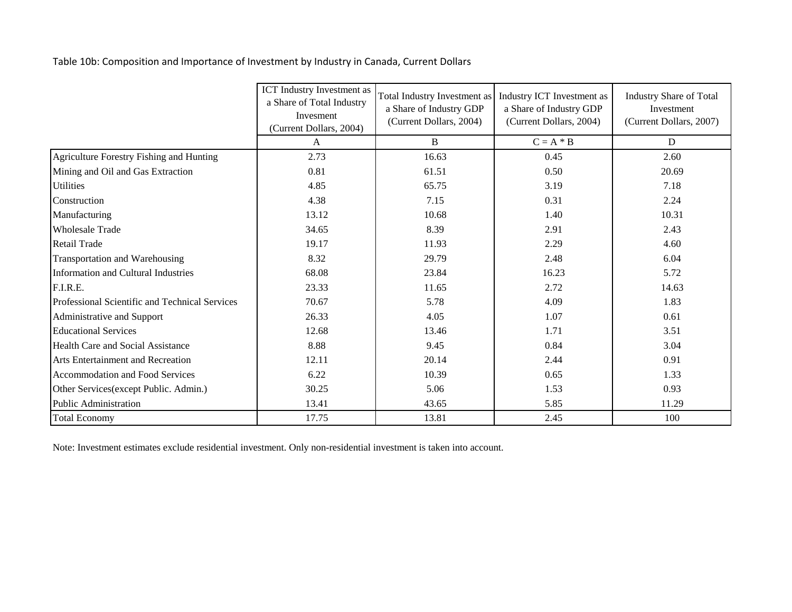Table 10b: Composition and Importance of Investment by Industry in Canada, Current Dollars

|                                                | <b>ICT</b> Industry Investment as<br>a Share of Total Industry<br>Invesment<br>(Current Dollars, 2004) | Total Industry Investment as<br>a Share of Industry GDP<br>(Current Dollars, 2004) | Industry ICT Investment as<br>a Share of Industry GDP<br>(Current Dollars, 2004) | <b>Industry Share of Total</b><br>Investment<br>(Current Dollars, 2007) |  |
|------------------------------------------------|--------------------------------------------------------------------------------------------------------|------------------------------------------------------------------------------------|----------------------------------------------------------------------------------|-------------------------------------------------------------------------|--|
|                                                | A                                                                                                      | B                                                                                  | $C = A * B$                                                                      | D                                                                       |  |
| Agriculture Forestry Fishing and Hunting       | 2.73                                                                                                   | 16.63                                                                              | 0.45                                                                             | 2.60                                                                    |  |
| Mining and Oil and Gas Extraction              | 0.81                                                                                                   | 61.51                                                                              | 0.50                                                                             | 20.69                                                                   |  |
| <b>Utilities</b>                               | 4.85                                                                                                   | 65.75                                                                              | 3.19                                                                             | 7.18                                                                    |  |
| Construction                                   | 4.38                                                                                                   | 7.15                                                                               | 0.31                                                                             | 2.24                                                                    |  |
| Manufacturing                                  | 13.12                                                                                                  | 10.68                                                                              | 1.40                                                                             | 10.31                                                                   |  |
| <b>Wholesale Trade</b>                         | 34.65                                                                                                  | 8.39                                                                               | 2.91                                                                             | 2.43                                                                    |  |
| Retail Trade                                   | 19.17                                                                                                  | 11.93                                                                              | 2.29                                                                             | 4.60                                                                    |  |
| Transportation and Warehousing                 | 8.32                                                                                                   | 29.79                                                                              | 2.48                                                                             | 6.04                                                                    |  |
| Information and Cultural Industries            | 68.08                                                                                                  | 23.84                                                                              | 16.23                                                                            | 5.72                                                                    |  |
| F.I.R.E.                                       | 23.33                                                                                                  | 11.65                                                                              | 2.72                                                                             | 14.63                                                                   |  |
| Professional Scientific and Technical Services | 70.67                                                                                                  | 5.78                                                                               | 4.09                                                                             | 1.83                                                                    |  |
| Administrative and Support                     | 26.33                                                                                                  | 4.05                                                                               | 1.07                                                                             | 0.61                                                                    |  |
| <b>Educational Services</b>                    | 12.68                                                                                                  | 13.46                                                                              | 1.71                                                                             | 3.51                                                                    |  |
| Health Care and Social Assistance              | 8.88                                                                                                   | 9.45                                                                               | 0.84                                                                             | 3.04                                                                    |  |
| Arts Entertainment and Recreation              | 12.11                                                                                                  | 20.14                                                                              | 2.44                                                                             | 0.91                                                                    |  |
| Accommodation and Food Services                | 6.22                                                                                                   | 10.39                                                                              | 0.65                                                                             | 1.33                                                                    |  |
| Other Services (except Public. Admin.)         | 30.25                                                                                                  | 5.06                                                                               | 1.53                                                                             | 0.93                                                                    |  |
| Public Administration                          | 13.41                                                                                                  | 43.65                                                                              | 5.85                                                                             | 11.29                                                                   |  |
| <b>Total Economy</b>                           | 17.75                                                                                                  | 13.81                                                                              | 2.45                                                                             | 100                                                                     |  |

Note: Investment estimates exclude residential investment. Only non-residential investment is taken into account.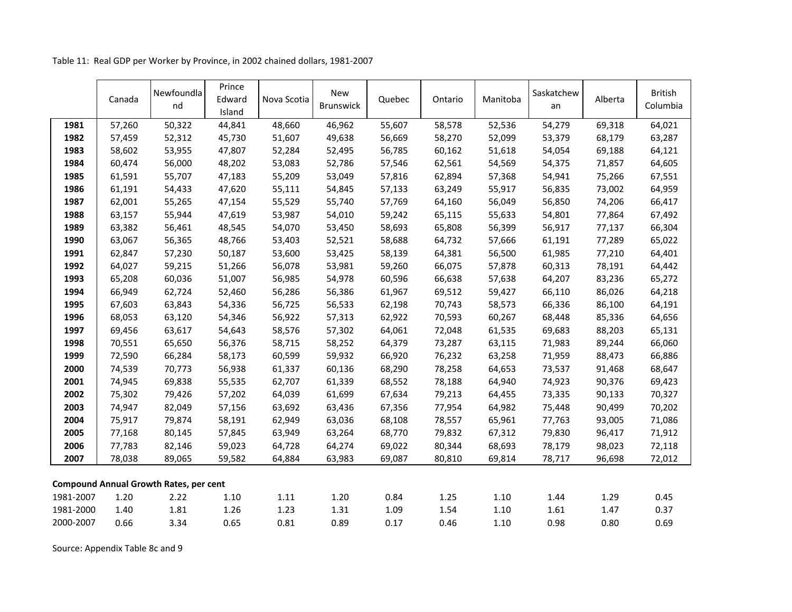|                                               | Canada | Newfoundla<br>nd | Prince<br>Edward<br>Island | Nova Scotia | <b>New</b><br><b>Brunswick</b> | Quebec | Ontario | Manitoba | Saskatchew<br>an | Alberta | <b>British</b><br>Columbia |
|-----------------------------------------------|--------|------------------|----------------------------|-------------|--------------------------------|--------|---------|----------|------------------|---------|----------------------------|
| 1981                                          | 57,260 | 50,322           | 44,841                     | 48,660      | 46,962                         | 55,607 | 58,578  | 52,536   | 54,279           | 69,318  | 64,021                     |
| 1982                                          | 57,459 | 52,312           | 45,730                     | 51,607      | 49,638                         | 56,669 | 58,270  | 52,099   | 53,379           | 68,179  | 63,287                     |
| 1983                                          | 58,602 | 53,955           | 47,807                     | 52,284      | 52,495                         | 56,785 | 60,162  | 51,618   | 54,054           | 69,188  | 64,121                     |
| 1984                                          | 60,474 | 56,000           | 48,202                     | 53,083      | 52,786                         | 57,546 | 62,561  | 54,569   | 54,375           | 71,857  | 64,605                     |
| 1985                                          | 61,591 | 55,707           | 47,183                     | 55,209      | 53,049                         | 57,816 | 62,894  | 57,368   | 54,941           | 75,266  | 67,551                     |
| 1986                                          | 61,191 | 54,433           | 47,620                     | 55,111      | 54,845                         | 57,133 | 63,249  | 55,917   | 56,835           | 73,002  | 64,959                     |
| 1987                                          | 62,001 | 55,265           | 47,154                     | 55,529      | 55,740                         | 57,769 | 64,160  | 56,049   | 56,850           | 74,206  | 66,417                     |
| 1988                                          | 63,157 | 55,944           | 47,619                     | 53,987      | 54,010                         | 59,242 | 65,115  | 55,633   | 54,801           | 77,864  | 67,492                     |
| 1989                                          | 63,382 | 56,461           | 48,545                     | 54,070      | 53,450                         | 58,693 | 65,808  | 56,399   | 56,917           | 77,137  | 66,304                     |
| 1990                                          | 63,067 | 56,365           | 48,766                     | 53,403      | 52,521                         | 58,688 | 64,732  | 57,666   | 61,191           | 77,289  | 65,022                     |
| 1991                                          | 62,847 | 57,230           | 50,187                     | 53,600      | 53,425                         | 58,139 | 64,381  | 56,500   | 61,985           | 77,210  | 64,401                     |
| 1992                                          | 64,027 | 59,215           | 51,266                     | 56,078      | 53,981                         | 59,260 | 66,075  | 57,878   | 60,313           | 78,191  | 64,442                     |
| 1993                                          | 65,208 | 60,036           | 51,007                     | 56,985      | 54,978                         | 60,596 | 66,638  | 57,638   | 64,207           | 83,236  | 65,272                     |
| 1994                                          | 66,949 | 62,724           | 52,460                     | 56,286      | 56,386                         | 61,967 | 69,512  | 59,427   | 66,110           | 86,026  | 64,218                     |
| 1995                                          | 67,603 | 63,843           | 54,336                     | 56,725      | 56,533                         | 62,198 | 70,743  | 58,573   | 66,336           | 86,100  | 64,191                     |
| 1996                                          | 68,053 | 63,120           | 54,346                     | 56,922      | 57,313                         | 62,922 | 70,593  | 60,267   | 68,448           | 85,336  | 64,656                     |
| 1997                                          | 69,456 | 63,617           | 54,643                     | 58,576      | 57,302                         | 64,061 | 72,048  | 61,535   | 69,683           | 88,203  | 65,131                     |
| 1998                                          | 70,551 | 65,650           | 56,376                     | 58,715      | 58,252                         | 64,379 | 73,287  | 63,115   | 71,983           | 89,244  | 66,060                     |
| 1999                                          | 72,590 | 66,284           | 58,173                     | 60,599      | 59,932                         | 66,920 | 76,232  | 63,258   | 71,959           | 88,473  | 66,886                     |
| 2000                                          | 74,539 | 70,773           | 56,938                     | 61,337      | 60,136                         | 68,290 | 78,258  | 64,653   | 73,537           | 91,468  | 68,647                     |
| 2001                                          | 74,945 | 69,838           | 55,535                     | 62,707      | 61,339                         | 68,552 | 78,188  | 64,940   | 74,923           | 90,376  | 69,423                     |
| 2002                                          | 75,302 | 79,426           | 57,202                     | 64,039      | 61,699                         | 67,634 | 79,213  | 64,455   | 73,335           | 90,133  | 70,327                     |
| 2003                                          | 74,947 | 82,049           | 57,156                     | 63,692      | 63,436                         | 67,356 | 77,954  | 64,982   | 75,448           | 90,499  | 70,202                     |
| 2004                                          | 75,917 | 79,874           | 58,191                     | 62,949      | 63,036                         | 68,108 | 78,557  | 65,961   | 77,763           | 93,005  | 71,086                     |
| 2005                                          | 77,168 | 80,145           | 57,845                     | 63,949      | 63,264                         | 68,770 | 79,832  | 67,312   | 79,830           | 96,417  | 71,912                     |
| 2006                                          | 77,783 | 82,146           | 59,023                     | 64,728      | 64,274                         | 69,022 | 80,344  | 68,693   | 78,179           | 98,023  | 72,118                     |
| 2007                                          | 78,038 | 89,065           | 59,582                     | 64,884      | 63,983                         | 69,087 | 80,810  | 69,814   | 78,717           | 96,698  | 72,012                     |
| <b>Compound Annual Growth Rates, per cent</b> |        |                  |                            |             |                                |        |         |          |                  |         |                            |
| 1981-2007                                     | 1.20   | 2.22             | $1.10\,$                   | 1.11        | 1.20                           | 0.84   | 1.25    | 1.10     | 1.44             | 1.29    | 0.45                       |
| 1981-2000                                     | 1.40   | 1.81             | 1.26                       | 1.23        | 1.31                           | 1.09   | 1.54    | 1.10     | 1.61             | 1.47    | 0.37                       |
| 2000-2007                                     | 0.66   | 3.34             | 0.65                       | 0.81        | 0.89                           | 0.17   | 0.46    | 1.10     | 0.98             | 0.80    | 0.69                       |

Table 11: Real GDP per Worker by Province, in 2002 chained dollars, 1981-2007

Source: Appendix Table 8c and 9